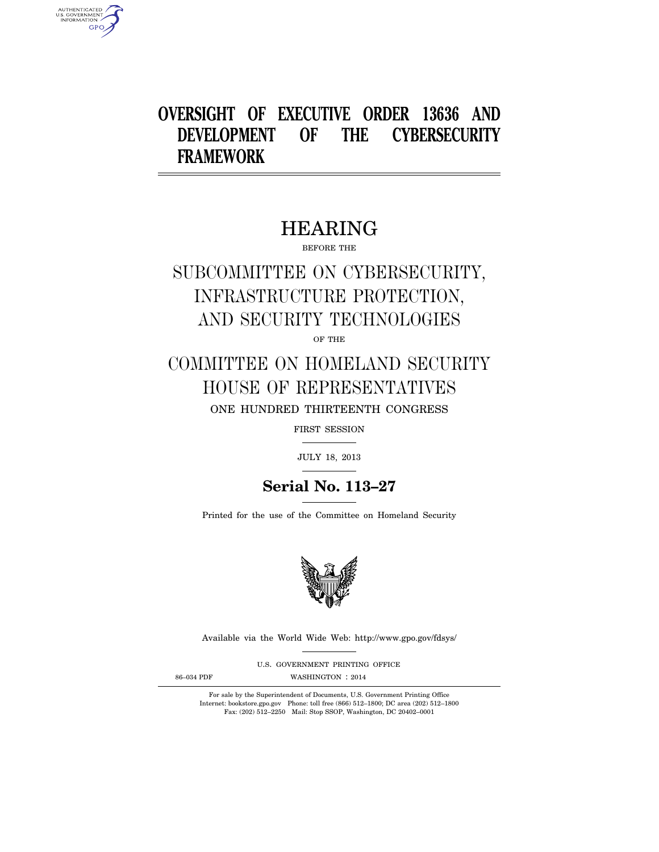### **OVERSIGHT OF EXECUTIVE ORDER 13636 AND DEVELOPMENT OF THE CYBERSECURITY FRAMEWORK**

### HEARING

BEFORE THE

# SUBCOMMITTEE ON CYBERSECURITY, INFRASTRUCTURE PROTECTION, AND SECURITY TECHNOLOGIES

OF THE

### COMMITTEE ON HOMELAND SECURITY HOUSE OF REPRESENTATIVES ONE HUNDRED THIRTEENTH CONGRESS

FIRST SESSION

JULY 18, 2013

### **Serial No. 113–27**

Printed for the use of the Committee on Homeland Security



Available via the World Wide Web: http://www.gpo.gov/fdsys/

U.S. GOVERNMENT PRINTING OFFICE

AUTHENTICATED<br>U.S. GOVERNMENT<br>INFORMATION **GPO** 

86-034 PDF WASHINGTON : 2014

For sale by the Superintendent of Documents, U.S. Government Printing Office Internet: bookstore.gpo.gov Phone: toll free (866) 512–1800; DC area (202) 512–1800 Fax: (202) 512–2250 Mail: Stop SSOP, Washington, DC 20402–0001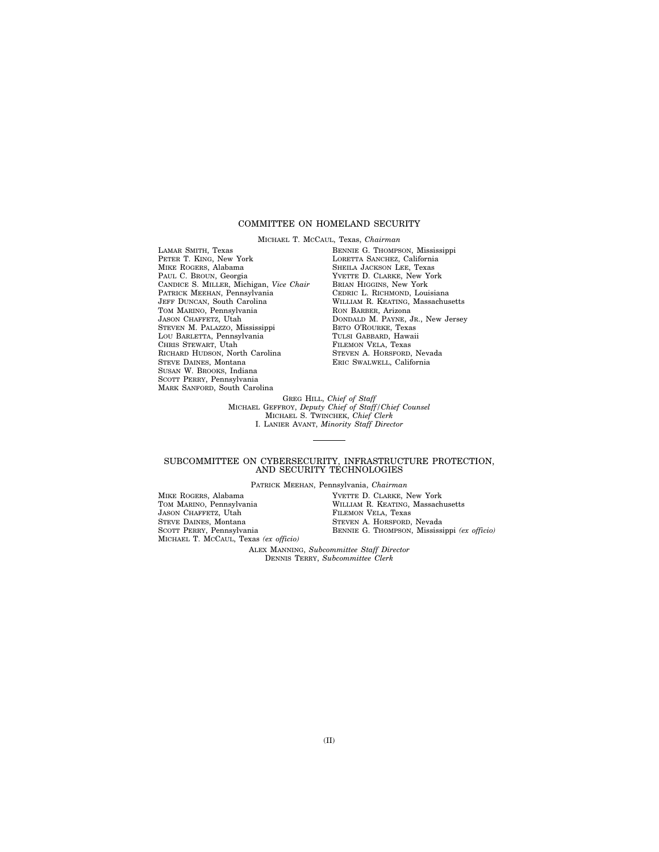### COMMITTEE ON HOMELAND SECURITY

MICHAEL T. MCCAUL, Texas, *Chairman*  LAMAR SMITH, Texas PETER T. KING, New York MIKE ROGERS, Alabama PAUL C. BROUN, Georgia CANDICE S. MILLER, Michigan, *Vice Chair*  PATRICK MEEHAN, Pennsylvania JEFF DUNCAN, South Carolina TOM MARINO, Pennsylvania JASON CHAFFETZ, Utah STEVEN M. PALAZZO, Mississippi LOU BARLETTA, Pennsylvania CHRIS STEWART, Utah RICHARD HUDSON, North Carolina STEVE DAINES, Montana SUSAN W. BROOKS, Indiana SCOTT PERRY, Pennsylvania MARK SANFORD, South Carolina

BENNIE G. THOMPSON, Mississippi LORETTA SANCHEZ, California SHEILA JACKSON LEE, Texas YVETTE D. CLARKE, New York BRIAN HIGGINS, New York CEDRIC L. RICHMOND, Louisiana WILLIAM R. KEATING, Massachusetts RON BARBER, Arizona DONDALD M. PAYNE, JR., New Jersey BETO O'ROURKE, Texas TULSI GABBARD, Hawaii FILEMON VELA, Texas STEVEN A. HORSFORD, Nevada ERIC SWALWELL, California

GREG HILL, *Chief of Staff*  MICHAEL GEFFROY, *Deputy Chief of Staff/Chief Counsel*  MICHAEL S. TWINCHEK, *Chief Clerk*  I. LANIER AVANT, *Minority Staff Director* 

#### SUBCOMMITTEE ON CYBERSECURITY, INFRASTRUCTURE PROTECTION, AND SECURITY TECHNOLOGIES

PATRICK MEEHAN, Pennsylvania, *Chairman* 

| MIKE ROGERS, Alabama                  | YVETTE D. CLARKE, New York                   |
|---------------------------------------|----------------------------------------------|
| TOM MARINO, Pennsylvania              | WILLIAM R. KEATING, Massachusetts            |
| JASON CHAFFETZ, Utah                  | FILEMON VELA, Texas                          |
| STEVE DAINES, Montana                 | STEVEN A. HORSFORD, Nevada                   |
| SCOTT PERRY, Pennsylvania             | BENNIE G. THOMPSON, Mississippi (ex officio) |
| MICHAEL T. MCCAUL, Texas (ex officio) |                                              |

ALEX MANNING, *Subcommittee Staff Director*  DENNIS TERRY, *Subcommittee Clerk*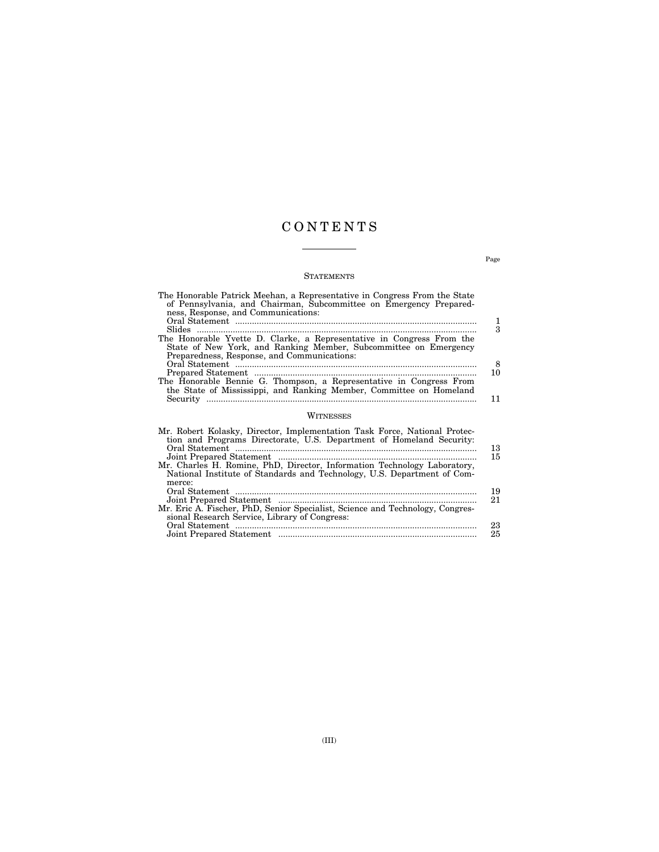### C O N T E N T S

### STATEMENTS

| The Honorable Patrick Meehan, a Representative in Congress From the State<br>of Pennsylvania, and Chairman, Subcommittee on Emergency Prepared-<br>ness, Response, and Communications:<br>The Honorable Yvette D. Clarke, a Representative in Congress From the<br>State of New York, and Ranking Member, Subcommittee on Emergency<br>Preparedness, Response, and Communications:<br>The Honorable Bennie G. Thompson, a Representative in Congress From<br>the State of Mississippi, and Ranking Member, Committee on Homeland | 1<br>3<br>8<br>10 |
|----------------------------------------------------------------------------------------------------------------------------------------------------------------------------------------------------------------------------------------------------------------------------------------------------------------------------------------------------------------------------------------------------------------------------------------------------------------------------------------------------------------------------------|-------------------|
|                                                                                                                                                                                                                                                                                                                                                                                                                                                                                                                                  | 11                |
| WITNESSES                                                                                                                                                                                                                                                                                                                                                                                                                                                                                                                        |                   |
| Mr. Robert Kolasky, Director, Implementation Task Force, National Protec-<br>tion and Programs Directorate, U.S. Department of Homeland Security:<br>Mr. Charles H. Romine, PhD, Director, Information Technology Laboratory,                                                                                                                                                                                                                                                                                                    | 13<br>15          |

| National Institute of Standards and Technology, U.S. Department of Com-       |     |
|-------------------------------------------------------------------------------|-----|
| merce:                                                                        |     |
|                                                                               | -19 |
|                                                                               | 21  |
| Mr. Eric A. Fischer, PhD, Senior Specialist, Science and Technology, Congres- |     |
| sional Research Service, Library of Congress:                                 |     |
|                                                                               | 23  |
|                                                                               | 25  |
|                                                                               |     |

Page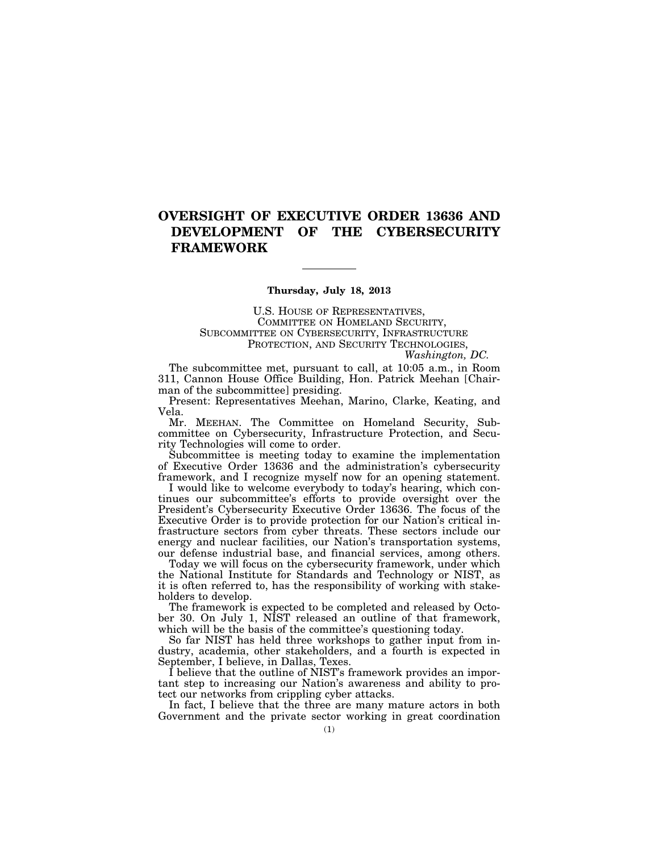### **OVERSIGHT OF EXECUTIVE ORDER 13636 AND DEVELOPMENT OF THE CYBERSECURITY FRAMEWORK**

### **Thursday, July 18, 2013**

U.S. HOUSE OF REPRESENTATIVES, COMMITTEE ON HOMELAND SECURITY, SUBCOMMITTEE ON CYBERSECURITY, INFRASTRUCTURE PROTECTION, AND SECURITY TECHNOLOGIES, *Washington, DC.* 

The subcommittee met, pursuant to call, at 10:05 a.m., in Room 311, Cannon House Office Building, Hon. Patrick Meehan [Chairman of the subcommittee] presiding.

Present: Representatives Meehan, Marino, Clarke, Keating, and Vela.

Mr. MEEHAN. The Committee on Homeland Security, Subcommittee on Cybersecurity, Infrastructure Protection, and Security Technologies will come to order.

Subcommittee is meeting today to examine the implementation of Executive Order 13636 and the administration's cybersecurity framework, and I recognize myself now for an opening statement.

I would like to welcome everybody to today's hearing, which continues our subcommittee's efforts to provide oversight over the President's Cybersecurity Executive Order 13636. The focus of the Executive Order is to provide protection for our Nation's critical infrastructure sectors from cyber threats. These sectors include our energy and nuclear facilities, our Nation's transportation systems, our defense industrial base, and financial services, among others.

Today we will focus on the cybersecurity framework, under which the National Institute for Standards and Technology or NIST, as it is often referred to, has the responsibility of working with stakeholders to develop.

The framework is expected to be completed and released by October 30. On July 1, NIST released an outline of that framework, which will be the basis of the committee's questioning today.

So far NIST has held three workshops to gather input from industry, academia, other stakeholders, and a fourth is expected in September, I believe, in Dallas, Texes.

I believe that the outline of NIST's framework provides an important step to increasing our Nation's awareness and ability to protect our networks from crippling cyber attacks.

In fact, I believe that the three are many mature actors in both Government and the private sector working in great coordination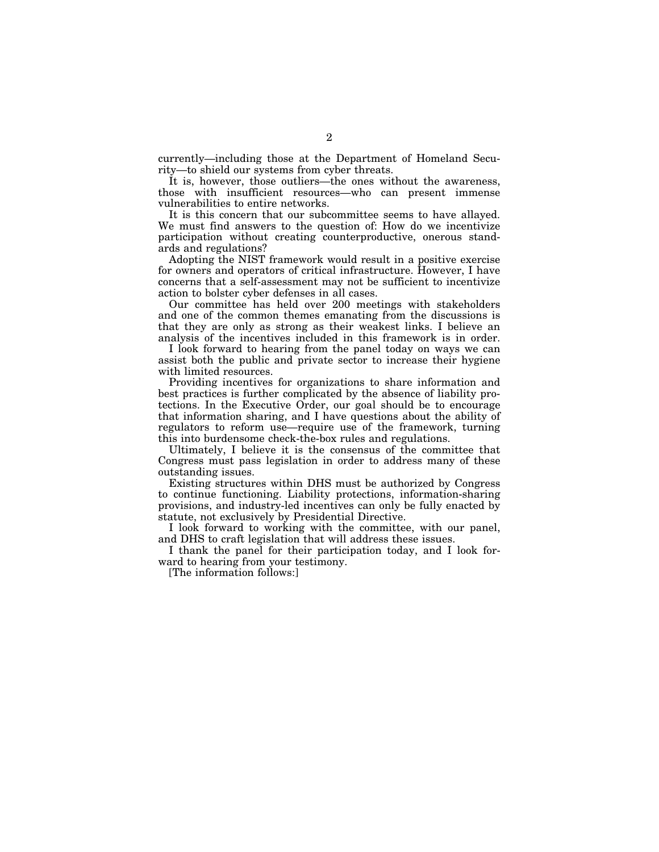currently—including those at the Department of Homeland Security—to shield our systems from cyber threats.

It is, however, those outliers—the ones without the awareness, those with insufficient resources—who can present immense vulnerabilities to entire networks.

It is this concern that our subcommittee seems to have allayed. We must find answers to the question of: How do we incentivize participation without creating counterproductive, onerous standards and regulations?

Adopting the NIST framework would result in a positive exercise for owners and operators of critical infrastructure. However, I have concerns that a self-assessment may not be sufficient to incentivize action to bolster cyber defenses in all cases.

Our committee has held over 200 meetings with stakeholders and one of the common themes emanating from the discussions is that they are only as strong as their weakest links. I believe an analysis of the incentives included in this framework is in order.

I look forward to hearing from the panel today on ways we can assist both the public and private sector to increase their hygiene with limited resources.

Providing incentives for organizations to share information and best practices is further complicated by the absence of liability protections. In the Executive Order, our goal should be to encourage that information sharing, and I have questions about the ability of regulators to reform use—require use of the framework, turning this into burdensome check-the-box rules and regulations.

Ultimately, I believe it is the consensus of the committee that Congress must pass legislation in order to address many of these outstanding issues.

Existing structures within DHS must be authorized by Congress to continue functioning. Liability protections, information-sharing provisions, and industry-led incentives can only be fully enacted by statute, not exclusively by Presidential Directive.

I look forward to working with the committee, with our panel, and DHS to craft legislation that will address these issues.

I thank the panel for their participation today, and I look forward to hearing from your testimony.

[The information follows:]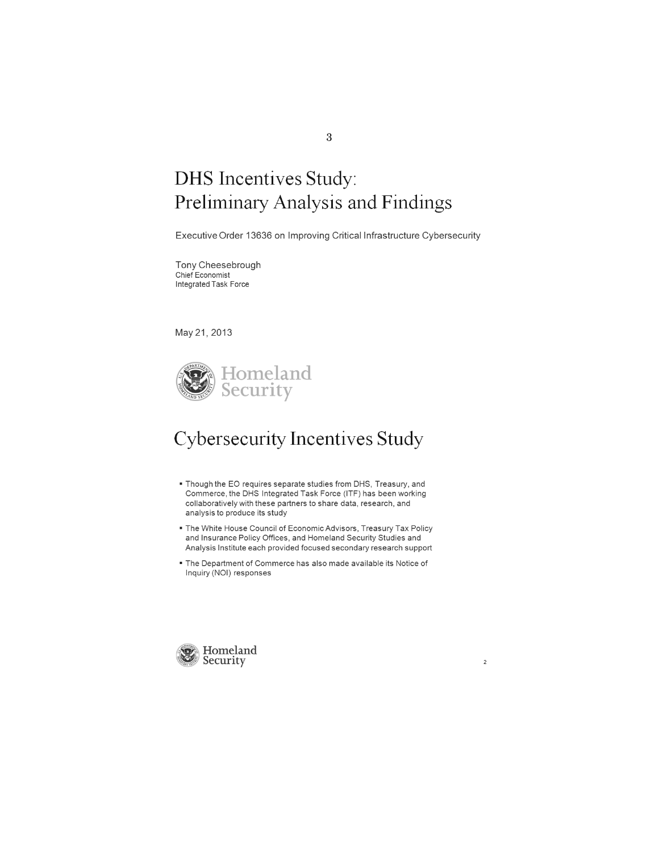# DHS Incentives Study: Preliminary Analysis and Findings

Executive Order 13636 on Improving Critical Infrastructure Cybersecurity

Tony Cheesebrough Chief Economist Integrated Task Force

May 21, 2013



## Cybersecurity Incentives Study

- Though the EO requires separate studies from DHS, Treasury, and Commerce, the DHS Integrated Task Force (ITF) has been working collaboratively with these partners to share data, research, and analysis to produce its study
- The White House Council of Economic Advisors, Treasury Tax Policy and Insurance Policy Offices, and Homeland Security Studies and Analysis Institute each provided focused secondary research support
- The Department of Commerce has also made available its Notice of Inquiry (NOI) responses

 $\bar{2}$ 



3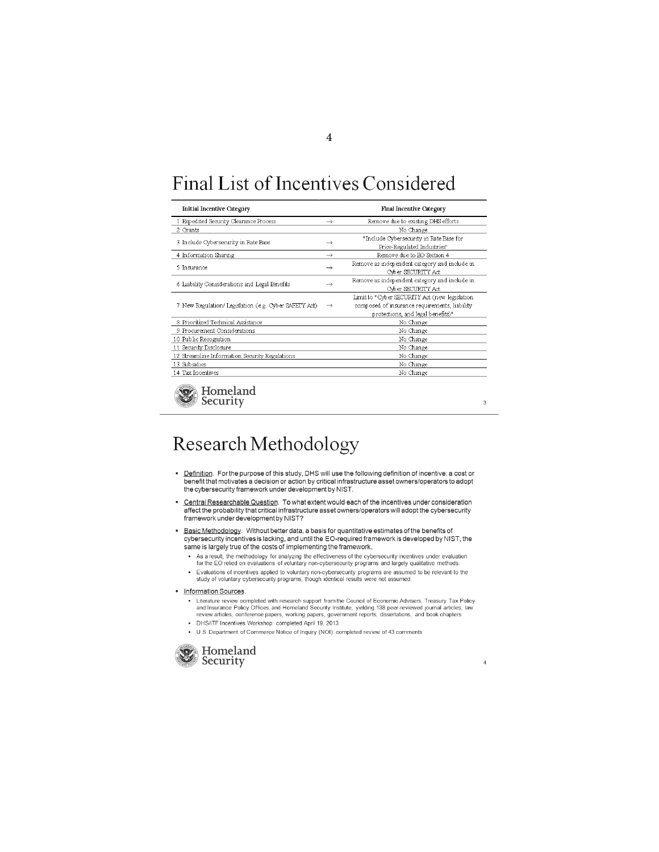# Final List of Incentives Considered

| <b>Initial Incentive Category</b>                       | <b>Final Incentive Category</b> |                                               |  |  |  |  |
|---------------------------------------------------------|---------------------------------|-----------------------------------------------|--|--|--|--|
| 1 Expedited Security Clearance Process<br>$\rightarrow$ |                                 | Remove due to existing DHS efforts            |  |  |  |  |
| 2 Grants                                                |                                 | No Change                                     |  |  |  |  |
| 3 Include Cybersecurity in Rate Base                    | $\rightarrow$                   | "Include Cybersecurity in Rate Base for       |  |  |  |  |
|                                                         |                                 | Price-Regulated Industries"                   |  |  |  |  |
| 4 Information Sharing                                   | $\rightarrow$                   | Remove due to EO Section 4                    |  |  |  |  |
| 5 Insurance                                             | $\rightarrow$                   | Remove as independent category and include in |  |  |  |  |
|                                                         |                                 | <b>Cvber SECURITY Act</b>                     |  |  |  |  |
| 6 Liability Considerations and Legal Benefits           | $\rightarrow$                   | Remove as independent category and include in |  |  |  |  |
|                                                         |                                 | <b>Ovber SECURITY Act</b>                     |  |  |  |  |
| 7 New Regulation/Legislation (e.g. Cyber SAFEIY Act)    |                                 | Limit to "Cyber SECURITY Act (new legislation |  |  |  |  |
|                                                         | $\rightarrow$                   | composed of insurance requirements, liability |  |  |  |  |
|                                                         |                                 | protections, and legal benefits)"             |  |  |  |  |
| 8 Prioritized Technical Assistance                      |                                 | No Change                                     |  |  |  |  |
| 9 Procurement Considerations                            |                                 | No Change                                     |  |  |  |  |
| 10 Public Recognition                                   |                                 | No Change                                     |  |  |  |  |
| 11 Security Disclosure                                  |                                 | No Change                                     |  |  |  |  |
| 12 Streamline Information Security Regulations          |                                 | No Change                                     |  |  |  |  |
| 13 Subsidies                                            |                                 | No Change                                     |  |  |  |  |
| 14 Tax Incentives                                       |                                 | No Change                                     |  |  |  |  |
|                                                         |                                 |                                               |  |  |  |  |



 $\,$  3  $\,$ 

# Research Methodology

- <u>Definition</u>. For the purpose of this study, DHS will use the following definition of incentive: a cost or<br>benefit that motivates a decision or action by critical infrastructure asset owners/operators to adopt the cybersecurity framework under development by NIST.
- Central Researchable Question. To what extent would each of the incentives under consideration affect the probability that critical infrastructure asset owners/operators will adopt the cybersecurity framework under development by NIST?
- Basic Methodology. Without better data, a basis for quantitative estimates ofthe benefits of cybersecurity incentives is lacking, and until the EO-required framework is developed by NIST, the same is largely true of the costs of implementing the framework.
	- As a result, the methodology for analyzing the effectiveness of the cybersecurity incentives under evaluation<br>for the EO relied on evaluations of voluntary non-cybersecurity programs and largely qualitative methods.
	- Evaluations 01 incentives applied to voluntary non-cybersecurrty programs are assumed to be relevant to the study of voluntary cybersecurity programs, though identical results were not assumed.
- · Information Sources.
	- Literature review completed with research support from the Council of Economic Advisers, Treasury Tax Policy<br>and Insurance Policy Offices, and Homeland Security Institute, yielding 138 peer-reviewed journal articles, law<br>r
	- DHSIITF Incentives Workshop: completed April 19, *2013*
	- U.S. Department 01 Commerce Notice 01 Inquiry (NOI): completed review 01 43 comments



 $\overline{4}$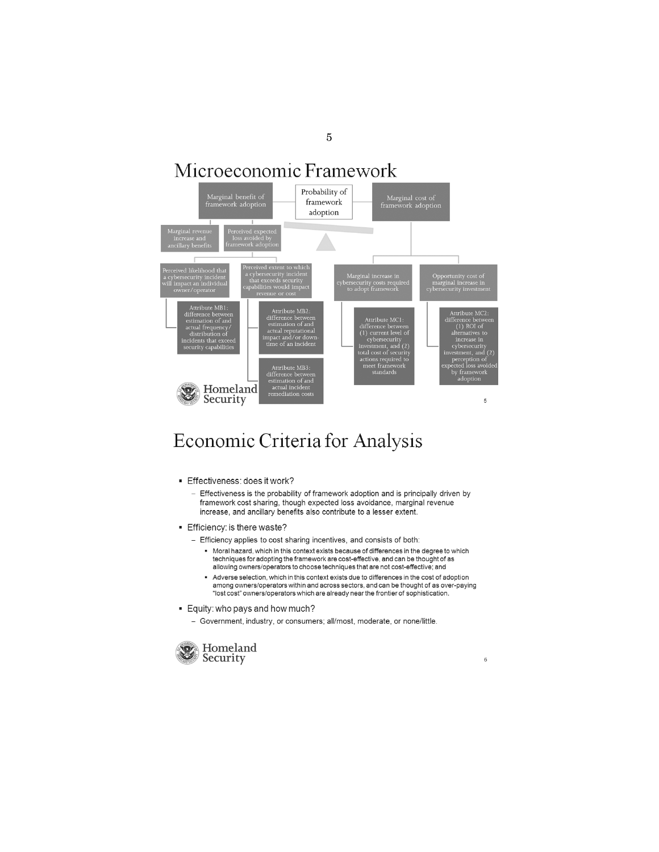## Microeconomic Framework



### Economic Criteria for Analysis

- **Effectiveness: does it work?** 
	- Effectiveness is the probability of framework adoption and is principally driven by framework cost sharing, though expected loss avoidance, marginal revenue increase, and ancillary benefits also contribute to a lesser extent.
- **Efficiency: is there waste?** 
	- Efficiency applies to cost sharing incentives, and consists of both:
		- Moral hazard, which in this context exists because of differences in the degree to which techniques for adopting the framework are cost-effective, and can be thought of as allowing owners/operators to choose techniques that are not cost-effective; and
		- Adverse selection, which in this context exists due to differences in the cost of adoption among owners/operators within and across sectors, and can be thought of as over-paying "lost cost" owners/operators which are already near the frontier of sophistication.

 $_{\rm 6}$ 

- **Equity: who pays and how much?** 
	- Government, industry, or consumers; all/most, moderate, or none/little.



5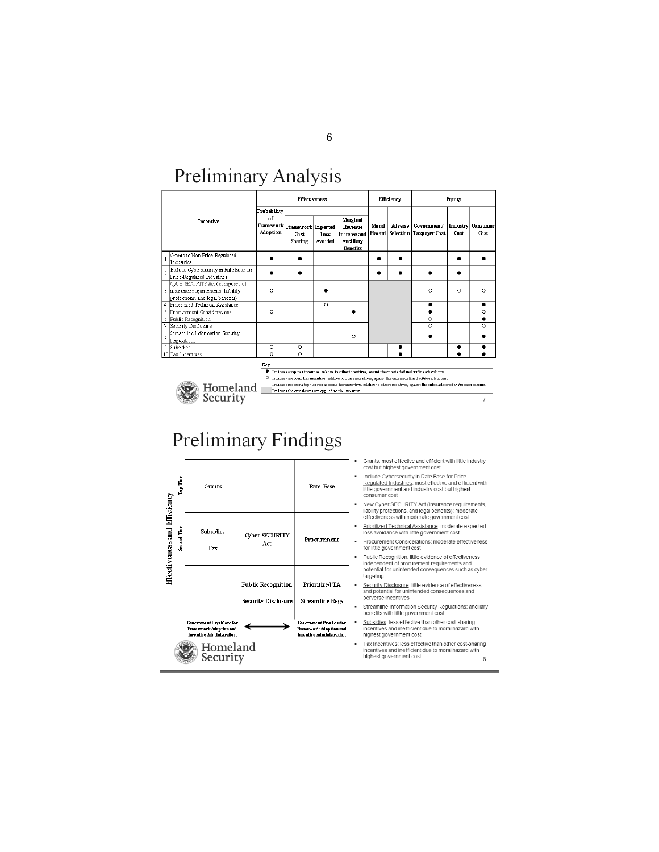## Preliminary Analysis

|                                                                                                            | <b>Effectiveness</b>          |                                                             |                 | <b>Efficiency</b>                                                          |                 | Equity |                                                                                                                                                                                                                                     |                  |                  |
|------------------------------------------------------------------------------------------------------------|-------------------------------|-------------------------------------------------------------|-----------------|----------------------------------------------------------------------------|-----------------|--------|-------------------------------------------------------------------------------------------------------------------------------------------------------------------------------------------------------------------------------------|------------------|------------------|
| <b>Incentive</b>                                                                                           | Probability<br>of<br>Adoption | Framework Framework Expected<br>Ch <sub>st</sub><br>Sharing | Inss<br>Avoided | Marginal<br>Revenue<br><b>Increase and</b><br>Ancillary<br><b>Renefits</b> | Moral<br>Hazard |        | Adverse Government/<br>Selection Taxpayer Cost                                                                                                                                                                                      | Industry<br>Cost | Consumer<br>Cost |
| Grants to Non Price-Regulated<br>Industries                                                                |                               |                                                             |                 |                                                                            |                 |        |                                                                                                                                                                                                                                     |                  |                  |
| Include Cybersecurity in Rate Base for<br>þ<br>Price-Regulated Industries                                  |                               |                                                             |                 |                                                                            |                 |        |                                                                                                                                                                                                                                     |                  |                  |
| Cyber SECURITY Act (composed of<br>3 insurance requirements, liability<br>protections, and legal benefits) | $\circ$                       |                                                             |                 |                                                                            |                 |        | $\circ$                                                                                                                                                                                                                             | $\circ$          | $\circ$          |
| 4 Prioritized Technical Assistance                                                                         |                               |                                                             | $\circ$         |                                                                            |                 |        | ۰                                                                                                                                                                                                                                   |                  | $\bullet$        |
| 5 Procurement Considerations                                                                               | $\circ$                       |                                                             |                 |                                                                            |                 |        | $\bullet$                                                                                                                                                                                                                           |                  | $\circ$          |
| 6 Public Recognition                                                                                       |                               |                                                             |                 |                                                                            |                 |        | $\Omega$                                                                                                                                                                                                                            |                  |                  |
| 7<br>Security Disclosure                                                                                   |                               |                                                             |                 |                                                                            |                 |        | $\circ$                                                                                                                                                                                                                             |                  | $\circ$          |
| Streamline Information Security<br>$\overline{8}$<br>Regulations                                           |                               |                                                             |                 | $\Omega$                                                                   |                 |        |                                                                                                                                                                                                                                     |                  |                  |
| 9 Subsidies                                                                                                | $\circ$                       | $\circ$                                                     |                 |                                                                            |                 |        |                                                                                                                                                                                                                                     | ٠                | $\bullet$        |
| 10 Tax Incentives                                                                                          | $\circ$                       | $\circ$                                                     |                 |                                                                            |                 |        |                                                                                                                                                                                                                                     |                  | $\bullet$        |
|                                                                                                            | Key<br>$\circ$                |                                                             |                 |                                                                            |                 |        | Indicates a top tiexincentive, selative to other incentives, against the criteria defined with each column<br>Testimate consent tipo incentive, selution to refere into other center the wither children and within costs reference |                  |                  |



Indicates neither a tor thermore, namely to our antenna term of the members, against the categorian defined with each column.<br>Indicates neither a top tier nor a second thermornitive, what we to other incentives, against th  $\overline{7}$ 

Preliminary Findings



6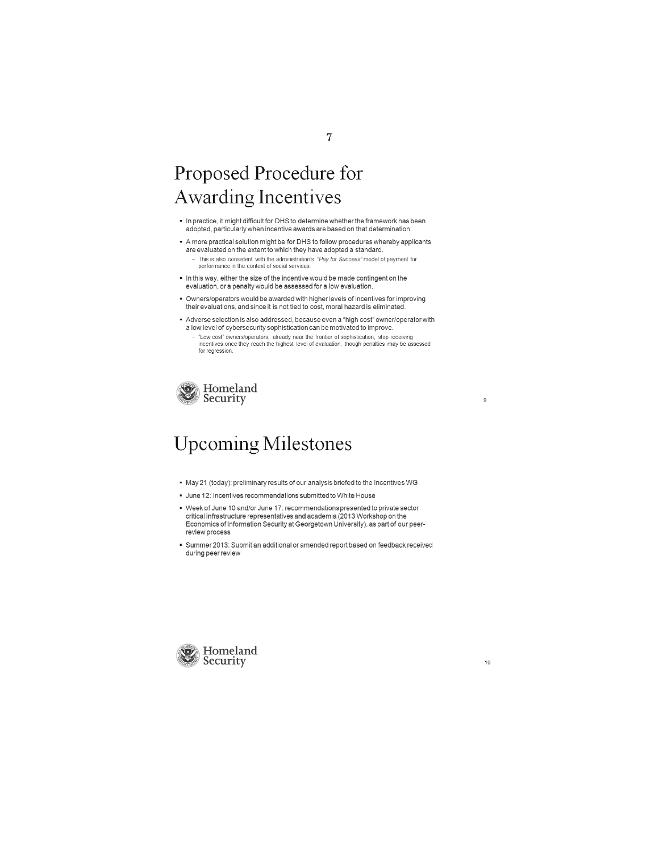# Proposed Procedure for Awarding Incentives

- In practice, it might difficult for DHS to determine whether the framework has been adopted, particularly when incentive awards are based on that determination.
- A more practical solution might be for DHS to follow procedures whereby applicants are evaluated on the extent to which they have adopted a standard. - This is also consistent with the administration's "Pay for Success" model of payment for performance in the context of social services.
- $\bullet$  In this way, either the size of the incentive would be made contingent on the evaluation, ora penalty would be assessed for a low evaluation .
- Owners/operators would be awarded with higher levels of incentives for improving their evaluations, and since it is not tied to cost, moral hazard is eliminated .
- Adverse selection is also addressed , because even a "high cost" owner/operatorwith a low level of cybersecurity sophistication can be motivated to improve. - "Low cost" owners/operators, already near the frontier of sophistication, stop receiving<br>incentives once they reach the highest level of evaluation, though penalties may be assessed for regression



# Upcoming Milestones

- May 21 (today): preliminary results of our analysis briefed to the Incentives WG
- June 12: Incentives recommendations submitted to White House
- Week of June 10 and/or June 17: recommendations presented to private sector critical infrastructure representatives and academia (2013 Workshop on the Economics of Information Security at Georgetown University), as part of our peerreview process
- Summer 2013 : Submit an additional or amended report based on feedback received during peer review



 $\mathbf{9}$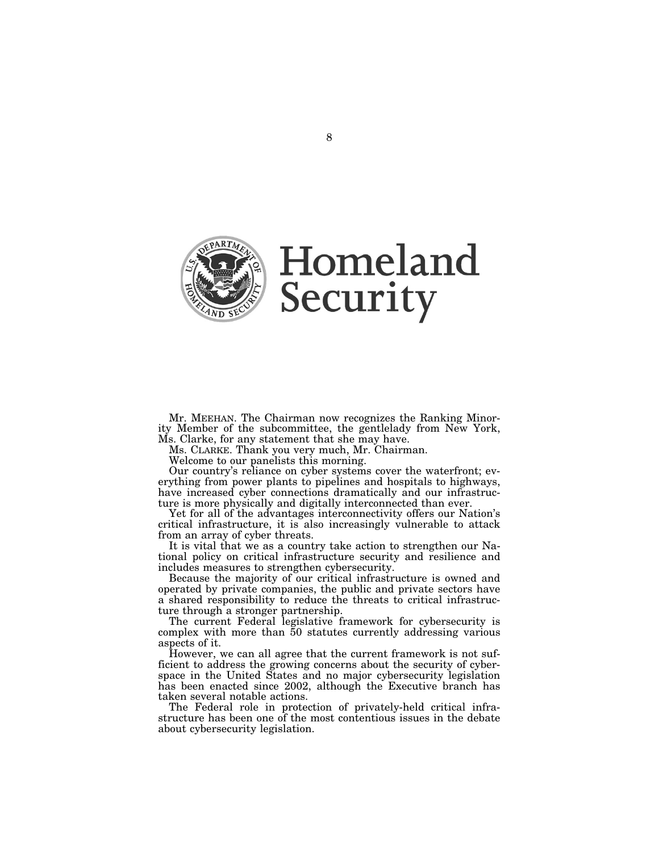

Mr. MEEHAN. The Chairman now recognizes the Ranking Minority Member of the subcommittee, the gentlelady from New York, Ms. Clarke, for any statement that she may have.

Ms. CLARKE. Thank you very much, Mr. Chairman.

Welcome to our panelists this morning.

Our country's reliance on cyber systems cover the waterfront; everything from power plants to pipelines and hospitals to highways, have increased cyber connections dramatically and our infrastructure is more physically and digitally interconnected than ever.

Yet for all of the advantages interconnectivity offers our Nation's critical infrastructure, it is also increasingly vulnerable to attack from an array of cyber threats.

It is vital that we as a country take action to strengthen our National policy on critical infrastructure security and resilience and includes measures to strengthen cybersecurity.

Because the majority of our critical infrastructure is owned and operated by private companies, the public and private sectors have a shared responsibility to reduce the threats to critical infrastructure through a stronger partnership.

The current Federal legislative framework for cybersecurity is complex with more than 50 statutes currently addressing various aspects of it.

However, we can all agree that the current framework is not sufficient to address the growing concerns about the security of cyberspace in the United States and no major cybersecurity legislation has been enacted since 2002, although the Executive branch has taken several notable actions.

The Federal role in protection of privately-held critical infrastructure has been one of the most contentious issues in the debate about cybersecurity legislation.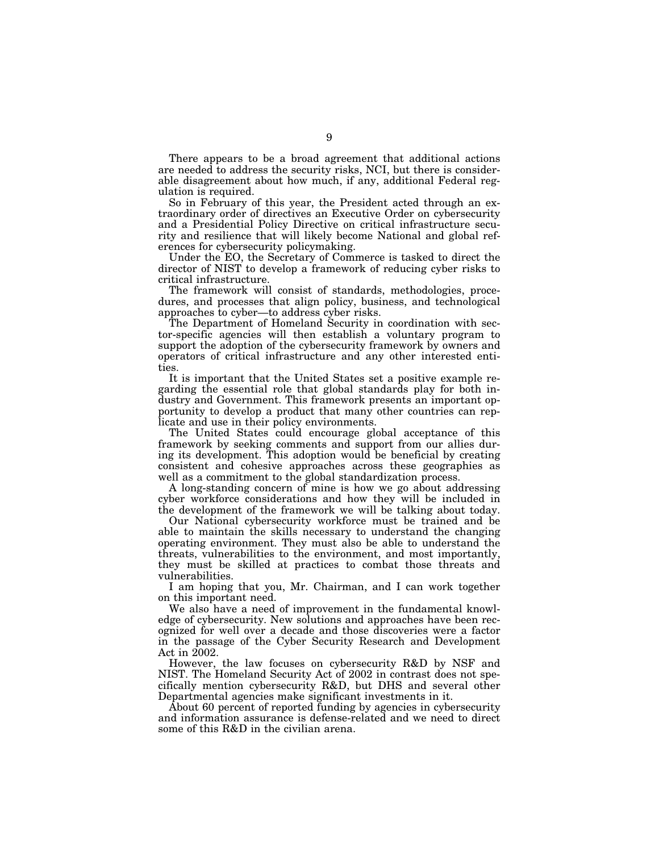There appears to be a broad agreement that additional actions are needed to address the security risks, NCI, but there is considerable disagreement about how much, if any, additional Federal regulation is required.

So in February of this year, the President acted through an extraordinary order of directives an Executive Order on cybersecurity and a Presidential Policy Directive on critical infrastructure security and resilience that will likely become National and global references for cybersecurity policymaking.

Under the EO, the Secretary of Commerce is tasked to direct the director of NIST to develop a framework of reducing cyber risks to critical infrastructure.

The framework will consist of standards, methodologies, procedures, and processes that align policy, business, and technological approaches to cyber—to address cyber risks.

The Department of Homeland Security in coordination with sector-specific agencies will then establish a voluntary program to support the adoption of the cybersecurity framework by owners and operators of critical infrastructure and any other interested entities.

It is important that the United States set a positive example regarding the essential role that global standards play for both industry and Government. This framework presents an important opportunity to develop a product that many other countries can replicate and use in their policy environments.

The United States could encourage global acceptance of this framework by seeking comments and support from our allies during its development. This adoption would be beneficial by creating consistent and cohesive approaches across these geographies as well as a commitment to the global standardization process.

A long-standing concern of mine is how we go about addressing cyber workforce considerations and how they will be included in the development of the framework we will be talking about today.

Our National cybersecurity workforce must be trained and be able to maintain the skills necessary to understand the changing operating environment. They must also be able to understand the threats, vulnerabilities to the environment, and most importantly, they must be skilled at practices to combat those threats and vulnerabilities.

I am hoping that you, Mr. Chairman, and I can work together on this important need.

We also have a need of improvement in the fundamental knowledge of cybersecurity. New solutions and approaches have been recognized for well over a decade and those discoveries were a factor in the passage of the Cyber Security Research and Development Act in 2002.

However, the law focuses on cybersecurity R&D by NSF and NIST. The Homeland Security Act of 2002 in contrast does not specifically mention cybersecurity R&D, but DHS and several other Departmental agencies make significant investments in it.

About 60 percent of reported funding by agencies in cybersecurity and information assurance is defense-related and we need to direct some of this R&D in the civilian arena.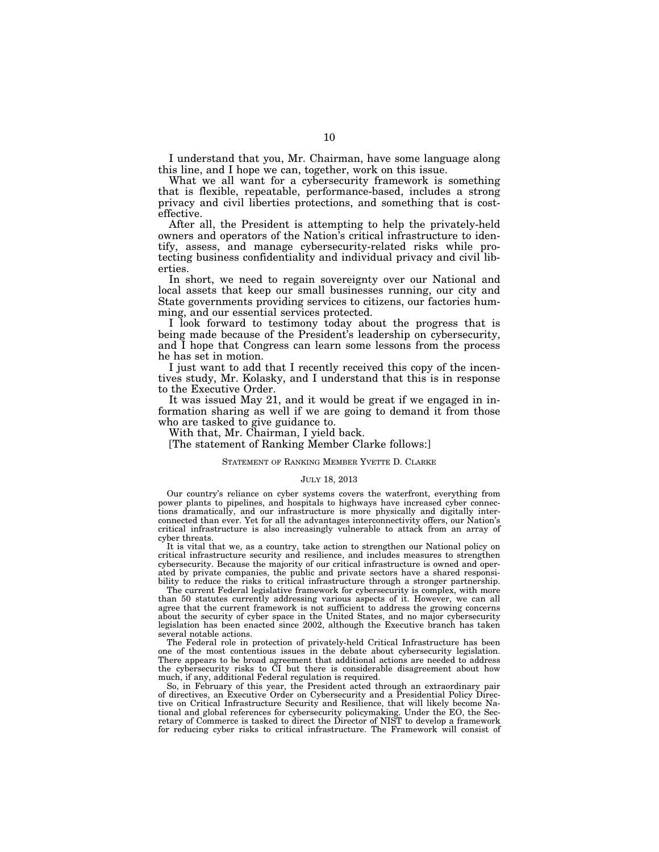I understand that you, Mr. Chairman, have some language along this line, and I hope we can, together, work on this issue.

What we all want for a cybersecurity framework is something that is flexible, repeatable, performance-based, includes a strong privacy and civil liberties protections, and something that is costeffective.

After all, the President is attempting to help the privately-held owners and operators of the Nation's critical infrastructure to identify, assess, and manage cybersecurity-related risks while protecting business confidentiality and individual privacy and civil liberties.

In short, we need to regain sovereignty over our National and local assets that keep our small businesses running, our city and State governments providing services to citizens, our factories humming, and our essential services protected.

I look forward to testimony today about the progress that is being made because of the President's leadership on cybersecurity, and I hope that Congress can learn some lessons from the process he has set in motion.

I just want to add that I recently received this copy of the incentives study, Mr. Kolasky, and I understand that this is in response to the Executive Order.

It was issued May 21, and it would be great if we engaged in information sharing as well if we are going to demand it from those who are tasked to give guidance to.

With that, Mr. Chairman, I yield back.

[The statement of Ranking Member Clarke follows:]

#### STATEMENT OF RANKING MEMBER YVETTE D. CLARKE

#### JULY 18, 2013

Our country's reliance on cyber systems covers the waterfront, everything from power plants to pipelines, and hospitals to highways have increased cyber connections dramatically, and our infrastructure is more physically and digitally interconnected than ever. Yet for all the advantages interconnectivity offers, our Nation's critical infrastructure is also increasingly vulnerable to attack from an array of cyber threats.

It is vital that we, as a country, take action to strengthen our National policy on critical infrastructure security and resilience, and includes measures to strengthen cybersecurity. Because the majority of our critical infrastructure is owned and operated by private companies, the public and private sectors have a shared responsibility to reduce the risks to critical infrastructure through a stronger partnership.

The current Federal legislative framework for cybersecurity is complex, with more than 50 statutes currently addressing various aspects of it. However, we can all agree that the current framework is not sufficient to address the growing concerns about the security of cyber space in the United States, and no major cybersecurity legislation has been enacted since 2002, although the Executive branch has taken several notable actions.

The Federal role in protection of privately-held Critical Infrastructure has been one of the most contentious issues in the debate about cybersecurity legislation. There appears to be broad agreement that additional actions are needed to address the cybersecurity risks to CI but there is considerable disagreement about how much, if any, additional Federal regulation is required.

So, in February of this year, the President acted through an extraordinary pair of directives, an Executive Order on Cybersecurity and a Presidential Policy Directive on Critical Infrastructure Security and Resilience, that will likely become National and global references for cybersecurity policymaking. Under the EO, the Secretary of Commerce is tasked to direct the Director of NIST to develop a framework for reducing cyber risks to critical infrastructure. The Framework will consist of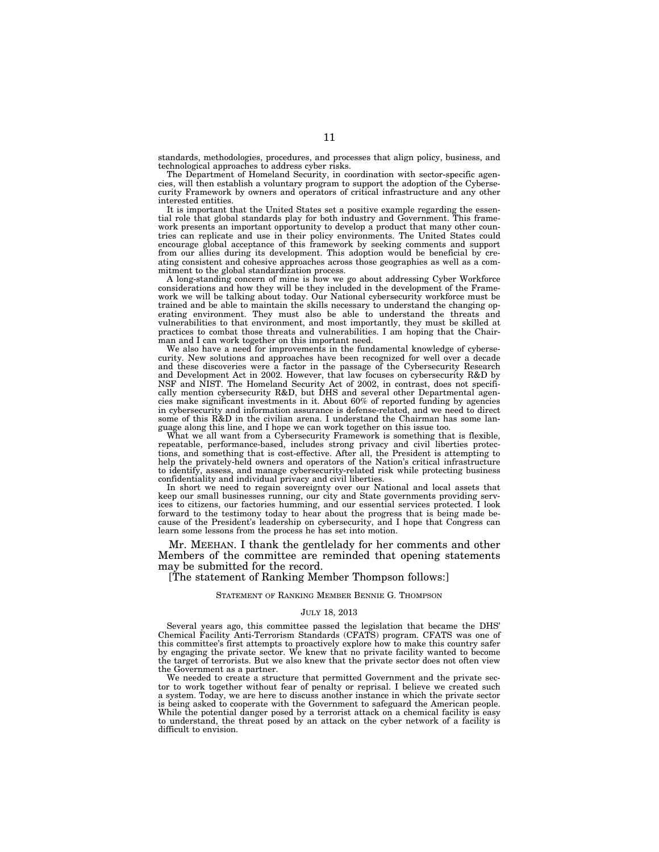standards, methodologies, procedures, and processes that align policy, business, and technological approaches to address cyber risks.

The Department of Homeland Security, in coordination with sector-specific agencies, will then establish a voluntary program to support the adoption of the Cybersecurity Framework by owners and operators of critical infrastructure and any other interested entities.

It is important that the United States set a positive example regarding the essential role that global standards play for both industry and Government. This framework presents an important opportunity to develop a product that many other countries can replicate and use in their policy environments. The United States could encourage global acceptance of this framework by seeking comments and support from our allies during its development. This adoption would be beneficial by creating consistent and cohesive approaches across those geographies as well as a commitment to the global standardization process.

A long-standing concern of mine is how we go about addressing Cyber Workforce considerations and how they will be they included in the development of the Framework we will be talking about today. Our National cybersecurity workforce must be trained and be able to maintain the skills necessary to understand the changing operating environment. They must also be able to understand the threats and vulnerabilities to that environment, and most importantly, they must be skilled at practices to combat those threats and vulnerabilities. I am hoping that the Chairman and I can work together on this important need.

We also have a need for improvements in the fundamental knowledge of cybersecurity. New solutions and approaches have been recognized for well over a decade and these discoveries were a factor in the passage of the Cybersecurity Research and Development Act in 2002. However, that law focuses on cybersecurity R&D by NSF and NIST. The Homeland Security Act of 2002, in contrast, does not specifically mention cybersecurity R&D, but DHS and several other Departmental agencies make significant investments in it. About 60% of reported funding by agencies in cybersecurity and information assurance is defense-related, and we need to direct some of this R&D in the civilian arena. I understand the Chairman has some language along this line, and I hope we can work together on this issue too.

What we all want from a Cybersecurity Framework is something that is flexible, repeatable, performance-based, includes strong privacy and civil liberties protections, and something that is cost-effective. After all, the President is attempting to help the privately-held owners and operators of the Nation's critical infrastructure to identify, assess, and manage cybersecurity-related risk while protecting business confidentiality and individual privacy and civil liberties.

In short we need to regain sovereignty over our National and local assets that keep our small businesses running, our city and State governments providing services to citizens, our factories humming, and our essential services protected. I look forward to the testimony today to hear about the progress that is being made because of the President's leadership on cybersecurity, and I hope that Congress can learn some lessons from the process he has set into motion.

Mr. MEEHAN. I thank the gentlelady for her comments and other Members of the committee are reminded that opening statements may be submitted for the record.

[The statement of Ranking Member Thompson follows:]

#### STATEMENT OF RANKING MEMBER BENNIE G. THOMPSON

#### JULY 18, 2013

Several years ago, this committee passed the legislation that became the DHS' Chemical Facility Anti-Terrorism Standards (CFATS) program. CFATS was one of this committee's first attempts to proactively explore how to make this country safer by engaging the private sector. We knew that no private facility wanted to become the target of terrorists. But we also knew that the private sector does not often view the Government as a partner.

We needed to create a structure that permitted Government and the private sector to work together without fear of penalty or reprisal. I believe we created such a system. Today, we are here to discuss another instance in which the private sector is being asked to cooperate with the Government to safeguard the American people. While the potential danger posed by a terrorist attack on a chemical facility is easy to understand, the threat posed by an attack on the cyber network of a facility is difficult to envision.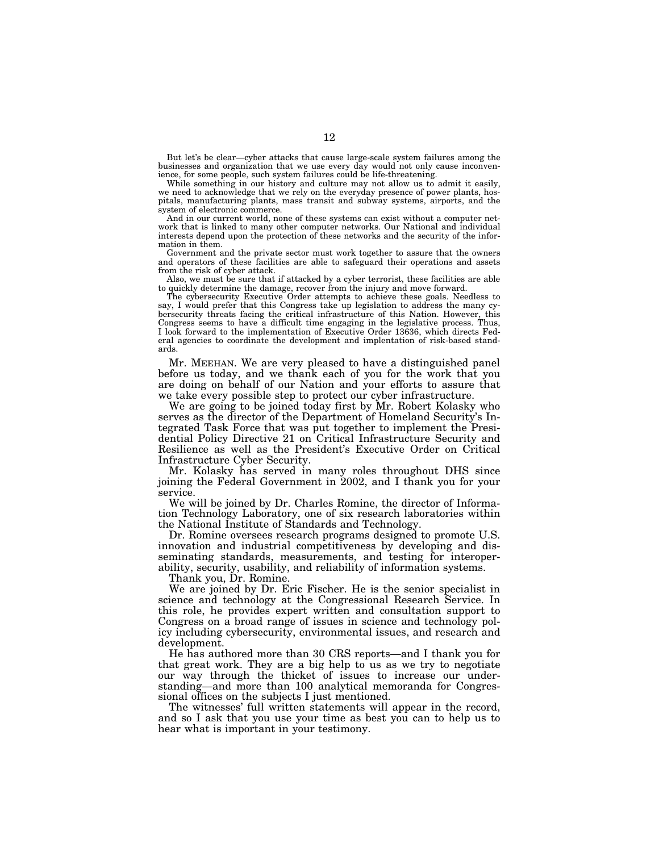But let's be clear—cyber attacks that cause large-scale system failures among the businesses and organization that we use every day would not only cause inconvenience, for some people, such system failures could be life-threatening.

While something in our history and culture may not allow us to admit it easily, we need to acknowledge that we rely on the everyday presence of power plants, hospitals, manufacturing plants, mass transit and subway systems, airports, and the system of electronic commerce.

And in our current world, none of these systems can exist without a computer network that is linked to many other computer networks. Our National and individual interests depend upon the protection of these networks and the security of the information in them.

Government and the private sector must work together to assure that the owners and operators of these facilities are able to safeguard their operations and assets from the risk of cyber attack.

Also, we must be sure that if attacked by a cyber terrorist, these facilities are able to quickly determine the damage, recover from the injury and move forward.

The cybersecurity Executive Order attempts to achieve these goals. Needless to say, I would prefer that this Congress take up legislation to address the many cybersecurity threats facing the critical infrastructure of this Nation. However, this Congress seems to have a difficult time engaging in the legislative process. Thus, I look forward to the implementation of Executive Order 13636, which directs Federal agencies to coordinate the development and implentation of risk-based standards.

Mr. MEEHAN. We are very pleased to have a distinguished panel before us today, and we thank each of you for the work that you are doing on behalf of our Nation and your efforts to assure that we take every possible step to protect our cyber infrastructure.

We are going to be joined today first by Mr. Robert Kolasky who serves as the director of the Department of Homeland Security's Integrated Task Force that was put together to implement the Presidential Policy Directive 21 on Critical Infrastructure Security and Resilience as well as the President's Executive Order on Critical Infrastructure Cyber Security.

Mr. Kolasky has served in many roles throughout DHS since joining the Federal Government in 2002, and I thank you for your service.

We will be joined by Dr. Charles Romine, the director of Information Technology Laboratory, one of six research laboratories within the National Institute of Standards and Technology.

Dr. Romine oversees research programs designed to promote U.S. innovation and industrial competitiveness by developing and disseminating standards, measurements, and testing for interoperability, security, usability, and reliability of information systems.

Thank you, Dr. Romine.

We are joined by Dr. Eric Fischer. He is the senior specialist in science and technology at the Congressional Research Service. In this role, he provides expert written and consultation support to Congress on a broad range of issues in science and technology policy including cybersecurity, environmental issues, and research and development.

He has authored more than 30 CRS reports—and I thank you for that great work. They are a big help to us as we try to negotiate our way through the thicket of issues to increase our understanding—and more than 100 analytical memoranda for Congressional offices on the subjects I just mentioned.

The witnesses' full written statements will appear in the record, and so I ask that you use your time as best you can to help us to hear what is important in your testimony.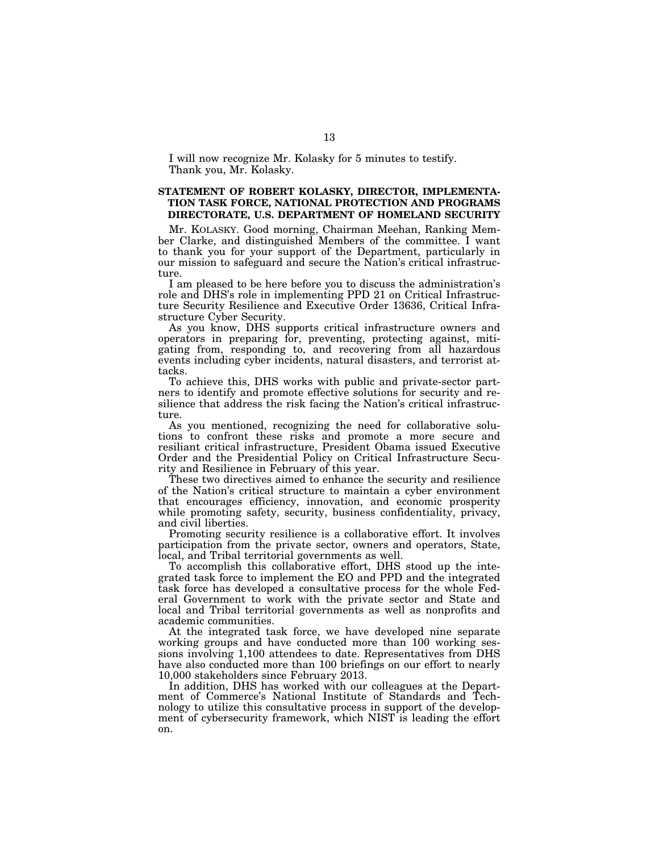I will now recognize Mr. Kolasky for 5 minutes to testify. Thank you, Mr. Kolasky.

### **STATEMENT OF ROBERT KOLASKY, DIRECTOR, IMPLEMENTA-TION TASK FORCE, NATIONAL PROTECTION AND PROGRAMS DIRECTORATE, U.S. DEPARTMENT OF HOMELAND SECURITY**

Mr. KOLASKY. Good morning, Chairman Meehan, Ranking Member Clarke, and distinguished Members of the committee. I want to thank you for your support of the Department, particularly in our mission to safeguard and secure the Nation's critical infrastructure.

I am pleased to be here before you to discuss the administration's role and DHS's role in implementing PPD 21 on Critical Infrastructure Security Resilience and Executive Order 13636, Critical Infrastructure Cyber Security.

As you know, DHS supports critical infrastructure owners and operators in preparing for, preventing, protecting against, mitigating from, responding to, and recovering from all hazardous events including cyber incidents, natural disasters, and terrorist attacks.

To achieve this, DHS works with public and private-sector partners to identify and promote effective solutions for security and resilience that address the risk facing the Nation's critical infrastructure.

As you mentioned, recognizing the need for collaborative solutions to confront these risks and promote a more secure and resiliant critical infrastructure, President Obama issued Executive Order and the Presidential Policy on Critical Infrastructure Security and Resilience in February of this year.

These two directives aimed to enhance the security and resilience of the Nation's critical structure to maintain a cyber environment that encourages efficiency, innovation, and economic prosperity while promoting safety, security, business confidentiality, privacy, and civil liberties.

Promoting security resilience is a collaborative effort. It involves participation from the private sector, owners and operators, State, local, and Tribal territorial governments as well.

To accomplish this collaborative effort, DHS stood up the integrated task force to implement the EO and PPD and the integrated task force has developed a consultative process for the whole Federal Government to work with the private sector and State and local and Tribal territorial governments as well as nonprofits and academic communities.

At the integrated task force, we have developed nine separate working groups and have conducted more than 100 working sessions involving 1,100 attendees to date. Representatives from DHS have also conducted more than 100 briefings on our effort to nearly 10,000 stakeholders since February 2013.

In addition, DHS has worked with our colleagues at the Department of Commerce's National Institute of Standards and Technology to utilize this consultative process in support of the development of cybersecurity framework, which NIST is leading the effort on.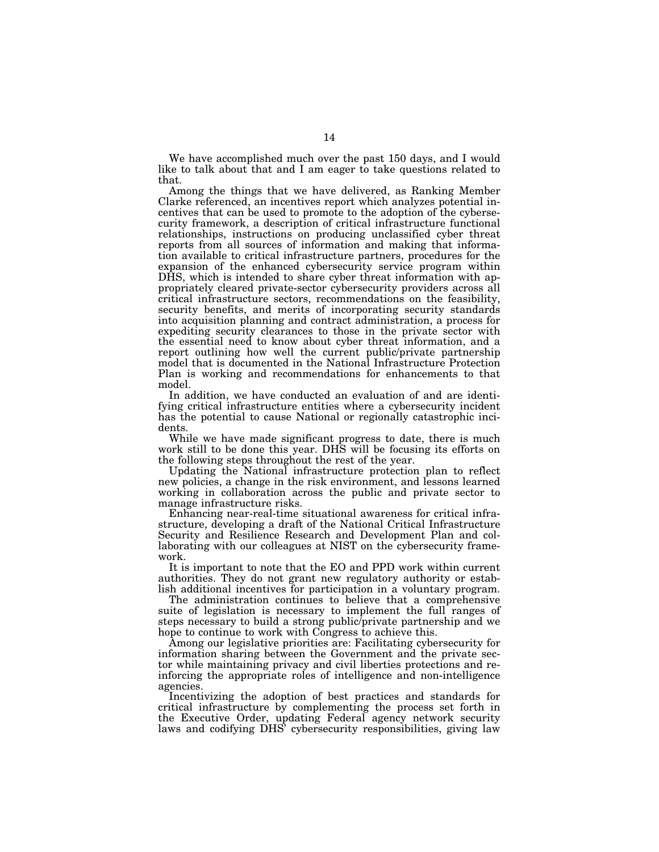We have accomplished much over the past 150 days, and I would like to talk about that and I am eager to take questions related to that.

Among the things that we have delivered, as Ranking Member Clarke referenced, an incentives report which analyzes potential incentives that can be used to promote to the adoption of the cybersecurity framework, a description of critical infrastructure functional relationships, instructions on producing unclassified cyber threat reports from all sources of information and making that information available to critical infrastructure partners, procedures for the expansion of the enhanced cybersecurity service program within DHS, which is intended to share cyber threat information with appropriately cleared private-sector cybersecurity providers across all critical infrastructure sectors, recommendations on the feasibility, security benefits, and merits of incorporating security standards into acquisition planning and contract administration, a process for expediting security clearances to those in the private sector with the essential need to know about cyber threat information, and a report outlining how well the current public/private partnership model that is documented in the National Infrastructure Protection Plan is working and recommendations for enhancements to that model.

In addition, we have conducted an evaluation of and are identifying critical infrastructure entities where a cybersecurity incident has the potential to cause National or regionally catastrophic incidents.

While we have made significant progress to date, there is much work still to be done this year. DHS will be focusing its efforts on the following steps throughout the rest of the year.

Updating the National infrastructure protection plan to reflect new policies, a change in the risk environment, and lessons learned working in collaboration across the public and private sector to manage infrastructure risks.

Enhancing near-real-time situational awareness for critical infrastructure, developing a draft of the National Critical Infrastructure Security and Resilience Research and Development Plan and collaborating with our colleagues at NIST on the cybersecurity framework.

It is important to note that the EO and PPD work within current authorities. They do not grant new regulatory authority or establish additional incentives for participation in a voluntary program.

The administration continues to believe that a comprehensive suite of legislation is necessary to implement the full ranges of steps necessary to build a strong public/private partnership and we hope to continue to work with Congress to achieve this.

Among our legislative priorities are: Facilitating cybersecurity for information sharing between the Government and the private sector while maintaining privacy and civil liberties protections and reinforcing the appropriate roles of intelligence and non-intelligence agencies.

Incentivizing the adoption of best practices and standards for critical infrastructure by complementing the process set forth in the Executive Order, updating Federal agency network security laws and codifying DHS' cybersecurity responsibilities, giving law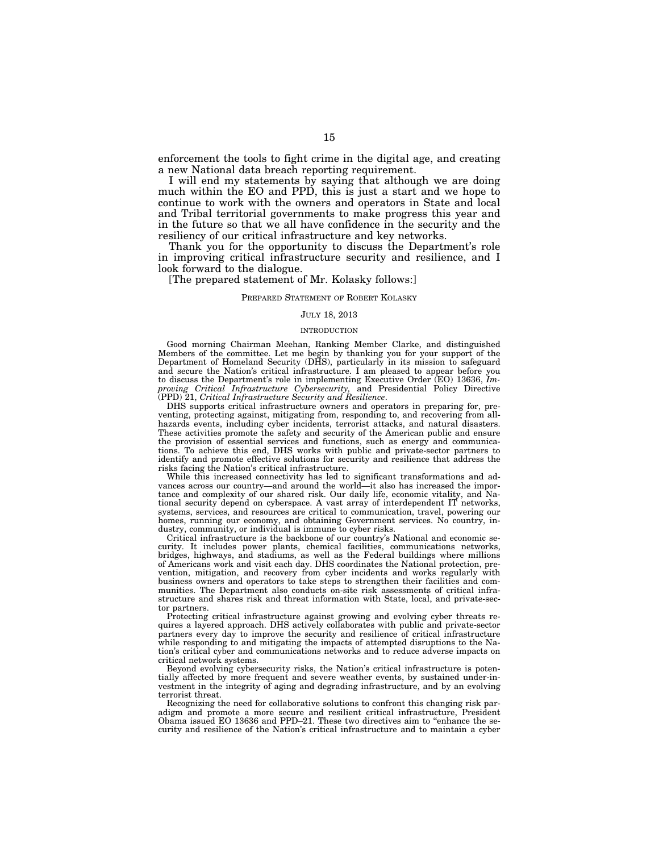enforcement the tools to fight crime in the digital age, and creating a new National data breach reporting requirement.

I will end my statements by saying that although we are doing much within the EO and PPD, this is just a start and we hope to continue to work with the owners and operators in State and local and Tribal territorial governments to make progress this year and in the future so that we all have confidence in the security and the resiliency of our critical infrastructure and key networks.

Thank you for the opportunity to discuss the Department's role in improving critical infrastructure security and resilience, and I look forward to the dialogue.

[The prepared statement of Mr. Kolasky follows:]

#### PREPARED STATEMENT OF ROBERT KOLASKY

#### JULY 18, 2013

#### INTRODUCTION

Good morning Chairman Meehan, Ranking Member Clarke, and distinguished Members of the committee. Let me begin by thanking you for your support of the Department of Homeland Security (DHS), particularly in its mission to safeguard and secure the Nation's critical infrastructure. I am pleased to appear before you to discuss the Department's role in implementing Executive Order (EO) 13636, *Improving Critical Infrastructure Cybersecurity,* and Presidential Policy Directive (PPD) 21, *Critical Infrastructure Security and Resilience*.

DHS supports critical infrastructure owners and operators in preparing for, preventing, protecting against, mitigating from, responding to, and recovering from allhazards events, including cyber incidents, terrorist attacks, and natural disasters. These activities promote the safety and security of the American public and ensure the provision of essential services and functions, such as energy and communications. To achieve this end, DHS works with public and private-sector partners to identify and promote effective solutions for security and resilience that address the risks facing the Nation's critical infrastructure.

While this increased connectivity has led to significant transformations and advances across our country—and around the world—it also has increased the importance and complexity of our shared risk. Our daily life, economic vitality, and National security depend on cyberspace. A vast array of interdependent IT networks, systems, services, and resources are critical to communication, travel, powering our homes, running our economy, and obtaining Government services. No country, industry, community, or individual is immune to cyber risks.

Critical infrastructure is the backbone of our country's National and economic security. It includes power plants, chemical facilities, communications networks, bridges, highways, and stadiums, as well as the Federal buildings where millions of Americans work and visit each day. DHS coordinates the National protection, prevention, mitigation, and recovery from cyber incidents and works regularly with business owners and operators to take steps to strengthen their facilities and communities. The Department also conducts on-site risk assessments of critical infrastructure and shares risk and threat information with State, local, and private-sector partners.

Protecting critical infrastructure against growing and evolving cyber threats requires a layered approach. DHS actively collaborates with public and private-sector partners every day to improve the security and resilience of critical infrastructure while responding to and mitigating the impacts of attempted disruptions to the Nation's critical cyber and communications networks and to reduce adverse impacts on critical network systems.

Beyond evolving cybersecurity risks, the Nation's critical infrastructure is potentially affected by more frequent and severe weather events, by sustained under-investment in the integrity of aging and degrading infrastructure, and by an evolving terrorist threat.

Recognizing the need for collaborative solutions to confront this changing risk paradigm and promote a more secure and resilient critical infrastructure, President Obama issued EO 13636 and PPD–21. These two directives aim to ''enhance the security and resilience of the Nation's critical infrastructure and to maintain a cyber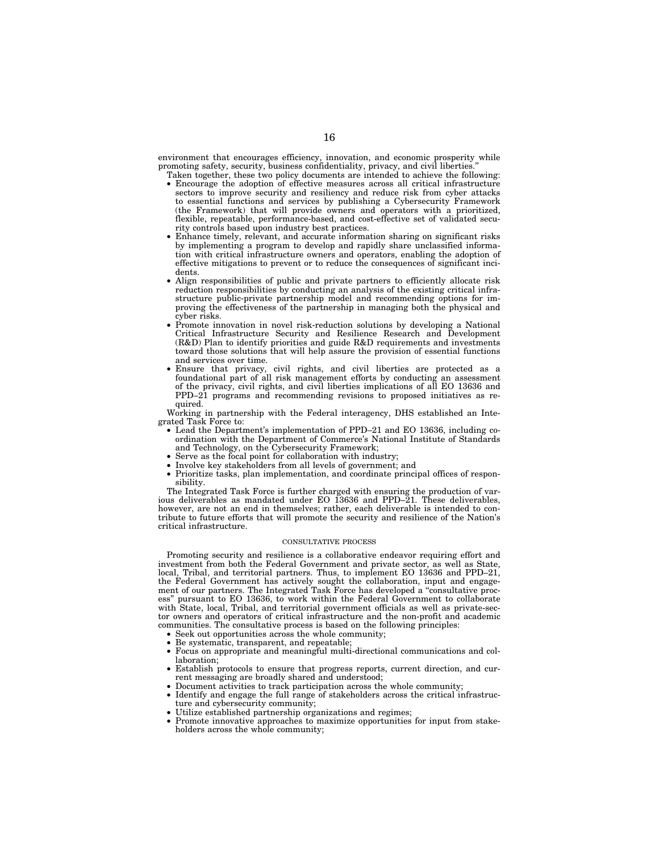environment that encourages efficiency, innovation, and economic prosperity while promoting safety, security, business confidentiality, privacy, and civil liberties.

- Taken together, these two policy documents are intended to achieve the following: • Encourage the adoption of effective measures across all critical infrastructure sectors to improve security and resiliency and reduce risk from cyber attacks to essential functions and services by publishing a Cybersecurity Framework (the Framework) that will provide owners and operators with a prioritized, flexible, repeatable, performance-based, and cost-effective set of validated security controls based upon industry best practices.
- Enhance timely, relevant, and accurate information sharing on significant risks by implementing a program to develop and rapidly share unclassified information with critical infrastructure owners and operators, enabling the adoption of effective mitigations to prevent or to reduce the consequences of significant incidents.
- Align responsibilities of public and private partners to efficiently allocate risk reduction responsibilities by conducting an analysis of the existing critical infrastructure public-private partnership model and recommending options for improving the effectiveness of the partnership in managing both the physical and cyber risks.
- Promote innovation in novel risk-reduction solutions by developing a National Critical Infrastructure Security and Resilience Research and Development (R&D) Plan to identify priorities and guide R&D requirements and investments toward those solutions that will help assure the provision of essential functions and services over time.
- Ensure that privacy, civil rights, and civil liberties are protected as a foundational part of all risk management efforts by conducting an assessment of the privacy, civil rights, and civil liberties implications of all EO 13636 and PPD–21 programs and recommending revisions to proposed initiatives as required.

Working in partnership with the Federal interagency, DHS established an Integrated Task Force to:

- Lead the Department's implementation of PPD–21 and EO 13636, including coordination with the Department of Commerce's National Institute of Standards and Technology, on the Cybersecurity Framework;
- Serve as the focal point for collaboration with industry;
- Involve key stakeholders from all levels of government; and
- Prioritize tasks, plan implementation, and coordinate principal offices of responsibility.

The Integrated Task Force is further charged with ensuring the production of various deliverables as mandated under EO 13636 and PPD–21. These deliverables, however, are not an end in themselves; rather, each deliverable is intended to contribute to future efforts that will promote the security and resilience of the Nation's critical infrastructure.

#### CONSULTATIVE PROCESS

Promoting security and resilience is a collaborative endeavor requiring effort and investment from both the Federal Government and private sector, as well as State, local, Tribal, and territorial partners. Thus, to implement EO 13636 and PPD–21, the Federal Government has actively sought the collaboration, input and engagement of our partners. The Integrated Task Force has developed a "consultative process'' pursuant to EO 13636, to work within the Federal Government to collaborate with State, local, Tribal, and territorial government officials as well as private-sector owners and operators of critical infrastructure and the non-profit and academic communities. The consultative process is based on the following principles:

- Seek out opportunities across the whole community;
- Be systematic, transparent, and repeatable;
- Focus on appropriate and meaningful multi-directional communications and collaboration;
- Establish protocols to ensure that progress reports, current direction, and current messaging are broadly shared and understood;
	- Document activities to track participation across the whole community;
- Identify and engage the full range of stakeholders across the critical infrastructure and cybersecurity community;
- Utilize established partnership organizations and regimes;
- Promote innovative approaches to maximize opportunities for input from stakeholders across the whole community;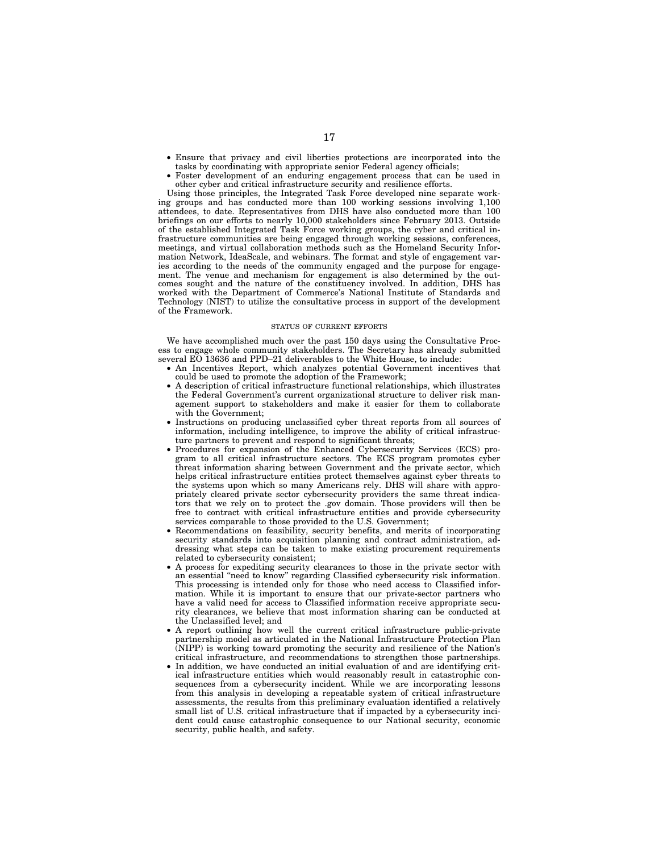- Ensure that privacy and civil liberties protections are incorporated into the tasks by coordinating with appropriate senior Federal agency officials;
- Foster development of an enduring engagement process that can be used in other cyber and critical infrastructure security and resilience efforts.

Using those principles, the Integrated Task Force developed nine separate working groups and has conducted more than 100 working sessions involving 1,100 attendees, to date. Representatives from DHS have also conducted more than 100 briefings on our efforts to nearly 10,000 stakeholders since February 2013. Outside of the established Integrated Task Force working groups, the cyber and critical infrastructure communities are being engaged through working sessions, conferences, meetings, and virtual collaboration methods such as the Homeland Security Information Network, IdeaScale, and webinars. The format and style of engagement varies according to the needs of the community engaged and the purpose for engagement. The venue and mechanism for engagement is also determined by the outcomes sought and the nature of the constituency involved. In addition, DHS has worked with the Department of Commerce's National Institute of Standards and Technology (NIST) to utilize the consultative process in support of the development of the Framework.

#### STATUS OF CURRENT EFFORTS

We have accomplished much over the past 150 days using the Consultative Process to engage whole community stakeholders. The Secretary has already submitted several EO 13636 and PPD–21 deliverables to the White House, to include:

- An Incentives Report, which analyzes potential Government incentives that could be used to promote the adoption of the Framework;
- A description of critical infrastructure functional relationships, which illustrates the Federal Government's current organizational structure to deliver risk management support to stakeholders and make it easier for them to collaborate with the Government;
- Instructions on producing unclassified cyber threat reports from all sources of information, including intelligence, to improve the ability of critical infrastructure partners to prevent and respond to significant threats;
- Procedures for expansion of the Enhanced Cybersecurity Services (ECS) program to all critical infrastructure sectors. The ECS program promotes cyber threat information sharing between Government and the private sector, which helps critical infrastructure entities protect themselves against cyber threats to the systems upon which so many Americans rely. DHS will share with appropriately cleared private sector cybersecurity providers the same threat indicators that we rely on to protect the .gov domain. Those providers will then be free to contract with critical infrastructure entities and provide cybersecurity services comparable to those provided to the U.S. Government;
- Recommendations on feasibility, security benefits, and merits of incorporating security standards into acquisition planning and contract administration, addressing what steps can be taken to make existing procurement requirements related to cybersecurity consistent;
- A process for expediting security clearances to those in the private sector with an essential ''need to know'' regarding Classified cybersecurity risk information. This processing is intended only for those who need access to Classified information. While it is important to ensure that our private-sector partners who have a valid need for access to Classified information receive appropriate security clearances, we believe that most information sharing can be conducted at the Unclassified level; and
- A report outlining how well the current critical infrastructure public-private partnership model as articulated in the National Infrastructure Protection Plan (NIPP) is working toward promoting the security and resilience of the Nation's critical infrastructure, and recommendations to strengthen those partnerships.
- In addition, we have conducted an initial evaluation of and are identifying critical infrastructure entities which would reasonably result in catastrophic consequences from a cybersecurity incident. While we are incorporating lessons from this analysis in developing a repeatable system of critical infrastructure assessments, the results from this preliminary evaluation identified a relatively small list of U.S. critical infrastructure that if impacted by a cybersecurity incident could cause catastrophic consequence to our National security, economic security, public health, and safety.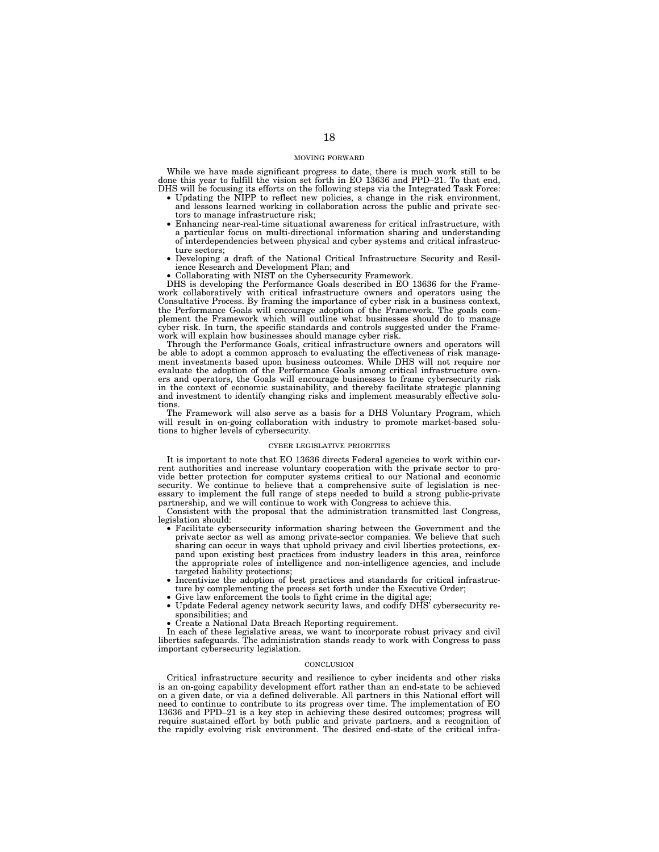#### MOVING FORWARD

While we have made significant progress to date, there is much work still to be done this year to fulfill the vision set forth in EO 13636 and PPD–21. To that end, DHS will be focusing its efforts on the following steps via the Integrated Task Force:

- Updating the NIPP to reflect new policies, a change in the risk environment, and lessons learned working in collaboration across the public and private sectors to manage infrastructure risk;
- Enhancing near-real-time situational awareness for critical infrastructure, with a particular focus on multi-directional information sharing and understanding of interdependencies between physical and cyber systems and critical infrastructure sectors;
- Developing a draft of the National Critical Infrastructure Security and Resilience Research and Development Plan; and
- Collaborating with NIST on the Cybersecurity Framework.

DHS is developing the Performance Goals described in EO 13636 for the Framework collaboratively with critical infrastructure owners and operators using the Consultative Process. By framing the importance of cyber risk in a business context, the Performance Goals will encourage adoption of the Framework. The goals complement the Framework which will outline what businesses should do to manage cyber risk. In turn, the specific standards and controls suggested under the Framework will explain how businesses should manage cyber risk.

Through the Performance Goals, critical infrastructure owners and operators will be able to adopt a common approach to evaluating the effectiveness of risk management investments based upon business outcomes. While DHS will not require nor evaluate the adoption of the Performance Goals among critical infrastructure owners and operators, the Goals will encourage businesses to frame cybersecurity risk in the context of economic sustainability, and thereby facilitate strategic planning and investment to identify changing risks and implement measurably effective solutions.

The Framework will also serve as a basis for a DHS Voluntary Program, which will result in on-going collaboration with industry to promote market-based solutions to higher levels of cybersecurity.

#### CYBER LEGISLATIVE PRIORITIES

It is important to note that EO 13636 directs Federal agencies to work within current authorities and increase voluntary cooperation with the private sector to provide better protection for computer systems critical to our National and economic security. We continue to believe that a comprehensive suite of legislation is necessary to implement the full range of steps needed to build a strong public-private partnership, and we will continue to work with Congress to achieve this.

Consistent with the proposal that the administration transmitted last Congress, legislation should:

- Facilitate cybersecurity information sharing between the Government and the private sector as well as among private-sector companies. We believe that such sharing can occur in ways that uphold privacy and civil liberties protections, expand upon existing best practices from industry leaders in this area, reinforce the appropriate roles of intelligence and non-intelligence agencies, and include targeted liability protections;
- Incentivize the adoption of best practices and standards for critical infrastruc-ture by complementing the process set forth under the Executive Order;
- Give law enforcement the tools to fight crime in the digital age
- Update Federal agency network security laws, and codify DHS' cybersecurity responsibilities; and
- Create a National Data Breach Reporting requirement.

In each of these legislative areas, we want to incorporate robust privacy and civil liberties safeguards. The administration stands ready to work with Congress to pass important cybersecurity legislation.

#### **CONCLUSION**

Critical infrastructure security and resilience to cyber incidents and other risks is an on-going capability development effort rather than an end-state to be achieved on a given date, or via a defined deliverable. All partners in this National effort will need to continue to contribute to its progress over time. The implementation of EO 13636 and PPD–21 is a key step in achieving these desired outcomes; progress will require sustained effort by both public and private partners, and a recognition of the rapidly evolving risk environment. The desired end-state of the critical infra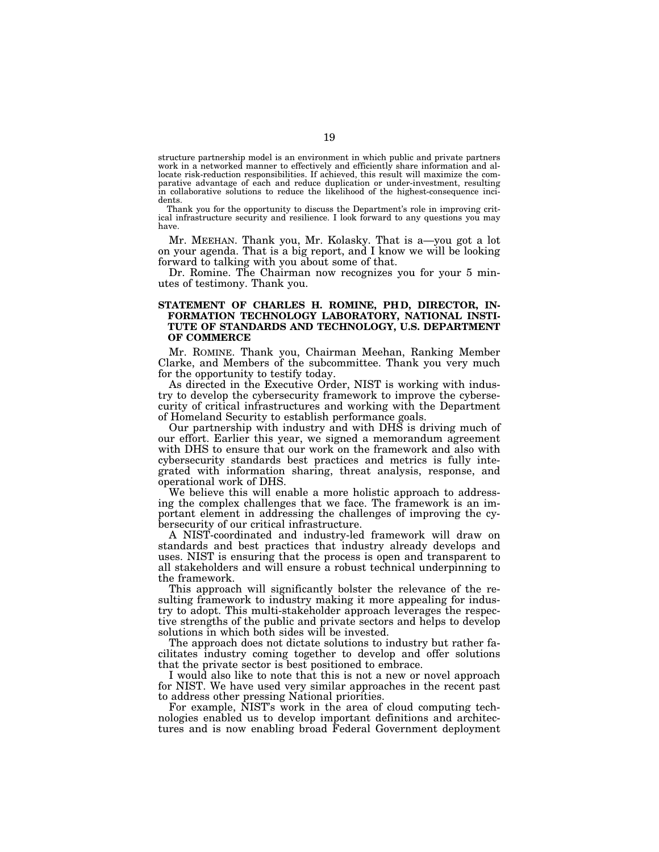structure partnership model is an environment in which public and private partners work in a networked manner to effectively and efficiently share information and allocate risk-reduction responsibilities. If achieved, this result will maximize the comparative advantage of each and reduce duplication or under-investment, resulting in collaborative solutions to reduce the likelihood of the highest-consequence incidents.

Thank you for the opportunity to discuss the Department's role in improving critical infrastructure security and resilience. I look forward to any questions you may have.

Mr. MEEHAN. Thank you, Mr. Kolasky. That is a—you got a lot on your agenda. That is a big report, and I know we will be looking forward to talking with you about some of that.

Dr. Romine. The Chairman now recognizes you for your 5 minutes of testimony. Thank you.

### **STATEMENT OF CHARLES H. ROMINE, PH D, DIRECTOR, IN-FORMATION TECHNOLOGY LABORATORY, NATIONAL INSTI-TUTE OF STANDARDS AND TECHNOLOGY, U.S. DEPARTMENT OF COMMERCE**

Mr. ROMINE. Thank you, Chairman Meehan, Ranking Member Clarke, and Members of the subcommittee. Thank you very much for the opportunity to testify today.

As directed in the Executive Order, NIST is working with industry to develop the cybersecurity framework to improve the cybersecurity of critical infrastructures and working with the Department of Homeland Security to establish performance goals.

Our partnership with industry and with DHS is driving much of our effort. Earlier this year, we signed a memorandum agreement with DHS to ensure that our work on the framework and also with cybersecurity standards best practices and metrics is fully integrated with information sharing, threat analysis, response, and operational work of DHS.

We believe this will enable a more holistic approach to addressing the complex challenges that we face. The framework is an important element in addressing the challenges of improving the cybersecurity of our critical infrastructure.

A NIST-coordinated and industry-led framework will draw on standards and best practices that industry already develops and uses. NIST is ensuring that the process is open and transparent to all stakeholders and will ensure a robust technical underpinning to the framework.

This approach will significantly bolster the relevance of the resulting framework to industry making it more appealing for industry to adopt. This multi-stakeholder approach leverages the respective strengths of the public and private sectors and helps to develop solutions in which both sides will be invested.

The approach does not dictate solutions to industry but rather facilitates industry coming together to develop and offer solutions that the private sector is best positioned to embrace.

I would also like to note that this is not a new or novel approach for NIST. We have used very similar approaches in the recent past to address other pressing National priorities.

For example, NIST's work in the area of cloud computing technologies enabled us to develop important definitions and architectures and is now enabling broad Federal Government deployment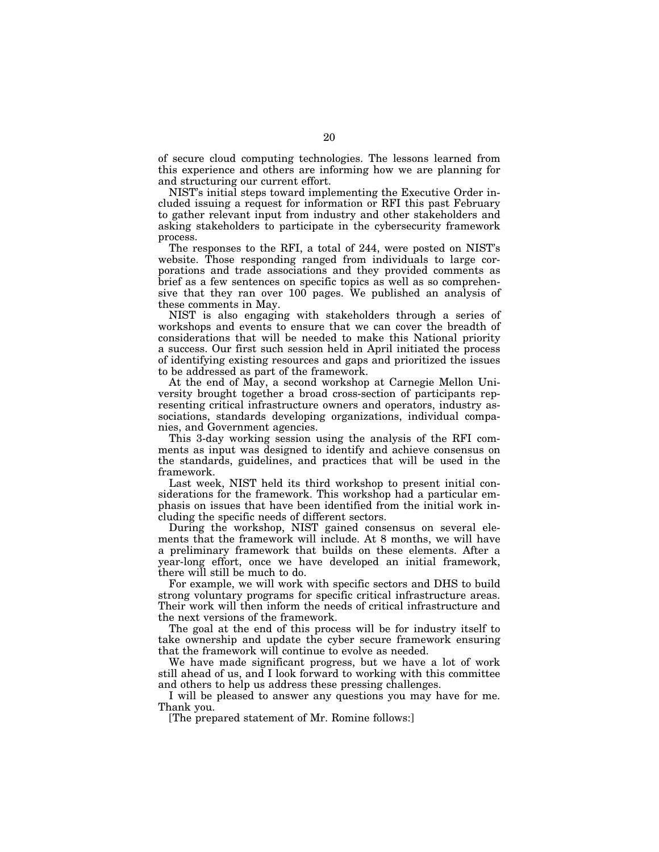of secure cloud computing technologies. The lessons learned from this experience and others are informing how we are planning for and structuring our current effort.

NIST's initial steps toward implementing the Executive Order included issuing a request for information or RFI this past February to gather relevant input from industry and other stakeholders and asking stakeholders to participate in the cybersecurity framework process.

The responses to the RFI, a total of 244, were posted on NIST's website. Those responding ranged from individuals to large corporations and trade associations and they provided comments as brief as a few sentences on specific topics as well as so comprehensive that they ran over 100 pages. We published an analysis of these comments in May.

NIST is also engaging with stakeholders through a series of workshops and events to ensure that we can cover the breadth of considerations that will be needed to make this National priority a success. Our first such session held in April initiated the process of identifying existing resources and gaps and prioritized the issues to be addressed as part of the framework.

At the end of May, a second workshop at Carnegie Mellon University brought together a broad cross-section of participants representing critical infrastructure owners and operators, industry associations, standards developing organizations, individual companies, and Government agencies.

This 3-day working session using the analysis of the RFI comments as input was designed to identify and achieve consensus on the standards, guidelines, and practices that will be used in the framework.

Last week, NIST held its third workshop to present initial considerations for the framework. This workshop had a particular emphasis on issues that have been identified from the initial work including the specific needs of different sectors.

During the workshop, NIST gained consensus on several elements that the framework will include. At 8 months, we will have a preliminary framework that builds on these elements. After a year-long effort, once we have developed an initial framework, there will still be much to do.

For example, we will work with specific sectors and DHS to build strong voluntary programs for specific critical infrastructure areas. Their work will then inform the needs of critical infrastructure and the next versions of the framework.

The goal at the end of this process will be for industry itself to take ownership and update the cyber secure framework ensuring that the framework will continue to evolve as needed.

We have made significant progress, but we have a lot of work still ahead of us, and I look forward to working with this committee and others to help us address these pressing challenges.

I will be pleased to answer any questions you may have for me. Thank you.

[The prepared statement of Mr. Romine follows:]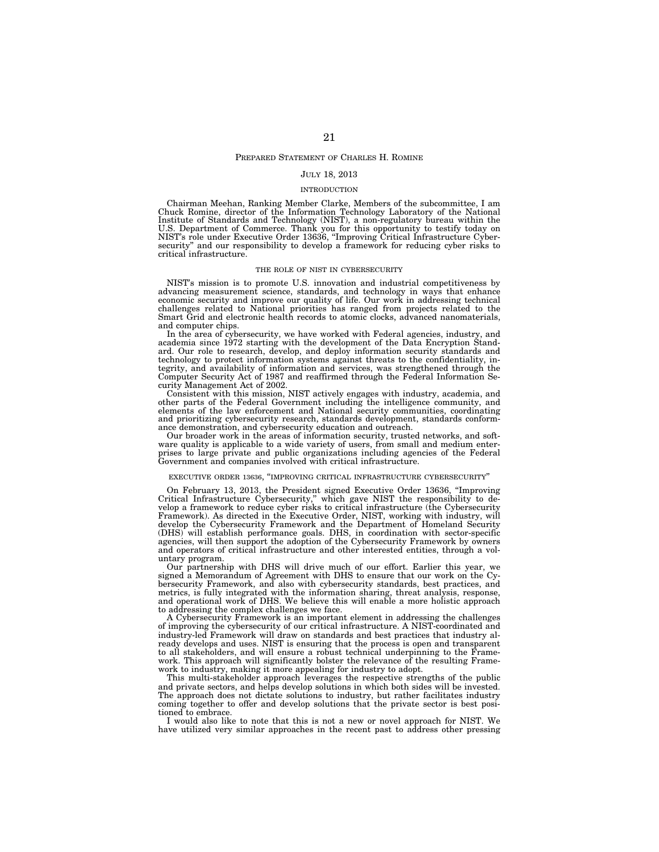#### PREPARED STATEMENT OF CHARLES H. ROMINE

#### JULY 18, 2013

#### INTRODUCTION

Chairman Meehan, Ranking Member Clarke, Members of the subcommittee, I am Chuck Romine, director of the Information Technology Laboratory of the National Institute of Standards and Technology (NIST), a non-regulatory bureau within the<br>U.S. Department of Commerce. Thank you for this opportunity to testify today on<br>NIST's role under Executive Order 13636, "Improving Critical security'' and our responsibility to develop a framework for reducing cyber risks to critical infrastructure.

#### THE ROLE OF NIST IN CYBERSECURITY

NIST's mission is to promote U.S. innovation and industrial competitiveness by advancing measurement science, standards, and technology in ways that enhance economic security and improve our quality of life. Our work in addressing technical challenges related to National priorities has ranged from projects related to the Smart Grid and electronic health records to atomic clocks, advanced nanomaterials, and computer chips.

In the area of cybersecurity, we have worked with Federal agencies, industry, and academia since 1972 starting with the development of the Data Encryption Standard. Our role to research, develop, and deploy information security standards and technology to protect information systems against threats to the confidentiality, integrity, and availability of information and services, was strengthened through the Computer Security Act of 1987 and reaffirmed through the Federal Information Security Management Act of 2002.

Consistent with this mission, NIST actively engages with industry, academia, and other parts of the Federal Government including the intelligence community, and elements of the law enforcement and National security communities, coordinating and prioritizing cybersecurity research, standards development, standards conformance demonstration, and cybersecurity education and outreach.

Our broader work in the areas of information security, trusted networks, and software quality is applicable to a wide variety of users, from small and medium enterprises to large private and public organizations including agencies of the Federal Government and companies involved with critical infrastructure.

#### EXECUTIVE ORDER 13636, ''IMPROVING CRITICAL INFRASTRUCTURE CYBERSECURITY''

On February 13, 2013, the President signed Executive Order 13636, "Improving Critical Infrastructure Cybersecurity," which gave NIST the responsibility to de-<br>Critical Infrastructure Cybersecurity," which gave NIST the res develop the Cybersecurity Framework and the Department of Homeland Security (DHS) will establish performance goals. DHS, in coordination with sector-specific agencies, will then support the adoption of the Cybersecurity Framework by owners and operators of critical infrastructure and other interested entities, through a voluntary program.

Our partnership with DHS will drive much of our effort. Earlier this year, we signed a Memorandum of Agreement with DHS to ensure that our work on the Cybersecurity Framework, and also with cybersecurity standards, best practices, and metrics, is fully integrated with the information sharing, threat analysis, response, and operational work of DHS. We believe this will enable a more holistic approach to addressing the complex challenges we face.

A Cybersecurity Framework is an important element in addressing the challenges of improving the cybersecurity of our critical infrastructure. A NIST-coordinated and industry-led Framework will draw on standards and best practices that industry already develops and uses. NIST is ensuring that the process is open and transparent to all stakeholders, and will ensure a robust technical underpinning to the Framework. This approach will significantly bolster the relevance of the resulting Framework to industry, making it more appealing for industry to adopt.

This multi-stakeholder approach leverages the respective strengths of the public and private sectors, and helps develop solutions in which both sides will be invested. The approach does not dictate solutions to industry, but rather facilitates industry coming together to offer and develop solutions that the private sector is best positioned to embrace.

I would also like to note that this is not a new or novel approach for NIST. We have utilized very similar approaches in the recent past to address other pressing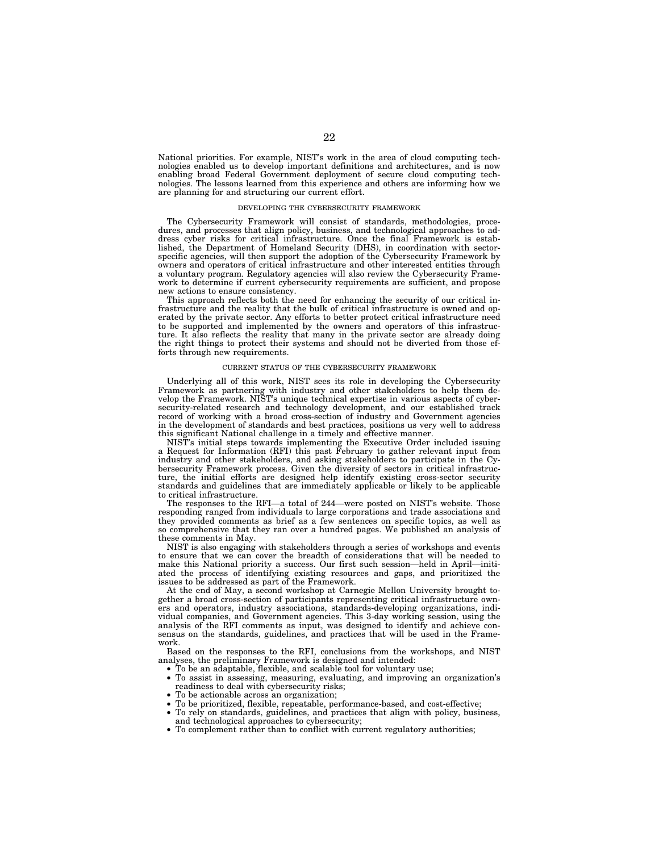National priorities. For example, NIST's work in the area of cloud computing technologies enabled us to develop important definitions and architectures, and is now enabling broad Federal Government deployment of secure cloud computing technologies. The lessons learned from this experience and others are informing how we are planning for and structuring our current effort.

#### DEVELOPING THE CYBERSECURITY FRAMEWORK

The Cybersecurity Framework will consist of standards, methodologies, procedures, and processes that align policy, business, and technological approaches to address cyber risks for critical infrastructure. Once the final Framework is established, the Department of Homeland Security (DHS), in coordination with sectorspecific agencies, will then support the adoption of the Cybersecurity Framework by owners and operators of critical infrastructure and other interested entities through a voluntary program. Regulatory agencies will also review the Cybersecurity Framework to determine if current cybersecurity requirements are sufficient, and propose new actions to ensure consistency.

This approach reflects both the need for enhancing the security of our critical infrastructure and the reality that the bulk of critical infrastructure is owned and operated by the private sector. Any efforts to better protect critical infrastructure need to be supported and implemented by the owners and operators of this infrastructure. It also reflects the reality that many in the private sector are already doing the right things to protect their systems and should not be diverted from those efforts through new requirements.

#### CURRENT STATUS OF THE CYBERSECURITY FRAMEWORK

Underlying all of this work, NIST sees its role in developing the Cybersecurity Framework as partnering with industry and other stakeholders to help them develop the Framework. NIST's unique technical expertise in various aspects of cybersecurity-related research and technology development, and our established track record of working with a broad cross-section of industry and Government agencies in the development of standards and best practices, positions us very well to address this significant National challenge in a timely and effective manner.

NIST's initial steps towards implementing the Executive Order included issuing a Request for Information (RFI) this past February to gather relevant input from industry and other stakeholders, and asking stakeholders to participate in the Cybersecurity Framework process. Given the diversity of sectors in critical infrastructure, the initial efforts are designed help identify existing cross-sector security standards and guidelines that are immediately applicable or likely to be applicable to critical infrastructure.

The responses to the RFI—a total of 244—were posted on NIST's website. Those responding ranged from individuals to large corporations and trade associations and they provided comments as brief as a few sentences on specific topics, as well as so comprehensive that they ran over a hundred pages. We published an analysis of these comments in May.

NIST is also engaging with stakeholders through a series of workshops and events to ensure that we can cover the breadth of considerations that will be needed to make this National priority a success. Our first such session—held in April—initiated the process of identifying existing resources and gaps, and prioritized the issues to be addressed as part of the Framework.

At the end of May, a second workshop at Carnegie Mellon University brought together a broad cross-section of participants representing critical infrastructure owners and operators, industry associations, standards-developing organizations, individual companies, and Government agencies. This 3-day working session, using the analysis of the RFI comments as input, was designed to identify and achieve consensus on the standards, guidelines, and practices that will be used in the Framework.

Based on the responses to the RFI, conclusions from the workshops, and NIST analyses, the preliminary Framework is designed and intended:

- To be an adaptable, flexible, and scalable tool for voluntary use;
- To assist in assessing, measuring, evaluating, and improving an organization's readiness to deal with cybersecurity risks;
- To be actionable across an organization;
- To be prioritized, flexible, repeatable, performance-based, and cost-effective;
- To rely on standards, guidelines, and practices that align with policy, business, and technological approaches to cybersecurity;
- To complement rather than to conflict with current regulatory authorities;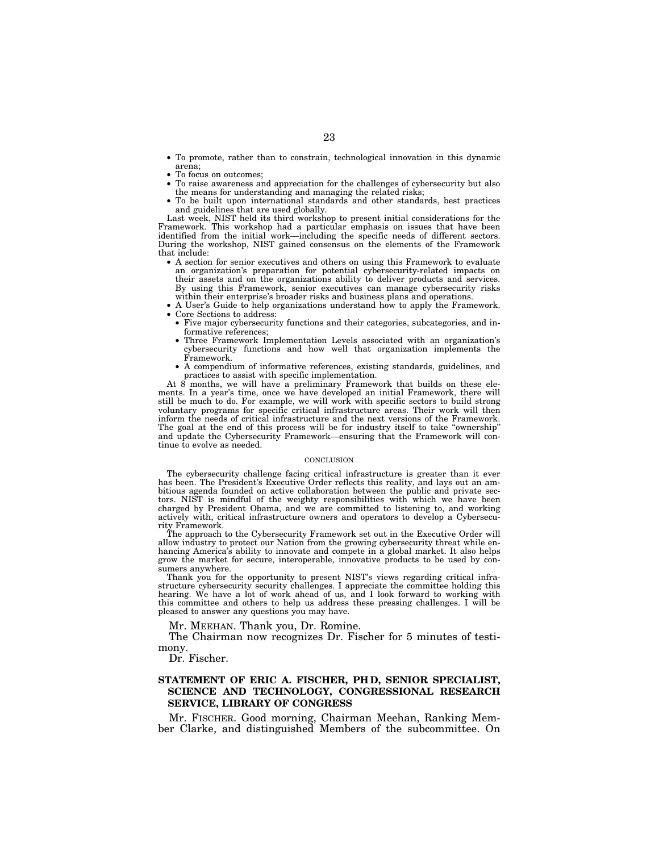- To promote, rather than to constrain, technological innovation in this dynamic arena;
- To focus on outcomes;
- To raise awareness and appreciation for the challenges of cybersecurity but also the means for understanding and managing the related risks;
- To be built upon international standards and other standards, best practices and guidelines that are used globally.

Last week, NIST held its third workshop to present initial considerations for the Framework. This workshop had a particular emphasis on issues that have been identified from the initial work—including the specific needs of different sectors. During the workshop, NIST gained consensus on the elements of the Framework that include:

- A section for senior executives and others on using this Framework to evaluate an organization's preparation for potential cybersecurity-related impacts on their assets and on the organizations ability to deliver products and services. By using this Framework, senior executives can manage cybersecurity risks within their enterprise's broader risks and business plans and operations.
- A User's Guide to help organizations understand how to apply the Framework.
- Core Sections to address:
- Five major cybersecurity functions and their categories, subcategories, and informative references;
- Three Framework Implementation Levels associated with an organization's cybersecurity functions and how well that organization implements the Framework.
- A compendium of informative references, existing standards, guidelines, and practices to assist with specific implementation.

At 8 months, we will have a preliminary Framework that builds on these elements. In a year's time, once we have developed an initial Framework, there will still be much to do. For example, we will work with specific sectors to build strong voluntary programs for specific critical infrastructure areas. Their work will then inform the needs of critical infrastructure and the next versions of the Framework. The goal at the end of this process will be for industry itself to take "ownership" and update the Cybersecurity Framework—ensuring that the Framework will continue to evolve as needed.

#### **CONCLUSION**

The cybersecurity challenge facing critical infrastructure is greater than it ever has been. The President's Executive Order reflects this reality, and lays out an ambitious agenda founded on active collaboration between the public and private sectors. NIST is mindful of the weighty responsibilities with which we have been charged by President Obama, and we are committed to listening to, and working actively with, critical infrastructure owners and operators to develop a Cybersecurity Framework.

The approach to the Cybersecurity Framework set out in the Executive Order will allow industry to protect our Nation from the growing cybersecurity threat while enhancing America's ability to innovate and compete in a global market. It also helps grow the market for secure, interoperable, innovative products to be used by consumers anywhere.

Thank you for the opportunity to present NIST's views regarding critical infrastructure cybersecurity security challenges. I appreciate the committee holding this hearing. We have a lot of work ahead of us, and I look forward to working with this committee and others to help us address these pressing challenges. I will be pleased to answer any questions you may have.

Mr. MEEHAN. Thank you, Dr. Romine.

The Chairman now recognizes Dr. Fischer for 5 minutes of testimony.

Dr. Fischer.

### **STATEMENT OF ERIC A. FISCHER, PH D, SENIOR SPECIALIST, SCIENCE AND TECHNOLOGY, CONGRESSIONAL RESEARCH SERVICE, LIBRARY OF CONGRESS**

Mr. FISCHER. Good morning, Chairman Meehan, Ranking Member Clarke, and distinguished Members of the subcommittee. On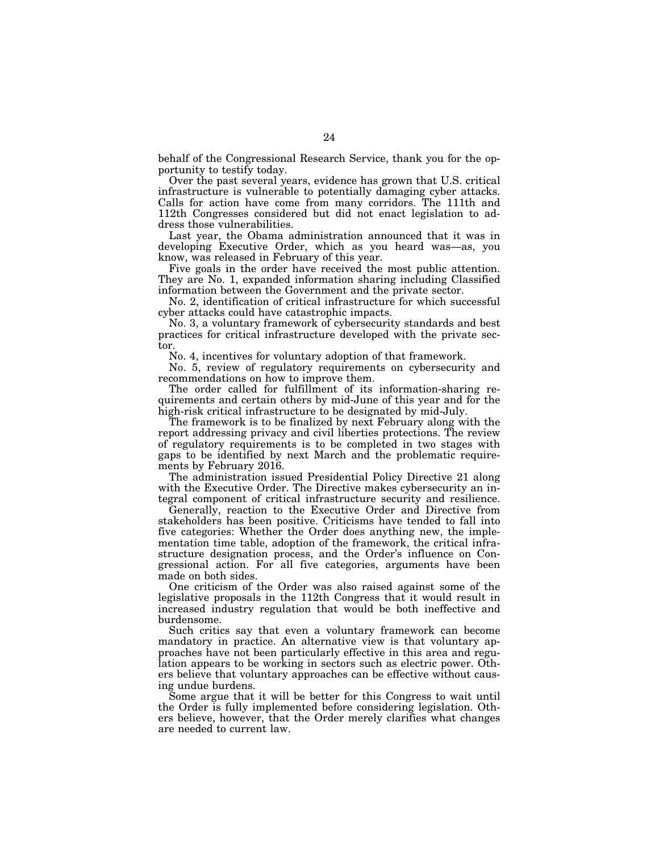behalf of the Congressional Research Service, thank you for the opportunity to testify today.

Over the past several years, evidence has grown that U.S. critical infrastructure is vulnerable to potentially damaging cyber attacks. Calls for action have come from many corridors. The 111th and 112th Congresses considered but did not enact legislation to address those vulnerabilities.

Last year, the Obama administration announced that it was in developing Executive Order, which as you heard was—as, you know, was released in February of this year.

Five goals in the order have received the most public attention. They are No. 1, expanded information sharing including Classified information between the Government and the private sector.

No. 2, identification of critical infrastructure for which successful cyber attacks could have catastrophic impacts.

No. 3, a voluntary framework of cybersecurity standards and best practices for critical infrastructure developed with the private sector.

No. 4, incentives for voluntary adoption of that framework.

No. 5, review of regulatory requirements on cybersecurity and recommendations on how to improve them.

The order called for fulfillment of its information-sharing requirements and certain others by mid-June of this year and for the high-risk critical infrastructure to be designated by mid-July.

The framework is to be finalized by next February along with the report addressing privacy and civil liberties protections. The review of regulatory requirements is to be completed in two stages with gaps to be identified by next March and the problematic requirements by February 2016.

The administration issued Presidential Policy Directive 21 along with the Executive Order. The Directive makes cybersecurity an integral component of critical infrastructure security and resilience.

Generally, reaction to the Executive Order and Directive from stakeholders has been positive. Criticisms have tended to fall into five categories: Whether the Order does anything new, the implementation time table, adoption of the framework, the critical infrastructure designation process, and the Order's influence on Congressional action. For all five categories, arguments have been made on both sides.

One criticism of the Order was also raised against some of the legislative proposals in the 112th Congress that it would result in increased industry regulation that would be both ineffective and burdensome.

Such critics say that even a voluntary framework can become mandatory in practice. An alternative view is that voluntary approaches have not been particularly effective in this area and regulation appears to be working in sectors such as electric power. Others believe that voluntary approaches can be effective without causing undue burdens.

Some argue that it will be better for this Congress to wait until the Order is fully implemented before considering legislation. Others believe, however, that the Order merely clarifies what changes are needed to current law.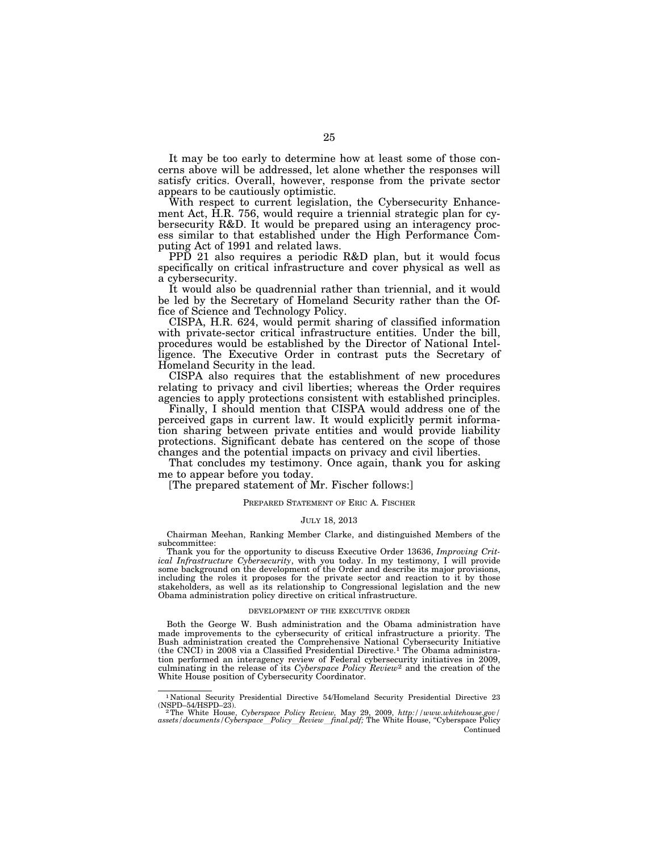It may be too early to determine how at least some of those concerns above will be addressed, let alone whether the responses will satisfy critics. Overall, however, response from the private sector appears to be cautiously optimistic.

With respect to current legislation, the Cybersecurity Enhancement Act, H.R. 756, would require a triennial strategic plan for cybersecurity R&D. It would be prepared using an interagency process similar to that established under the High Performance Computing Act of 1991 and related laws.

PPD 21 also requires a periodic R&D plan, but it would focus specifically on critical infrastructure and cover physical as well as a cybersecurity.

It would also be quadrennial rather than triennial, and it would be led by the Secretary of Homeland Security rather than the Office of Science and Technology Policy.

CISPA, H.R. 624, would permit sharing of classified information with private-sector critical infrastructure entities. Under the bill, procedures would be established by the Director of National Intelligence. The Executive Order in contrast puts the Secretary of Homeland Security in the lead.

CISPA also requires that the establishment of new procedures relating to privacy and civil liberties; whereas the Order requires agencies to apply protections consistent with established principles.

Finally, I should mention that CISPA would address one of the perceived gaps in current law. It would explicitly permit information sharing between private entities and would provide liability protections. Significant debate has centered on the scope of those changes and the potential impacts on privacy and civil liberties.

That concludes my testimony. Once again, thank you for asking me to appear before you today.

[The prepared statement of Mr. Fischer follows:]

#### PREPARED STATEMENT OF ERIC A. FISCHER

#### JULY 18, 2013

Chairman Meehan, Ranking Member Clarke, and distinguished Members of the subcommittee:

Thank you for the opportunity to discuss Executive Order 13636, *Improving Critical Infrastructure Cybersecurity*, with you today. In my testimony, I will provide some background on the development of the Order and describe its major provisions, including the roles it proposes for the private sector and reaction to it by those stakeholders, as well as its relationship to Congressional legislation and the new Obama administration policy directive on critical infrastructure.

#### DEVELOPMENT OF THE EXECUTIVE ORDER

Both the George W. Bush administration and the Obama administration have made improvements to the cybersecurity of critical infrastructure a priority. The Bush administration created the Comprehensive National Cybersecurity Initiative (the CNCI) in 2008 via a Classified Presidential Directive.1 The Obama administration performed an interagency review of Federal cybersecurity initiatives in 2009, culminating in the release of its *Cyberspace Policy Review*2 and the creation of the White House position of Cybersecurity Coordinator.

 $^{\rm 1}$  National Security Presidential Directive 54/Homeland Security Presidential Directive 23 (NSPD–54/HSPD–23).

<sup>&</sup>lt;sup>2</sup>The White House, *Cyberspace Policy Review*, May 29, 2009, *http://www.whitehouse.gov/ assets/documents/Cyberspace*l*Policy*l*Review*l*final.pdf;* The White House, ''Cyberspace Policy Continued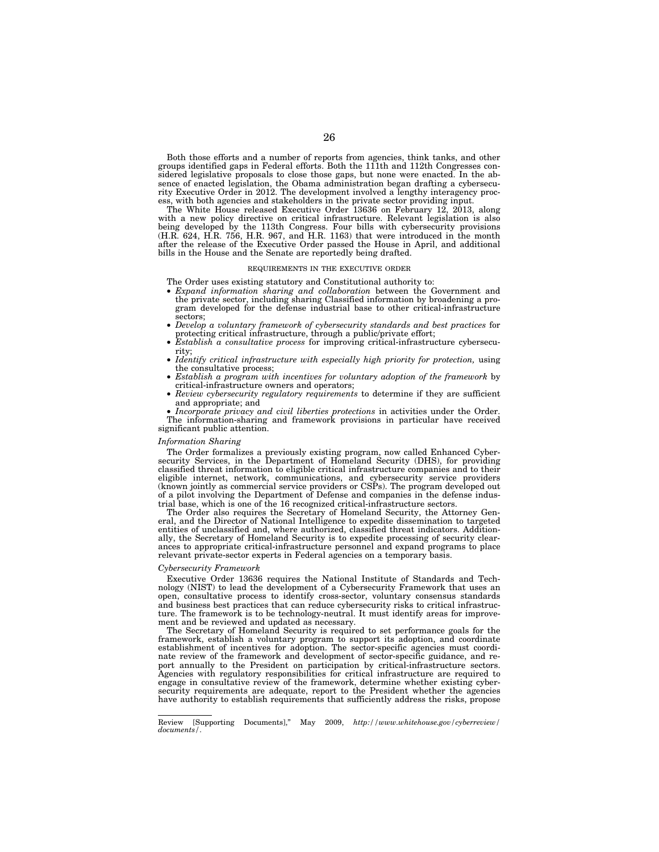Both those efforts and a number of reports from agencies, think tanks, and other groups identified gaps in Federal efforts. Both the 111th and 112th Congresses considered legislative proposals to close those gaps, but none were enacted. In the absence of enacted legislation, the Obama administration began drafting a cybersecurity Executive Order in 2012. The development involved a lengthy interagency process, with both agencies and stakeholders in the private sector providing input.

The White House released Executive Order 13636 on February 12, 2013, along with a new policy directive on critical infrastructure. Relevant legislation is also being developed by the 113th Congress. Four bills with cybersecurity provisions (H.R. 624, H.R. 756, H.R. 967, and H.R. 1163) that were introduced in the month after the release of the Executive Order passed the House in April, and additional bills in the House and the Senate are reportedly being drafted.

#### REQUIREMENTS IN THE EXECUTIVE ORDER

The Order uses existing statutory and Constitutional authority to:

- *Expand information sharing and collaboration* between the Government and the private sector, including sharing Classified information by broadening a program developed for the defense industrial base to other critical-infrastructure sectors;
- *Develop a voluntary framework of cybersecurity standards and best practices* for protecting critical infrastructure, through a public/private effort;
- *Establish a consultative process* for improving critical-infrastructure cybersecurity;
- *Identify critical infrastructure with especially high priority for protection,* using the consultative process;
- *Establish a program with incentives for voluntary adoption of the framework* by critical-infrastructure owners and operators;
- *Review cybersecurity regulatory requirements* to determine if they are sufficient and appropriate; and

• *Incorporate privacy and civil liberties protections* in activities under the Order. The information-sharing and framework provisions in particular have received significant public attention.

#### *Information Sharing*

The Order formalizes a previously existing program, now called Enhanced Cybersecurity Services, in the Department of Homeland Security (DHS), for providing classified threat information to eligible critical infrastructure companies and to their eligible internet, network, communications, and cybersecurity service providers (known jointly as commercial service providers or CSPs). The program developed out of a pilot involving the Department of Defense and companies in the defense industrial base, which is one of the 16 recognized critical-infrastructure sectors.

The Order also requires the Secretary of Homeland Security, the Attorney General, and the Director of National Intelligence to expedite dissemination to targeted entities of unclassified and, where authorized, classified threat indicators. Additionally, the Secretary of Homeland Security is to expedite processing of security clearances to appropriate critical-infrastructure personnel and expand programs to place relevant private-sector experts in Federal agencies on a temporary basis.

#### *Cybersecurity Framework*

Executive Order 13636 requires the National Institute of Standards and Technology (NIST) to lead the development of a Cybersecurity Framework that uses an open, consultative process to identify cross-sector, voluntary consensus standards and business best practices that can reduce cybersecurity risks to critical infrastructure. The framework is to be technology-neutral. It must identify areas for improvement and be reviewed and updated as necessary.

The Secretary of Homeland Security is required to set performance goals for the framework, establish a voluntary program to support its adoption, and coordinate establishment of incentives for adoption. The sector-specific agencies must coordinate review of the framework and development of sector-specific guidance, and report annually to the President on participation by critical-infrastructure sectors. Agencies with regulatory responsibilities for critical infrastructure are required to engage in consultative review of the framework, determine whether existing cybersecurity requirements are adequate, report to the President whether the agencies have authority to establish requirements that sufficiently address the risks, propose

Review [Supporting Documents],'' May 2009, *http://www.whitehouse.gov/cyberreview/ documents/*.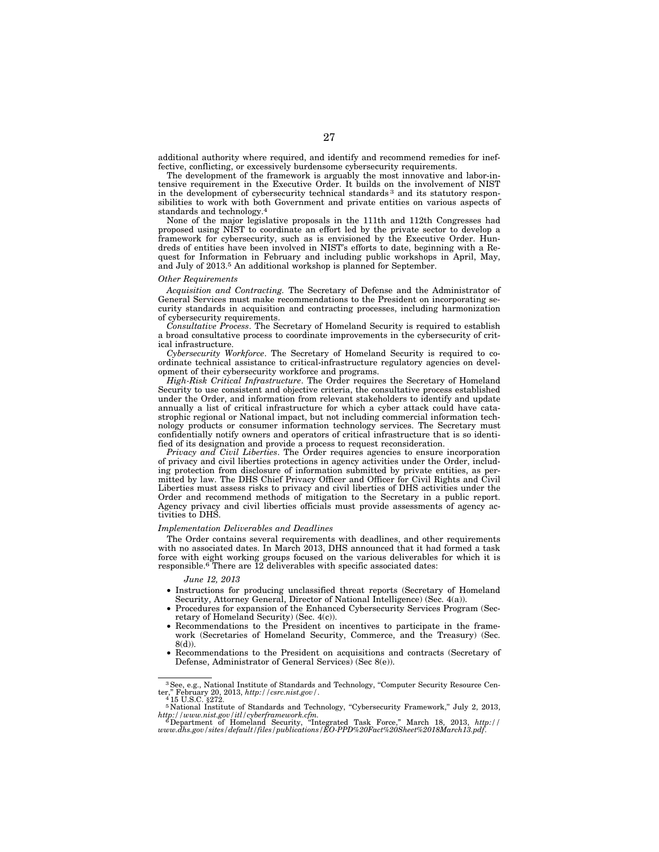additional authority where required, and identify and recommend remedies for ineffective, conflicting, or excessively burdensome cybersecurity requirements.

The development of the framework is arguably the most innovative and labor-intensive requirement in the Executive Order. It builds on the involvement of NIST in the development of cybersecurity technical standards 3 and its statutory responsibilities to work with both Government and private entities on various aspects of standards and technology.4

None of the major legislative proposals in the 111th and 112th Congresses had proposed using NIST to coordinate an effort led by the private sector to develop a framework for cybersecurity, such as is envisioned by the Executive Order. Hundreds of entities have been involved in NIST's efforts to date, beginning with a Request for Information in February and including public workshops in April, May, and July of 2013.5 An additional workshop is planned for September.

#### *Other Requirements*

*Acquisition and Contracting.* The Secretary of Defense and the Administrator of General Services must make recommendations to the President on incorporating security standards in acquisition and contracting processes, including harmonization of cybersecurity requirements.

*Consultative Process*. The Secretary of Homeland Security is required to establish a broad consultative process to coordinate improvements in the cybersecurity of critical infrastructure.

*Cybersecurity Workforce*. The Secretary of Homeland Security is required to coordinate technical assistance to critical-infrastructure regulatory agencies on development of their cybersecurity workforce and programs.

*High-Risk Critical Infrastructure*. The Order requires the Secretary of Homeland Security to use consistent and objective criteria, the consultative process established under the Order, and information from relevant stakeholders to identify and update annually a list of critical infrastructure for which a cyber attack could have catastrophic regional or National impact, but not including commercial information technology products or consumer information technology services. The Secretary must confidentially notify owners and operators of critical infrastructure that is so identified of its designation and provide a process to request reconsideration.

*Privacy and Civil Liberties*. The Order requires agencies to ensure incorporation of privacy and civil liberties protections in agency activities under the Order, including protection from disclosure of information submitted by private entities, as permitted by law. The DHS Chief Privacy Officer and Officer for Civil Rights and Civil Liberties must assess risks to privacy and civil liberties of DHS activities under the Order and recommend methods of mitigation to the Secretary in a public report. Agency privacy and civil liberties officials must provide assessments of agency activities to DHS.

#### *Implementation Deliverables and Deadlines*

The Order contains several requirements with deadlines, and other requirements with no associated dates. In March 2013, DHS announced that it had formed a task force with eight working groups focused on the various deliverables for which it is responsible.<sup>6</sup> There are 12 deliverables with specific associated dates:

#### *June 12, 2013*

- Instructions for producing unclassified threat reports (Secretary of Homeland Security, Attorney General, Director of National Intelligence) (Sec. 4(a)).
- Procedures for expansion of the Enhanced Cybersecurity Services Program (Secretary of Homeland Security) (Sec. 4(c)).
- Recommendations to the President on incentives to participate in the framework (Secretaries of Homeland Security, Commerce, and the Treasury) (Sec. 8(d)).
- Recommendations to the President on acquisitions and contracts (Secretary of Defense, Administrator of General Services) (Sec 8(e)).

<sup>&</sup>lt;sup>3</sup> See, e.g., National Institute of Standards and Technology, "Computer Security Resource Center," February 20, 2013, *http://csrc.nist.gov/.*<br>
<sup>4</sup> 15 U.S.C. §272.<br>
<sup>4</sup> 15 U.S.C. §272.

 $http://www.nist.gov/itl/cyberframework.cfm.  
\n
$$
^6
$$
 Department of Homeland Security, "Integrated Task Force," March 18, 2013, *http://www.dhs.gov/site/field/files/publications/EO-PP%20Fac@20Sheet%2018March 18, 2013, http://www.dhs.gov/site/field/tilfiles/publications/EO-PP%20Fac@20Sheet%2018March13.pdf.*$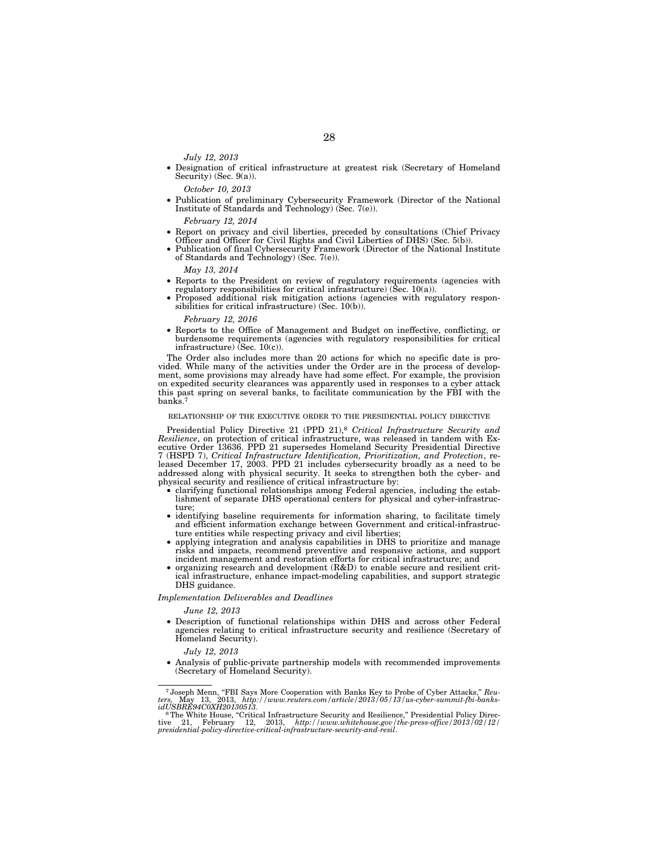*July 12, 2013* 

• Designation of critical infrastructure at greatest risk (Secretary of Homeland Security) (Sec. 9(a)).

*October 10, 2013* 

• Publication of preliminary Cybersecurity Framework (Director of the National Institute of Standards and Technology) (Sec. 7(e)).

*February 12, 2014* 

- Report on privacy and civil liberties, preceded by consultations (Chief Privacy Officer and Officer for Civil Rights and Civil Liberties of DHS) (Sec. 5(b)).
- Publication of final Cybersecurity Framework (Director of the National Institute of Standards and Technology) (Sec. 7(e)).

*May 13, 2014* 

- Reports to the President on review of regulatory requirements (agencies with regulatory responsibilities for critical infrastructure) (Sec. 10(a)).
- Proposed additional risk mitigation actions (agencies with regulatory responsibilities for critical infrastructure) (Sec. 10(b)).

*February 12, 2016* 

• Reports to the Office of Management and Budget on ineffective, conflicting, or burdensome requirements (agencies with regulatory responsibilities for critical infrastructure) (Sec. 10(c)).

The Order also includes more than 20 actions for which no specific date is provided. While many of the activities under the Order are in the process of development, some provisions may already have had some effect. For example, the provision on expedited security clearances was apparently used in responses to a cyber attack this past spring on several banks, to facilitate communication by the FBI with the banks.7

#### RELATIONSHIP OF THE EXECUTIVE ORDER TO THE PRESIDENTIAL POLICY DIRECTIVE

Presidential Policy Directive 21 (PPD 21),8 *Critical Infrastructure Security and Resilience*, on protection of critical infrastructure, was released in tandem with Executive Order 13636. PPD 21 supersedes Homeland Security Presidential Directive 7 (HSPD 7), *Critical Infrastructure Identification, Prioritization, and Protection*, released December 17, 2003. PPD 21 includes cybersecurity broadly as a need to be addressed along with physical security. It seeks to strengthen both the cyber- and physical security and resilience of critical infrastructure by:

- clarifying functional relationships among Federal agencies, including the establishment of separate DHS operational centers for physical and cyber-infrastructure;
- identifying baseline requirements for information sharing, to facilitate timely and efficient information exchange between Government and critical-infrastructure entities while respecting privacy and civil liberties;
- applying integration and analysis capabilities in DHS to prioritize and manage risks and impacts, recommend preventive and responsive actions, and support incident management and restoration efforts for critical infrastructure; and
- organizing research and development (R&D) to enable secure and resilient critical infrastructure, enhance impact-modeling capabilities, and support strategic DHS guidance.

*Implementation Deliverables and Deadlines* 

*June 12, 2013* 

• Description of functional relationships within DHS and across other Federal agencies relating to critical infrastructure security and resilience (Secretary of Homeland Security).

*July 12, 2013* 

• Analysis of public-private partnership models with recommended improvements (Secretary of Homeland Security).

<sup>7</sup> Joseph Menn, ''FBI Says More Cooperation with Banks Key to Probe of Cyber Attacks,'' *Reu-ters,* May 13, 2013, *http://www.reuters.com/article/2013/05/13/us-cyber-summit-fbi-banks-*

<sup>&</sup>lt;sup>8</sup>The White House, "Critical Infrastructure Security and Resilience," Presidential Policy Directive 21, February 12, 2013, *http://www.whitehouse.gov/the-press-office/2013/02/12/ presidential-policy-directive-critical-infrastructure-security-and-resil*.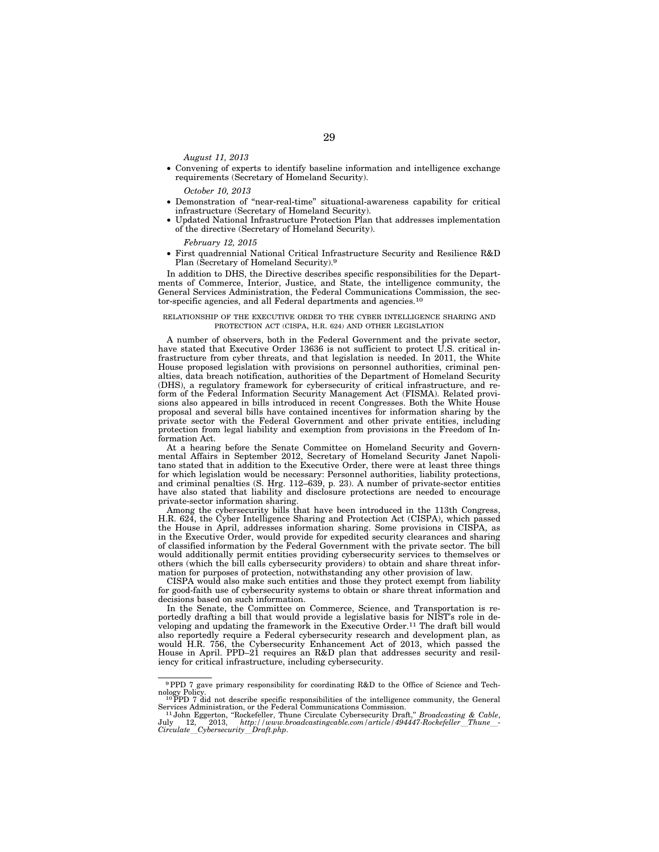*August 11, 2013* 

• Convening of experts to identify baseline information and intelligence exchange requirements (Secretary of Homeland Security).

*October 10, 2013* 

- Demonstration of ''near-real-time'' situational-awareness capability for critical infrastructure (Secretary of Homeland Security).
- Updated National Infrastructure Protection Plan that addresses implementation of the directive (Secretary of Homeland Security).

*February 12, 2015* 

• First quadrennial National Critical Infrastructure Security and Resilience R&D Plan (Secretary of Homeland Security).9

In addition to DHS, the Directive describes specific responsibilities for the Departments of Commerce, Interior, Justice, and State, the intelligence community, the General Services Administration, the Federal Communications Commission, the sector-specific agencies, and all Federal departments and agencies.10

#### RELATIONSHIP OF THE EXECUTIVE ORDER TO THE CYBER INTELLIGENCE SHARING AND PROTECTION ACT (CISPA, H.R. 624) AND OTHER LEGISLATION

A number of observers, both in the Federal Government and the private sector, have stated that Executive Order 13636 is not sufficient to protect U.S. critical infrastructure from cyber threats, and that legislation is needed. In 2011, the White House proposed legislation with provisions on personnel authorities, criminal penalties, data breach notification, authorities of the Department of Homeland Security (DHS), a regulatory framework for cybersecurity of critical infrastructure, and reform of the Federal Information Security Management Act (FISMA). Related provisions also appeared in bills introduced in recent Congresses. Both the White House proposal and several bills have contained incentives for information sharing by the private sector with the Federal Government and other private entities, including protection from legal liability and exemption from provisions in the Freedom of Information Act.

At a hearing before the Senate Committee on Homeland Security and Governmental Affairs in September 2012, Secretary of Homeland Security Janet Napolitano stated that in addition to the Executive Order, there were at least three things for which legislation would be necessary: Personnel authorities, liability protections, and criminal penalties (S. Hrg. 112–639, p. 23). A number of private-sector entities have also stated that liability and disclosure protections are needed to encourage private-sector information sharing.

Among the cybersecurity bills that have been introduced in the 113th Congress, H.R. 624, the Cyber Intelligence Sharing and Protection Act (CISPA), which passed the House in April, addresses information sharing. Some provisions in CISPA, as in the Executive Order, would provide for expedited security clearances and sharing of classified information by the Federal Government with the private sector. The bill would additionally permit entities providing cybersecurity services to themselves or others (which the bill calls cybersecurity providers) to obtain and share threat information for purposes of protection, notwithstanding any other provision of law.

CISPA would also make such entities and those they protect exempt from liability for good-faith use of cybersecurity systems to obtain or share threat information and decisions based on such information.

In the Senate, the Committee on Commerce, Science, and Transportation is reportedly drafting a bill that would provide a legislative basis for NIST's role in developing and updating the framework in the Executive Order.11 The draft bill would also reportedly require a Federal cybersecurity research and development plan, as would H.R. 756, the Cybersecurity Enhancement Act of 2013, which passed the House in April. PPD–21 requires an R&D plan that addresses security and resiliency for critical infrastructure, including cybersecurity.

<sup>9</sup>PPD 7 gave primary responsibility for coordinating R&D to the Office of Science and Technology Policy. 10PPD 7 did not describe specific responsibilities of the intelligence community, the General

Services Administration, or the Federal Communications Commission. 11 John Eggerton, ''Rockefeller, Thune Circulate Cybersecurity Draft,'' *Broadcasting & Cable*,

 $J$ uly 12, 2013, *http://www.broadcastingcable.com/article/494447-Rockefeller\_Thune\_-*<br>Circulate\_Cybersecurity\_Draft.php.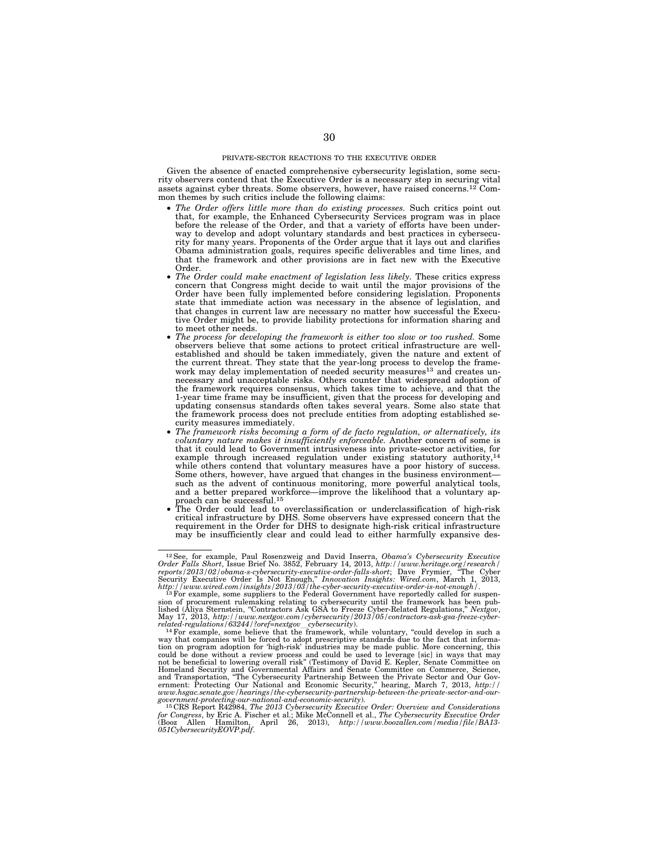#### PRIVATE-SECTOR REACTIONS TO THE EXECUTIVE ORDER

Given the absence of enacted comprehensive cybersecurity legislation, some security observers contend that the Executive Order is a necessary step in securing vital assets against cyber threats. Some observers, however, have raised concerns.12 Common themes by such critics include the following claims:

- *The Order offers little more than do existing processes.* Such critics point out that, for example, the Enhanced Cybersecurity Services program was in place before the release of the Order, and that a variety of efforts have been underway to develop and adopt voluntary standards and best practices in cybersecurity for many years. Proponents of the Order argue that it lays out and clarifies Obama administration goals, requires specific deliverables and time lines, and that the framework and other provisions are in fact new with the Executive Order.
- *The Order could make enactment of legislation less likely*. These critics express concern that Congress might decide to wait until the major provisions of the Order have been fully implemented before considering legislation. Proponents state that immediate action was necessary in the absence of legislation, and that changes in current law are necessary no matter how successful the Executive Order might be, to provide liability protections for information sharing and to meet other needs.
- *The process for developing the framework is either too slow or too rushed.* Some observers believe that some actions to protect critical infrastructure are wellestablished and should be taken immediately, given the nature and extent of the current threat. They state that the year-long process to develop the framework may delay implementation of needed security measures<sup>13</sup> and creates unnecessary and unacceptable risks. Others counter that widespread adoption of the framework requires consensus, which takes time to achieve, and that the 1-year time frame may be insufficient, given that the process for developing and updating consensus standards often takes several years. Some also state that the framework process does not preclude entities from adopting established security measures immediately.
- *The framework risks becoming a form of de facto regulation, or alternatively, its voluntary nature makes it insufficiently enforceable.* Another concern of some is that it could lead to Government intrusiveness into private-sector activities, for example through increased regulation under existing statutory authority,<sup>14</sup> while others contend that voluntary measures have a poor history of success. Some others, however, have argued that changes in the business environment such as the advent of continuous monitoring, more powerful analytical tools, and a better prepared workforce—improve the likelihood that a voluntary approach can be successful.<sup>15</sup>
- The Order could lead to overclassification or underclassification of high-risk critical infrastructure by DHS. Some observers have expressed concern that the requirement in the Order for DHS to designate high-risk critical infrastructure may be insufficiently clear and could lead to either harmfully expansive des-

<sup>&</sup>lt;sup>12</sup>See, for example, Paul Rosenzweig and David Inserra, *Obama's Cybersecurity Executive* Order Falls Short, Issue Brief No. 3852, February 14, 2013, http://www.heritage.org/research/<br>reports/2013/02/obama-s-cybersecurit

related-regulations/63244/?oref=nextgov\_cybersecurity).<br><sup>14</sup> For example, some believe that the framework, while voluntary, "could develop in such a<br>way that companies will be forced to adopt prescriptive standards due to not be beneficial to lowering overall risk'' (Testimony of David E. Kepler, Senate Committee on Homeland Security and Governmental Affairs and Senate Committee on Commerce, Science, and Transportation, ''The Cybersecurity Partnership Between the Private Sector and Our Gov-ernment: Protecting Our National and Economic Security,'' hearing, March 7, 2013, *http:// www.hsgac.senate.gov/hearings/the-cybersecurity-partnership-between-the-private-sector-and-our-*

government-protecting-our-national-and-economic-security).<br><sup>15</sup>CRS Report R42984, *The 2013 Cybersecurity Executive Order: Overview and Considerations*<br>for Congress, by Eric A. Fischer et al.; Mike McConnell et al., *The C* (Booz Allen Hamilton, April 26, 2013), *http://www.boozallen.com/media/file/BA13- 051CybersecurityEOVP.pdf*.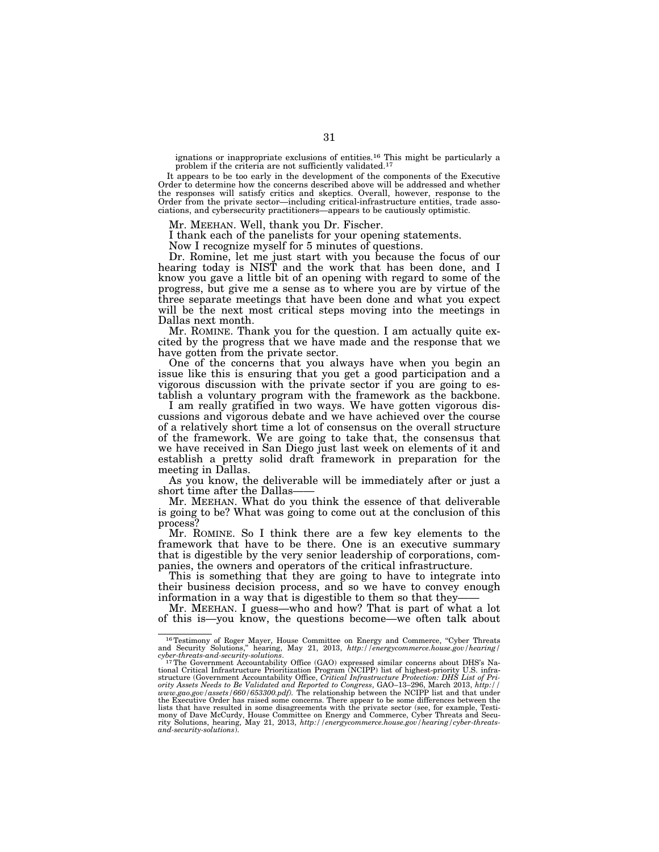ignations or inappropriate exclusions of entities.16 This might be particularly a problem if the criteria are not sufficiently validated.<sup>17</sup>

It appears to be too early in the development of the components of the Executive Order to determine how the concerns described above will be addressed and whether the responses will satisfy critics and skeptics. Overall, however, response to the Order from the private sector—including critical-infrastructure entities, trade associations, and cybersecurity practitioners—appears to be cautiously optimistic.

Mr. MEEHAN. Well, thank you Dr. Fischer.

I thank each of the panelists for your opening statements.

Now I recognize myself for 5 minutes of questions.

Dr. Romine, let me just start with you because the focus of our hearing today is NIST and the work that has been done, and I know you gave a little bit of an opening with regard to some of the progress, but give me a sense as to where you are by virtue of the three separate meetings that have been done and what you expect will be the next most critical steps moving into the meetings in Dallas next month.

Mr. ROMINE. Thank you for the question. I am actually quite excited by the progress that we have made and the response that we have gotten from the private sector.

One of the concerns that you always have when you begin an issue like this is ensuring that you get a good participation and a vigorous discussion with the private sector if you are going to establish a voluntary program with the framework as the backbone.

I am really gratified in two ways. We have gotten vigorous discussions and vigorous debate and we have achieved over the course of a relatively short time a lot of consensus on the overall structure of the framework. We are going to take that, the consensus that we have received in San Diego just last week on elements of it and establish a pretty solid draft framework in preparation for the meeting in Dallas.

As you know, the deliverable will be immediately after or just a short time after the Dallas-

Mr. MEEHAN. What do you think the essence of that deliverable is going to be? What was going to come out at the conclusion of this process?

Mr. ROMINE. So I think there are a few key elements to the framework that have to be there. One is an executive summary that is digestible by the very senior leadership of corporations, companies, the owners and operators of the critical infrastructure.

This is something that they are going to have to integrate into their business decision process, and so we have to convey enough information in a way that is digestible to them so that they——

Mr. MEEHAN. I guess—who and how? That is part of what a lot of this is—you know, the questions become—we often talk about

<sup>&</sup>lt;sup>16</sup>Testimony of Roger Mayer, House Committee on Energy and Commerce, "Cyber Threats

and Security Solutions," hearing, May 21, 2013, http://energycommerce.house.gov/hearing/<br>cyber-threats-and-security-solutions.<br>The Government Accountability Office (GAO) expressed similar concerns about DHS's Na-<br>ional Cr the Executive Order has raised some concerns. There appear to be some differences between the lists that have resulted in some disagreements with the private sector (see, for example, Testimony of Dave McCurdy, House Committee on Energy and Commerce, Cyber Threats and Security Solutions, hearing, May 21, 2013, *http://energycommerce.house.gov/hearing/cyber-threats-and-security-solutions*).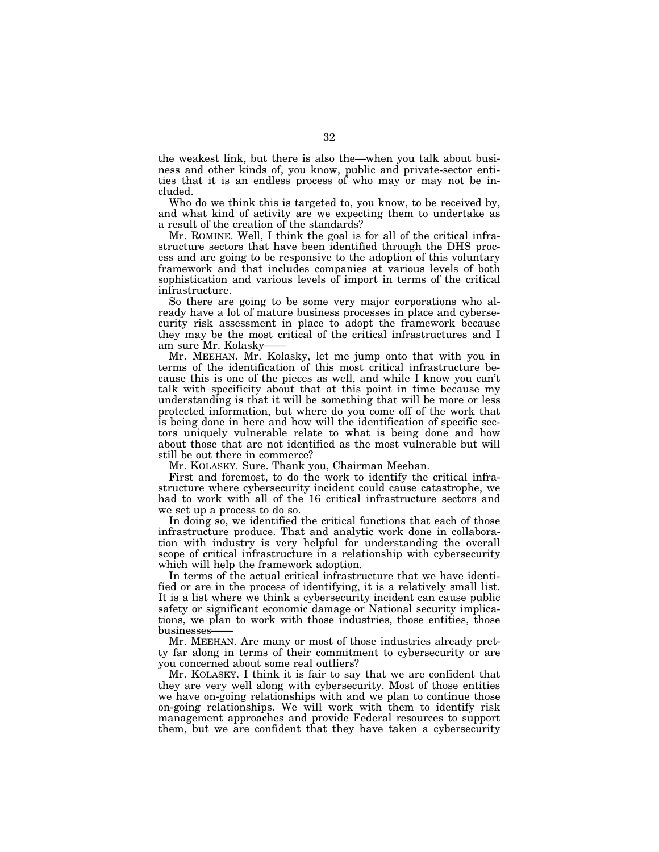the weakest link, but there is also the—when you talk about business and other kinds of, you know, public and private-sector entities that it is an endless process of who may or may not be included.

Who do we think this is targeted to, you know, to be received by, and what kind of activity are we expecting them to undertake as a result of the creation of the standards?

Mr. ROMINE. Well, I think the goal is for all of the critical infrastructure sectors that have been identified through the DHS process and are going to be responsive to the adoption of this voluntary framework and that includes companies at various levels of both sophistication and various levels of import in terms of the critical infrastructure.

So there are going to be some very major corporations who already have a lot of mature business processes in place and cybersecurity risk assessment in place to adopt the framework because they may be the most critical of the critical infrastructures and I am sure Mr. Kolasky

Mr. MEEHAN. Mr. Kolasky, let me jump onto that with you in terms of the identification of this most critical infrastructure because this is one of the pieces as well, and while I know you can't talk with specificity about that at this point in time because my understanding is that it will be something that will be more or less protected information, but where do you come off of the work that is being done in here and how will the identification of specific sectors uniquely vulnerable relate to what is being done and how about those that are not identified as the most vulnerable but will still be out there in commerce?

Mr. KOLASKY. Sure. Thank you, Chairman Meehan.

First and foremost, to do the work to identify the critical infrastructure where cybersecurity incident could cause catastrophe, we had to work with all of the 16 critical infrastructure sectors and we set up a process to do so.

In doing so, we identified the critical functions that each of those infrastructure produce. That and analytic work done in collaboration with industry is very helpful for understanding the overall scope of critical infrastructure in a relationship with cybersecurity which will help the framework adoption.

In terms of the actual critical infrastructure that we have identified or are in the process of identifying, it is a relatively small list. It is a list where we think a cybersecurity incident can cause public safety or significant economic damage or National security implications, we plan to work with those industries, those entities, those businesses——

Mr. MEEHAN. Are many or most of those industries already pretty far along in terms of their commitment to cybersecurity or are you concerned about some real outliers?

Mr. KOLASKY. I think it is fair to say that we are confident that they are very well along with cybersecurity. Most of those entities we have on-going relationships with and we plan to continue those on-going relationships. We will work with them to identify risk management approaches and provide Federal resources to support them, but we are confident that they have taken a cybersecurity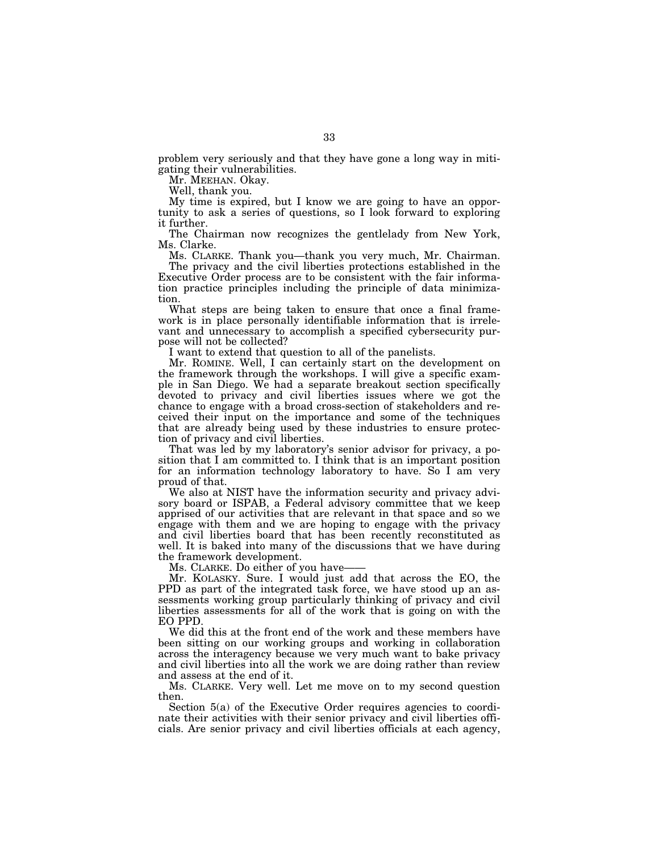problem very seriously and that they have gone a long way in mitigating their vulnerabilities.

Mr. MEEHAN. Okay.

Well, thank you.

My time is expired, but I know we are going to have an opportunity to ask a series of questions, so I look forward to exploring it further.

The Chairman now recognizes the gentlelady from New York, Ms. Clarke.

Ms. CLARKE. Thank you—thank you very much, Mr. Chairman. The privacy and the civil liberties protections established in the Executive Order process are to be consistent with the fair information practice principles including the principle of data minimization.

What steps are being taken to ensure that once a final framework is in place personally identifiable information that is irrelevant and unnecessary to accomplish a specified cybersecurity purpose will not be collected?

I want to extend that question to all of the panelists.

Mr. ROMINE. Well, I can certainly start on the development on the framework through the workshops. I will give a specific example in San Diego. We had a separate breakout section specifically devoted to privacy and civil liberties issues where we got the chance to engage with a broad cross-section of stakeholders and received their input on the importance and some of the techniques that are already being used by these industries to ensure protection of privacy and civil liberties.

That was led by my laboratory's senior advisor for privacy, a position that I am committed to. I think that is an important position for an information technology laboratory to have. So I am very proud of that.

We also at NIST have the information security and privacy advisory board or ISPAB, a Federal advisory committee that we keep apprised of our activities that are relevant in that space and so we engage with them and we are hoping to engage with the privacy and civil liberties board that has been recently reconstituted as well. It is baked into many of the discussions that we have during the framework development.

Ms. CLARKE. Do either of you have-

Mr. KOLASKY. Sure. I would just add that across the EO, the PPD as part of the integrated task force, we have stood up an assessments working group particularly thinking of privacy and civil liberties assessments for all of the work that is going on with the EO PPD.

We did this at the front end of the work and these members have been sitting on our working groups and working in collaboration across the interagency because we very much want to bake privacy and civil liberties into all the work we are doing rather than review and assess at the end of it.

Ms. CLARKE. Very well. Let me move on to my second question then.

Section 5(a) of the Executive Order requires agencies to coordinate their activities with their senior privacy and civil liberties officials. Are senior privacy and civil liberties officials at each agency,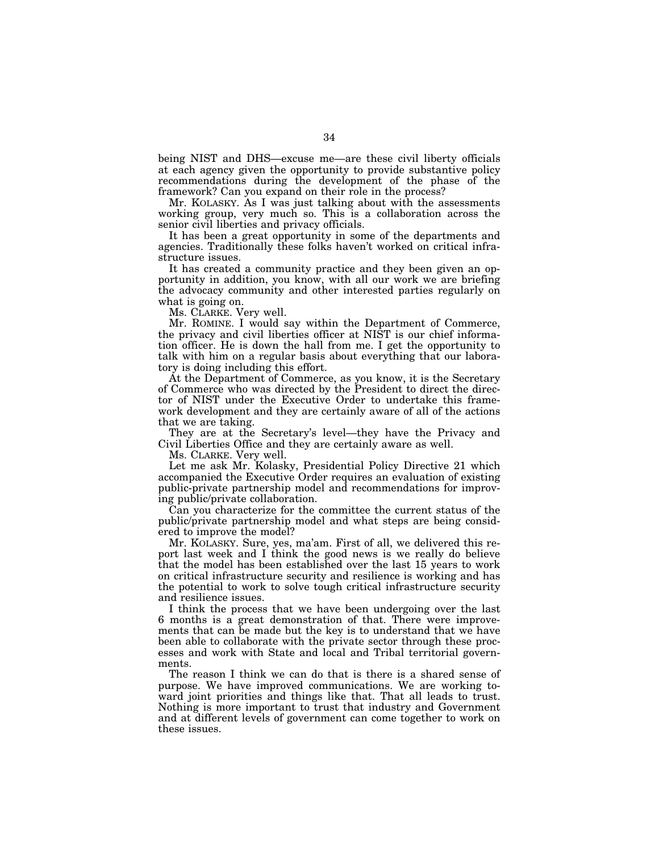being NIST and DHS—excuse me—are these civil liberty officials at each agency given the opportunity to provide substantive policy recommendations during the development of the phase of the framework? Can you expand on their role in the process?

Mr. KOLASKY. As I was just talking about with the assessments working group, very much so. This is a collaboration across the senior civil liberties and privacy officials.

It has been a great opportunity in some of the departments and agencies. Traditionally these folks haven't worked on critical infrastructure issues.

It has created a community practice and they been given an opportunity in addition, you know, with all our work we are briefing the advocacy community and other interested parties regularly on what is going on.

Ms. CLARKE. Very well.

Mr. ROMINE. I would say within the Department of Commerce, the privacy and civil liberties officer at NIST is our chief information officer. He is down the hall from me. I get the opportunity to talk with him on a regular basis about everything that our laboratory is doing including this effort.

At the Department of Commerce, as you know, it is the Secretary of Commerce who was directed by the President to direct the director of NIST under the Executive Order to undertake this framework development and they are certainly aware of all of the actions that we are taking.

They are at the Secretary's level—they have the Privacy and Civil Liberties Office and they are certainly aware as well.

Ms. CLARKE. Very well.

Let me ask Mr. Kolasky, Presidential Policy Directive 21 which accompanied the Executive Order requires an evaluation of existing public-private partnership model and recommendations for improving public/private collaboration.

Can you characterize for the committee the current status of the public/private partnership model and what steps are being considered to improve the model?

Mr. KOLASKY. Sure, yes, ma'am. First of all, we delivered this report last week and I think the good news is we really do believe that the model has been established over the last 15 years to work on critical infrastructure security and resilience is working and has the potential to work to solve tough critical infrastructure security and resilience issues.

I think the process that we have been undergoing over the last 6 months is a great demonstration of that. There were improvements that can be made but the key is to understand that we have been able to collaborate with the private sector through these processes and work with State and local and Tribal territorial governments.

The reason I think we can do that is there is a shared sense of purpose. We have improved communications. We are working toward joint priorities and things like that. That all leads to trust. Nothing is more important to trust that industry and Government and at different levels of government can come together to work on these issues.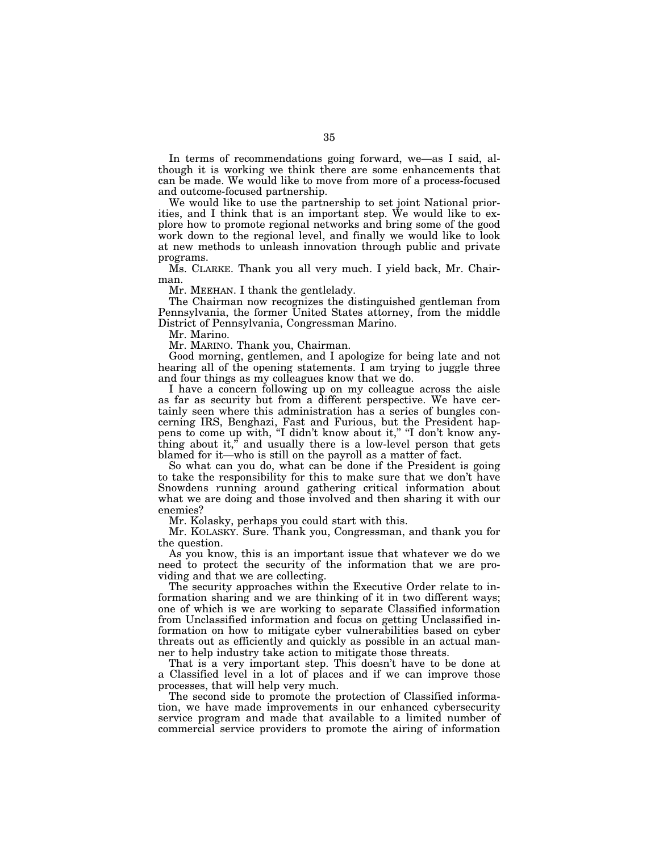In terms of recommendations going forward, we—as I said, although it is working we think there are some enhancements that can be made. We would like to move from more of a process-focused and outcome-focused partnership.

We would like to use the partnership to set joint National priorities, and I think that is an important step. We would like to explore how to promote regional networks and bring some of the good work down to the regional level, and finally we would like to look at new methods to unleash innovation through public and private programs.

Ms. CLARKE. Thank you all very much. I yield back, Mr. Chairman.

Mr. MEEHAN. I thank the gentlelady.

The Chairman now recognizes the distinguished gentleman from Pennsylvania, the former United States attorney, from the middle District of Pennsylvania, Congressman Marino.

Mr. Marino.

Mr. MARINO. Thank you, Chairman.

Good morning, gentlemen, and I apologize for being late and not hearing all of the opening statements. I am trying to juggle three and four things as my colleagues know that we do.

I have a concern following up on my colleague across the aisle as far as security but from a different perspective. We have certainly seen where this administration has a series of bungles concerning IRS, Benghazi, Fast and Furious, but the President happens to come up with, "I didn't know about it," "I don't know anything about it," and usually there is a low-level person that gets blamed for it—who is still on the payroll as a matter of fact.

So what can you do, what can be done if the President is going to take the responsibility for this to make sure that we don't have Snowdens running around gathering critical information about what we are doing and those involved and then sharing it with our enemies?

Mr. Kolasky, perhaps you could start with this.

Mr. KOLASKY. Sure. Thank you, Congressman, and thank you for the question.

As you know, this is an important issue that whatever we do we need to protect the security of the information that we are providing and that we are collecting.

The security approaches within the Executive Order relate to information sharing and we are thinking of it in two different ways; one of which is we are working to separate Classified information from Unclassified information and focus on getting Unclassified information on how to mitigate cyber vulnerabilities based on cyber threats out as efficiently and quickly as possible in an actual manner to help industry take action to mitigate those threats.

That is a very important step. This doesn't have to be done at a Classified level in a lot of places and if we can improve those processes, that will help very much.

The second side to promote the protection of Classified information, we have made improvements in our enhanced cybersecurity service program and made that available to a limited number of commercial service providers to promote the airing of information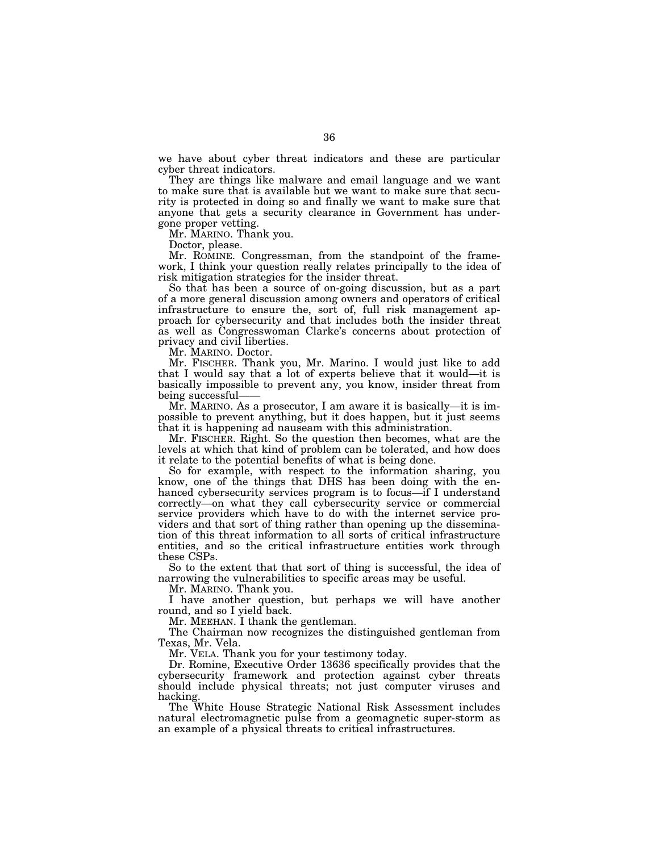we have about cyber threat indicators and these are particular cyber threat indicators.

They are things like malware and email language and we want to make sure that is available but we want to make sure that security is protected in doing so and finally we want to make sure that anyone that gets a security clearance in Government has undergone proper vetting.

Mr. MARINO. Thank you.

Doctor, please.

Mr. ROMINE. Congressman, from the standpoint of the framework, I think your question really relates principally to the idea of risk mitigation strategies for the insider threat.

So that has been a source of on-going discussion, but as a part of a more general discussion among owners and operators of critical infrastructure to ensure the, sort of, full risk management approach for cybersecurity and that includes both the insider threat as well as Congresswoman Clarke's concerns about protection of privacy and civil liberties.

Mr. MARINO. Doctor.

Mr. FISCHER. Thank you, Mr. Marino. I would just like to add that I would say that a lot of experts believe that it would—it is basically impossible to prevent any, you know, insider threat from being successful-

Mr. MARINO. As a prosecutor, I am aware it is basically—it is impossible to prevent anything, but it does happen, but it just seems that it is happening ad nauseam with this administration.

Mr. FISCHER. Right. So the question then becomes, what are the levels at which that kind of problem can be tolerated, and how does it relate to the potential benefits of what is being done.

So for example, with respect to the information sharing, you know, one of the things that DHS has been doing with the enhanced cybersecurity services program is to focus—if I understand correctly—on what they call cybersecurity service or commercial service providers which have to do with the internet service providers and that sort of thing rather than opening up the dissemination of this threat information to all sorts of critical infrastructure entities, and so the critical infrastructure entities work through these CSPs.

So to the extent that that sort of thing is successful, the idea of narrowing the vulnerabilities to specific areas may be useful.

Mr. MARINO. Thank you.

I have another question, but perhaps we will have another round, and so I yield back.

Mr. MEEHAN. I thank the gentleman.

The Chairman now recognizes the distinguished gentleman from Texas, Mr. Vela.

Mr. VELA. Thank you for your testimony today.

Dr. Romine, Executive Order 13636 specifically provides that the cybersecurity framework and protection against cyber threats should include physical threats; not just computer viruses and hacking.

The White House Strategic National Risk Assessment includes natural electromagnetic pulse from a geomagnetic super-storm as an example of a physical threats to critical infrastructures.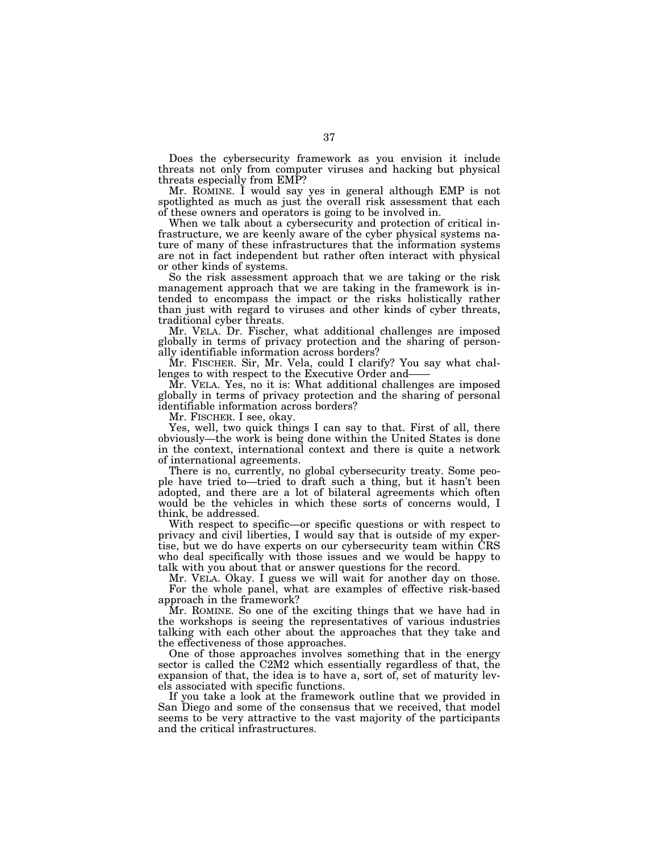Does the cybersecurity framework as you envision it include threats not only from computer viruses and hacking but physical threats especially from EMP?

Mr. ROMINE. I would say yes in general although EMP is not spotlighted as much as just the overall risk assessment that each of these owners and operators is going to be involved in.

When we talk about a cybersecurity and protection of critical infrastructure, we are keenly aware of the cyber physical systems nature of many of these infrastructures that the information systems are not in fact independent but rather often interact with physical or other kinds of systems.

So the risk assessment approach that we are taking or the risk management approach that we are taking in the framework is intended to encompass the impact or the risks holistically rather than just with regard to viruses and other kinds of cyber threats, traditional cyber threats.

Mr. VELA. Dr. Fischer, what additional challenges are imposed globally in terms of privacy protection and the sharing of personally identifiable information across borders?

Mr. FISCHER. Sir, Mr. Vela, could I clarify? You say what challenges to with respect to the Executive Order and——

Mr. VELA. Yes, no it is: What additional challenges are imposed globally in terms of privacy protection and the sharing of personal identifiable information across borders?

Mr. FISCHER. I see, okay.

Yes, well, two quick things I can say to that. First of all, there obviously—the work is being done within the United States is done in the context, international context and there is quite a network of international agreements.

There is no, currently, no global cybersecurity treaty. Some people have tried to—tried to draft such a thing, but it hasn't been adopted, and there are a lot of bilateral agreements which often would be the vehicles in which these sorts of concerns would, I think, be addressed.

With respect to specific—or specific questions or with respect to privacy and civil liberties, I would say that is outside of my expertise, but we do have experts on our cybersecurity team within CRS who deal specifically with those issues and we would be happy to talk with you about that or answer questions for the record.

Mr. VELA. Okay. I guess we will wait for another day on those. For the whole panel, what are examples of effective risk-based approach in the framework?

Mr. ROMINE. So one of the exciting things that we have had in the workshops is seeing the representatives of various industries talking with each other about the approaches that they take and the effectiveness of those approaches.

One of those approaches involves something that in the energy sector is called the C2M2 which essentially regardless of that, the expansion of that, the idea is to have a, sort of, set of maturity levels associated with specific functions.

If you take a look at the framework outline that we provided in San Diego and some of the consensus that we received, that model seems to be very attractive to the vast majority of the participants and the critical infrastructures.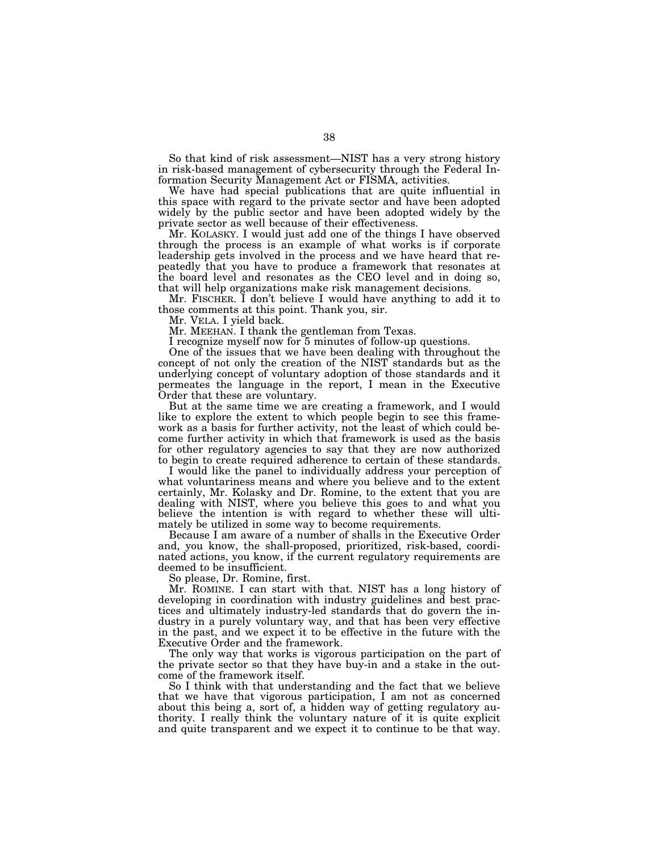So that kind of risk assessment—NIST has a very strong history in risk-based management of cybersecurity through the Federal Information Security Management Act or FISMA, activities.

We have had special publications that are quite influential in this space with regard to the private sector and have been adopted widely by the public sector and have been adopted widely by the private sector as well because of their effectiveness.

Mr. KOLASKY. I would just add one of the things I have observed through the process is an example of what works is if corporate leadership gets involved in the process and we have heard that repeatedly that you have to produce a framework that resonates at the board level and resonates as the CEO level and in doing so, that will help organizations make risk management decisions.

Mr. FISCHER. I don't believe I would have anything to add it to those comments at this point. Thank you, sir.

Mr. VELA. I yield back.

Mr. MEEHAN. I thank the gentleman from Texas.

I recognize myself now for 5 minutes of follow-up questions.

One of the issues that we have been dealing with throughout the concept of not only the creation of the NIST standards but as the underlying concept of voluntary adoption of those standards and it permeates the language in the report, I mean in the Executive Order that these are voluntary.

But at the same time we are creating a framework, and I would like to explore the extent to which people begin to see this framework as a basis for further activity, not the least of which could become further activity in which that framework is used as the basis for other regulatory agencies to say that they are now authorized to begin to create required adherence to certain of these standards.

I would like the panel to individually address your perception of what voluntariness means and where you believe and to the extent certainly, Mr. Kolasky and Dr. Romine, to the extent that you are dealing with NIST, where you believe this goes to and what you believe the intention is with regard to whether these will ultimately be utilized in some way to become requirements.

Because I am aware of a number of shalls in the Executive Order and, you know, the shall-proposed, prioritized, risk-based, coordinated actions, you know, if the current regulatory requirements are deemed to be insufficient.

So please, Dr. Romine, first.

Mr. ROMINE. I can start with that. NIST has a long history of developing in coordination with industry guidelines and best practices and ultimately industry-led standards that do govern the industry in a purely voluntary way, and that has been very effective in the past, and we expect it to be effective in the future with the Executive Order and the framework.

The only way that works is vigorous participation on the part of the private sector so that they have buy-in and a stake in the outcome of the framework itself.

So I think with that understanding and the fact that we believe that we have that vigorous participation, I am not as concerned about this being a, sort of, a hidden way of getting regulatory authority. I really think the voluntary nature of it is quite explicit and quite transparent and we expect it to continue to be that way.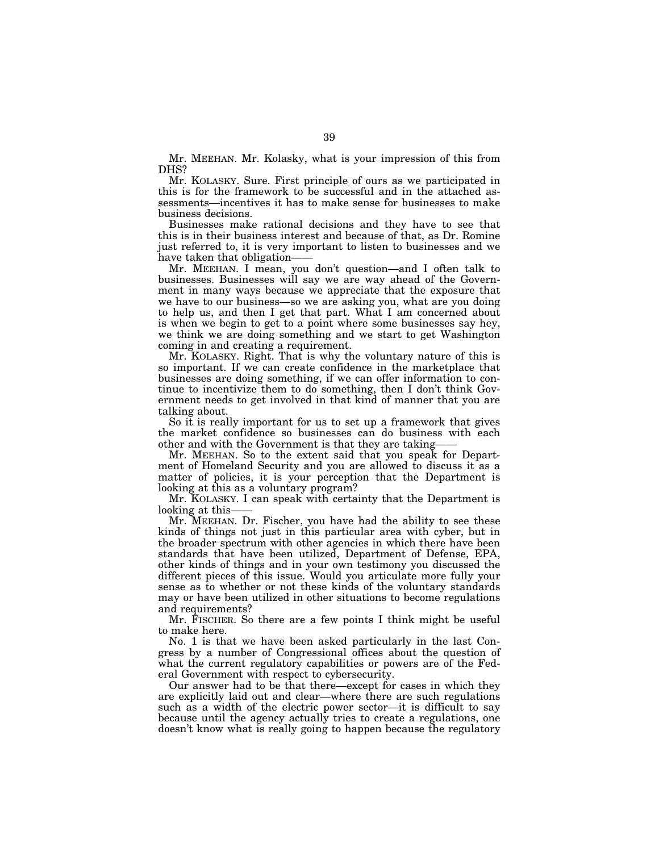Mr. MEEHAN. Mr. Kolasky, what is your impression of this from DHS?

Mr. KOLASKY. Sure. First principle of ours as we participated in this is for the framework to be successful and in the attached assessments—incentives it has to make sense for businesses to make business decisions.

Businesses make rational decisions and they have to see that this is in their business interest and because of that, as Dr. Romine just referred to, it is very important to listen to businesses and we have taken that obligation-

Mr. MEEHAN. I mean, you don't question—and I often talk to businesses. Businesses will say we are way ahead of the Government in many ways because we appreciate that the exposure that we have to our business—so we are asking you, what are you doing to help us, and then I get that part. What I am concerned about is when we begin to get to a point where some businesses say hey, we think we are doing something and we start to get Washington coming in and creating a requirement.

Mr. KOLASKY. Right. That is why the voluntary nature of this is so important. If we can create confidence in the marketplace that businesses are doing something, if we can offer information to continue to incentivize them to do something, then I don't think Government needs to get involved in that kind of manner that you are talking about.

So it is really important for us to set up a framework that gives the market confidence so businesses can do business with each other and with the Government is that they are taking——

Mr. MEEHAN. So to the extent said that you speak for Department of Homeland Security and you are allowed to discuss it as a matter of policies, it is your perception that the Department is looking at this as a voluntary program?

Mr. KOLASKY. I can speak with certainty that the Department is looking at this-

Mr. MEEHAN. Dr. Fischer, you have had the ability to see these kinds of things not just in this particular area with cyber, but in the broader spectrum with other agencies in which there have been standards that have been utilized, Department of Defense, EPA, other kinds of things and in your own testimony you discussed the different pieces of this issue. Would you articulate more fully your sense as to whether or not these kinds of the voluntary standards may or have been utilized in other situations to become regulations and requirements?

Mr. FISCHER. So there are a few points I think might be useful to make here.

No. 1 is that we have been asked particularly in the last Congress by a number of Congressional offices about the question of what the current regulatory capabilities or powers are of the Federal Government with respect to cybersecurity.

Our answer had to be that there—except for cases in which they are explicitly laid out and clear—where there are such regulations such as a width of the electric power sector—it is difficult to say because until the agency actually tries to create a regulations, one doesn't know what is really going to happen because the regulatory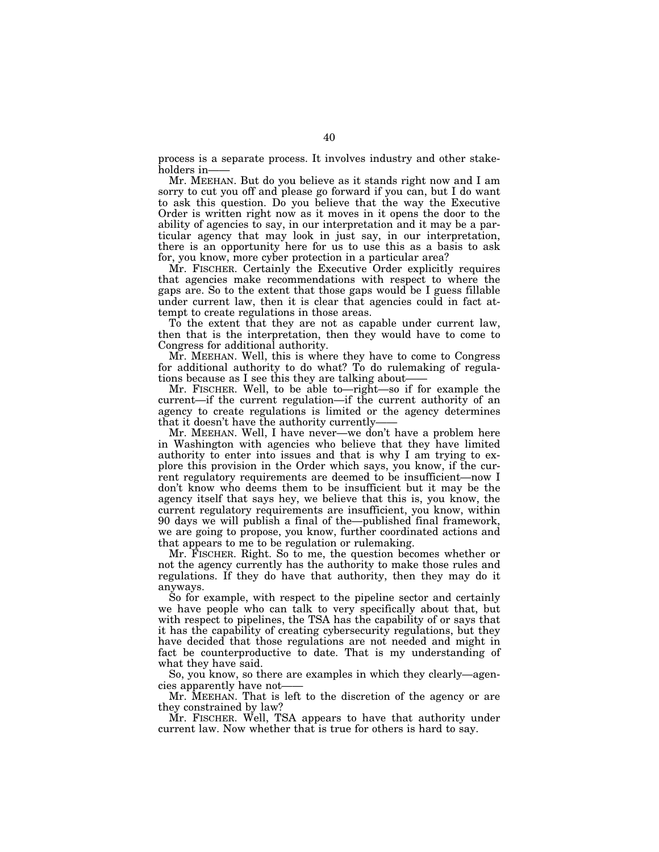process is a separate process. It involves industry and other stakeholders in-

Mr. MEEHAN. But do you believe as it stands right now and I am sorry to cut you off and please go forward if you can, but I do want to ask this question. Do you believe that the way the Executive Order is written right now as it moves in it opens the door to the ability of agencies to say, in our interpretation and it may be a particular agency that may look in just say, in our interpretation, there is an opportunity here for us to use this as a basis to ask for, you know, more cyber protection in a particular area?

Mr. FISCHER. Certainly the Executive Order explicitly requires that agencies make recommendations with respect to where the gaps are. So to the extent that those gaps would be I guess fillable under current law, then it is clear that agencies could in fact attempt to create regulations in those areas.

To the extent that they are not as capable under current law, then that is the interpretation, then they would have to come to Congress for additional authority.

Mr. MEEHAN. Well, this is where they have to come to Congress for additional authority to do what? To do rulemaking of regulations because as I see this they are talking about——

Mr. FISCHER. Well, to be able to—right—so if for example the current—if the current regulation—if the current authority of an agency to create regulations is limited or the agency determines that it doesn't have the authority currently——

Mr. MEEHAN. Well, I have never—we don't have a problem here in Washington with agencies who believe that they have limited authority to enter into issues and that is why I am trying to explore this provision in the Order which says, you know, if the current regulatory requirements are deemed to be insufficient—now I don't know who deems them to be insufficient but it may be the agency itself that says hey, we believe that this is, you know, the current regulatory requirements are insufficient, you know, within 90 days we will publish a final of the—published final framework, we are going to propose, you know, further coordinated actions and that appears to me to be regulation or rulemaking.

Mr. FISCHER. Right. So to me, the question becomes whether or not the agency currently has the authority to make those rules and regulations. If they do have that authority, then they may do it anyways.

So for example, with respect to the pipeline sector and certainly we have people who can talk to very specifically about that, but with respect to pipelines, the TSA has the capability of or says that it has the capability of creating cybersecurity regulations, but they have decided that those regulations are not needed and might in fact be counterproductive to date. That is my understanding of what they have said.

So, you know, so there are examples in which they clearly—agencies apparently have not-

Mr. MEEHAN. That is left to the discretion of the agency or are they constrained by law?

Mr. FISCHER. Well, TSA appears to have that authority under current law. Now whether that is true for others is hard to say.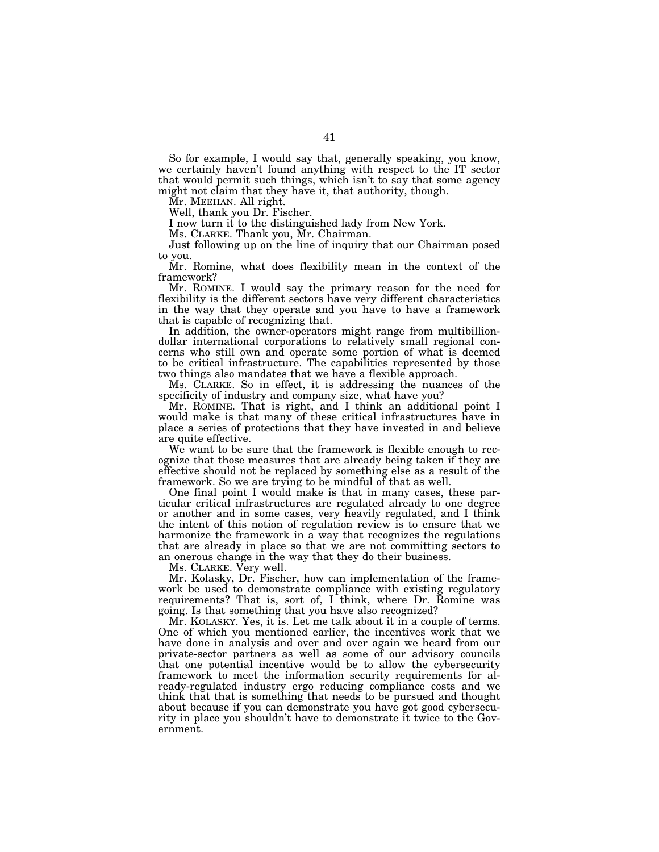So for example, I would say that, generally speaking, you know, we certainly haven't found anything with respect to the IT sector that would permit such things, which isn't to say that some agency might not claim that they have it, that authority, though.

Mr. MEEHAN. All right.

Well, thank you Dr. Fischer.

I now turn it to the distinguished lady from New York.

Ms. CLARKE. Thank you, Mr. Chairman.

Just following up on the line of inquiry that our Chairman posed to you.

Mr. Romine, what does flexibility mean in the context of the framework?

Mr. ROMINE. I would say the primary reason for the need for flexibility is the different sectors have very different characteristics in the way that they operate and you have to have a framework that is capable of recognizing that.

In addition, the owner-operators might range from multibilliondollar international corporations to relatively small regional concerns who still own and operate some portion of what is deemed to be critical infrastructure. The capabilities represented by those two things also mandates that we have a flexible approach.

Ms. CLARKE. So in effect, it is addressing the nuances of the specificity of industry and company size, what have you?

Mr. ROMINE. That is right, and I think an additional point I would make is that many of these critical infrastructures have in place a series of protections that they have invested in and believe are quite effective.

We want to be sure that the framework is flexible enough to recognize that those measures that are already being taken if they are effective should not be replaced by something else as a result of the framework. So we are trying to be mindful of that as well.

One final point I would make is that in many cases, these particular critical infrastructures are regulated already to one degree or another and in some cases, very heavily regulated, and I think the intent of this notion of regulation review is to ensure that we harmonize the framework in a way that recognizes the regulations that are already in place so that we are not committing sectors to an onerous change in the way that they do their business.

Ms. CLARKE. Very well.

Mr. Kolasky, Dr. Fischer, how can implementation of the framework be used to demonstrate compliance with existing regulatory requirements? That is, sort of, I think, where Dr. Romine was going. Is that something that you have also recognized?

Mr. KOLASKY. Yes, it is. Let me talk about it in a couple of terms. One of which you mentioned earlier, the incentives work that we have done in analysis and over and over again we heard from our private-sector partners as well as some of our advisory councils that one potential incentive would be to allow the cybersecurity framework to meet the information security requirements for already-regulated industry ergo reducing compliance costs and we think that that is something that needs to be pursued and thought about because if you can demonstrate you have got good cybersecurity in place you shouldn't have to demonstrate it twice to the Government.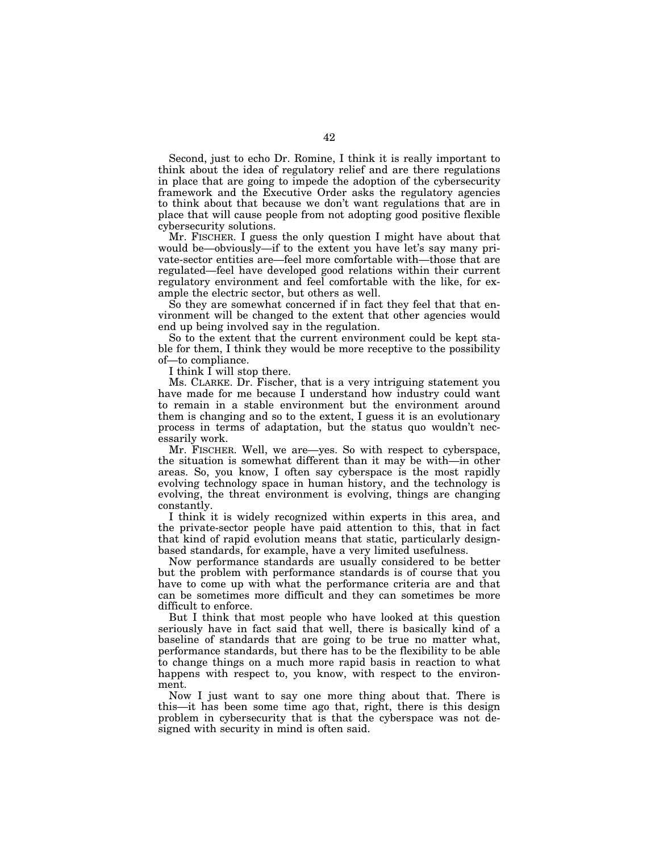Second, just to echo Dr. Romine, I think it is really important to think about the idea of regulatory relief and are there regulations in place that are going to impede the adoption of the cybersecurity framework and the Executive Order asks the regulatory agencies to think about that because we don't want regulations that are in place that will cause people from not adopting good positive flexible cybersecurity solutions.

Mr. FISCHER. I guess the only question I might have about that would be—obviously—if to the extent you have let's say many private-sector entities are—feel more comfortable with—those that are regulated—feel have developed good relations within their current regulatory environment and feel comfortable with the like, for example the electric sector, but others as well.

So they are somewhat concerned if in fact they feel that that environment will be changed to the extent that other agencies would end up being involved say in the regulation.

So to the extent that the current environment could be kept stable for them, I think they would be more receptive to the possibility of—to compliance.

I think I will stop there.

Ms. CLARKE. Dr. Fischer, that is a very intriguing statement you have made for me because I understand how industry could want to remain in a stable environment but the environment around them is changing and so to the extent, I guess it is an evolutionary process in terms of adaptation, but the status quo wouldn't necessarily work.

Mr. FISCHER. Well, we are—yes. So with respect to cyberspace, the situation is somewhat different than it may be with—in other areas. So, you know, I often say cyberspace is the most rapidly evolving technology space in human history, and the technology is evolving, the threat environment is evolving, things are changing constantly.

I think it is widely recognized within experts in this area, and the private-sector people have paid attention to this, that in fact that kind of rapid evolution means that static, particularly designbased standards, for example, have a very limited usefulness.

Now performance standards are usually considered to be better but the problem with performance standards is of course that you have to come up with what the performance criteria are and that can be sometimes more difficult and they can sometimes be more difficult to enforce.

But I think that most people who have looked at this question seriously have in fact said that well, there is basically kind of a baseline of standards that are going to be true no matter what, performance standards, but there has to be the flexibility to be able to change things on a much more rapid basis in reaction to what happens with respect to, you know, with respect to the environment.

Now I just want to say one more thing about that. There is this—it has been some time ago that, right, there is this design problem in cybersecurity that is that the cyberspace was not designed with security in mind is often said.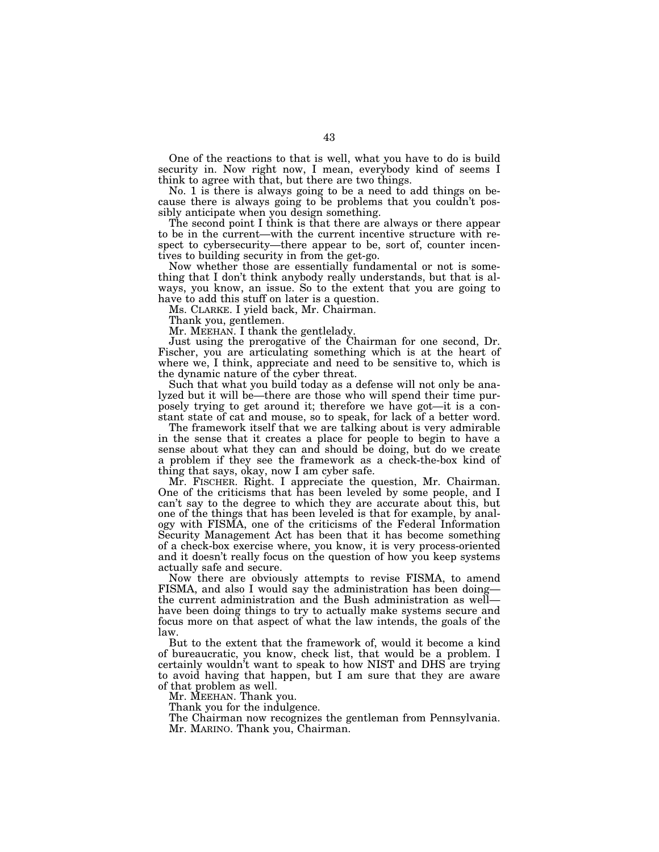One of the reactions to that is well, what you have to do is build security in. Now right now, I mean, everybody kind of seems I think to agree with that, but there are two things.

No. 1 is there is always going to be a need to add things on because there is always going to be problems that you couldn't possibly anticipate when you design something.

The second point I think is that there are always or there appear to be in the current—with the current incentive structure with respect to cybersecurity—there appear to be, sort of, counter incentives to building security in from the get-go.

Now whether those are essentially fundamental or not is something that I don't think anybody really understands, but that is always, you know, an issue. So to the extent that you are going to have to add this stuff on later is a question.

Ms. CLARKE. I yield back, Mr. Chairman.

Thank you, gentlemen.

Mr. MEEHAN. I thank the gentlelady.

Just using the prerogative of the Chairman for one second, Dr. Fischer, you are articulating something which is at the heart of where we, I think, appreciate and need to be sensitive to, which is the dynamic nature of the cyber threat.

Such that what you build today as a defense will not only be analyzed but it will be—there are those who will spend their time purposely trying to get around it; therefore we have got—it is a constant state of cat and mouse, so to speak, for lack of a better word.

The framework itself that we are talking about is very admirable in the sense that it creates a place for people to begin to have a sense about what they can and should be doing, but do we create a problem if they see the framework as a check-the-box kind of thing that says, okay, now I am cyber safe.

Mr. FISCHER. Right. I appreciate the question, Mr. Chairman. One of the criticisms that has been leveled by some people, and I can't say to the degree to which they are accurate about this, but one of the things that has been leveled is that for example, by analogy with FISMA, one of the criticisms of the Federal Information Security Management Act has been that it has become something of a check-box exercise where, you know, it is very process-oriented and it doesn't really focus on the question of how you keep systems actually safe and secure.

Now there are obviously attempts to revise FISMA, to amend FISMA, and also I would say the administration has been doing the current administration and the Bush administration as well have been doing things to try to actually make systems secure and focus more on that aspect of what the law intends, the goals of the law.

But to the extent that the framework of, would it become a kind of bureaucratic, you know, check list, that would be a problem. I certainly wouldn't want to speak to how NIST and DHS are trying to avoid having that happen, but I am sure that they are aware of that problem as well.

Mr. MEEHAN. Thank you.

Thank you for the indulgence.

The Chairman now recognizes the gentleman from Pennsylvania. Mr. MARINO. Thank you, Chairman.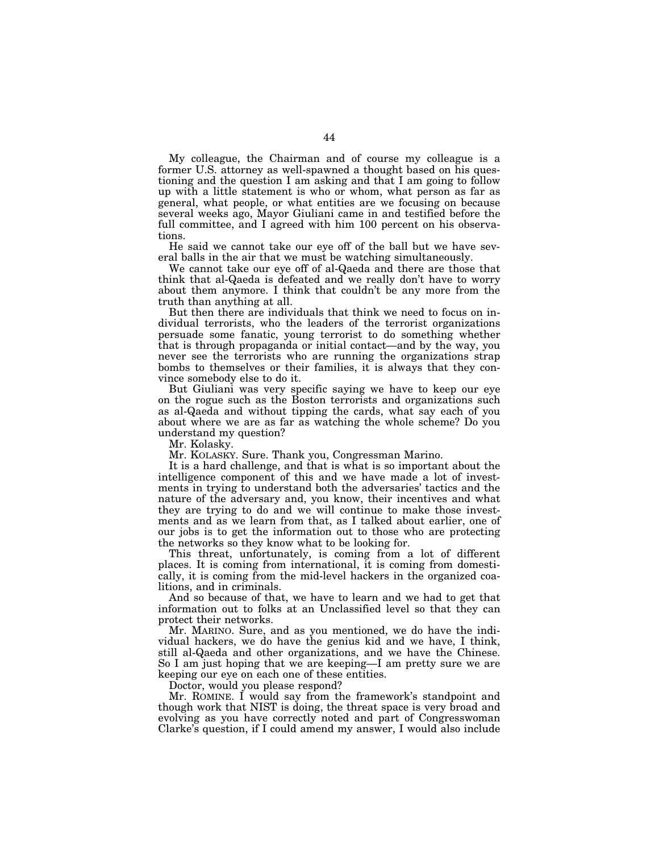My colleague, the Chairman and of course my colleague is a former U.S. attorney as well-spawned a thought based on his questioning and the question I am asking and that I am going to follow up with a little statement is who or whom, what person as far as general, what people, or what entities are we focusing on because several weeks ago, Mayor Giuliani came in and testified before the full committee, and I agreed with him 100 percent on his observations.

He said we cannot take our eye off of the ball but we have several balls in the air that we must be watching simultaneously.

We cannot take our eye off of al-Qaeda and there are those that think that al-Qaeda is defeated and we really don't have to worry about them anymore. I think that couldn't be any more from the truth than anything at all.

But then there are individuals that think we need to focus on individual terrorists, who the leaders of the terrorist organizations persuade some fanatic, young terrorist to do something whether that is through propaganda or initial contact—and by the way, you never see the terrorists who are running the organizations strap bombs to themselves or their families, it is always that they convince somebody else to do it.

But Giuliani was very specific saying we have to keep our eye on the rogue such as the Boston terrorists and organizations such as al-Qaeda and without tipping the cards, what say each of you about where we are as far as watching the whole scheme? Do you understand my question?

Mr. Kolasky.

Mr. KOLASKY. Sure. Thank you, Congressman Marino.

It is a hard challenge, and that is what is so important about the intelligence component of this and we have made a lot of investments in trying to understand both the adversaries' tactics and the nature of the adversary and, you know, their incentives and what they are trying to do and we will continue to make those investments and as we learn from that, as I talked about earlier, one of our jobs is to get the information out to those who are protecting the networks so they know what to be looking for.

This threat, unfortunately, is coming from a lot of different places. It is coming from international, it is coming from domestically, it is coming from the mid-level hackers in the organized coalitions, and in criminals.

And so because of that, we have to learn and we had to get that information out to folks at an Unclassified level so that they can protect their networks.

Mr. MARINO. Sure, and as you mentioned, we do have the individual hackers, we do have the genius kid and we have, I think, still al-Qaeda and other organizations, and we have the Chinese. So I am just hoping that we are keeping—I am pretty sure we are keeping our eye on each one of these entities.

Doctor, would you please respond?

Mr. ROMINE. I would say from the framework's standpoint and though work that NIST is doing, the threat space is very broad and evolving as you have correctly noted and part of Congresswoman Clarke's question, if I could amend my answer, I would also include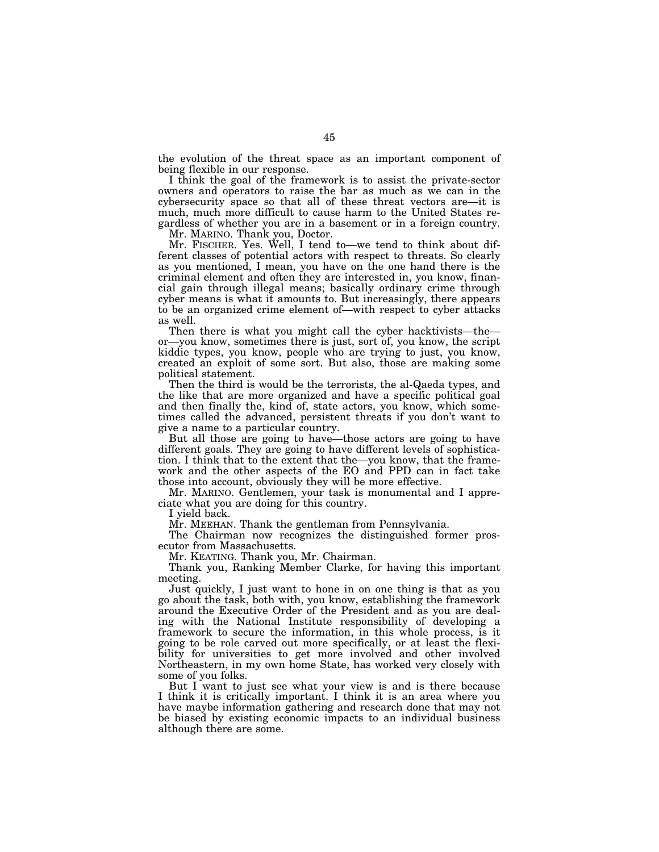the evolution of the threat space as an important component of being flexible in our response.

I think the goal of the framework is to assist the private-sector owners and operators to raise the bar as much as we can in the cybersecurity space so that all of these threat vectors are—it is much, much more difficult to cause harm to the United States regardless of whether you are in a basement or in a foreign country.

Mr. MARINO. Thank you, Doctor.

Mr. FISCHER. Yes. Well, I tend to—we tend to think about different classes of potential actors with respect to threats. So clearly as you mentioned, I mean, you have on the one hand there is the criminal element and often they are interested in, you know, financial gain through illegal means; basically ordinary crime through cyber means is what it amounts to. But increasingly, there appears to be an organized crime element of—with respect to cyber attacks as well.

Then there is what you might call the cyber hacktivists—the or—you know, sometimes there is just, sort of, you know, the script kiddie types, you know, people who are trying to just, you know, created an exploit of some sort. But also, those are making some political statement.

Then the third is would be the terrorists, the al-Qaeda types, and the like that are more organized and have a specific political goal and then finally the, kind of, state actors, you know, which sometimes called the advanced, persistent threats if you don't want to give a name to a particular country.

But all those are going to have—those actors are going to have different goals. They are going to have different levels of sophistication. I think that to the extent that the—you know, that the framework and the other aspects of the EO and PPD can in fact take those into account, obviously they will be more effective.

Mr. MARINO. Gentlemen, your task is monumental and I appreciate what you are doing for this country.

I yield back.

Mr. MEEHAN. Thank the gentleman from Pennsylvania.

The Chairman now recognizes the distinguished former prosecutor from Massachusetts.

Mr. KEATING. Thank you, Mr. Chairman.

Thank you, Ranking Member Clarke, for having this important meeting.

Just quickly, I just want to hone in on one thing is that as you go about the task, both with, you know, establishing the framework around the Executive Order of the President and as you are dealing with the National Institute responsibility of developing a framework to secure the information, in this whole process, is it going to be role carved out more specifically, or at least the flexibility for universities to get more involved and other involved Northeastern, in my own home State, has worked very closely with some of you folks.

But I want to just see what your view is and is there because I think it is critically important. I think it is an area where you have maybe information gathering and research done that may not be biased by existing economic impacts to an individual business although there are some.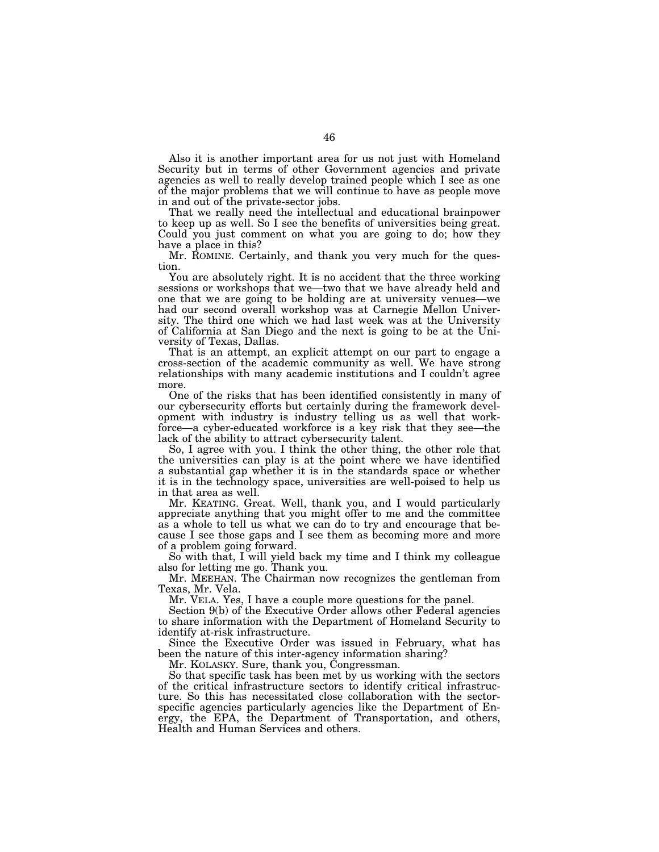Also it is another important area for us not just with Homeland Security but in terms of other Government agencies and private agencies as well to really develop trained people which I see as one of the major problems that we will continue to have as people move in and out of the private-sector jobs.

That we really need the intellectual and educational brainpower to keep up as well. So I see the benefits of universities being great. Could you just comment on what you are going to do; how they have a place in this?

Mr. ROMINE. Certainly, and thank you very much for the question.

You are absolutely right. It is no accident that the three working sessions or workshops that we—two that we have already held and one that we are going to be holding are at university venues—we had our second overall workshop was at Carnegie Mellon University. The third one which we had last week was at the University of California at San Diego and the next is going to be at the University of Texas, Dallas.

That is an attempt, an explicit attempt on our part to engage a cross-section of the academic community as well. We have strong relationships with many academic institutions and I couldn't agree more.

One of the risks that has been identified consistently in many of our cybersecurity efforts but certainly during the framework development with industry is industry telling us as well that workforce—a cyber-educated workforce is a key risk that they see—the lack of the ability to attract cybersecurity talent.

So, I agree with you. I think the other thing, the other role that the universities can play is at the point where we have identified a substantial gap whether it is in the standards space or whether it is in the technology space, universities are well-poised to help us in that area as well.

Mr. KEATING. Great. Well, thank you, and I would particularly appreciate anything that you might offer to me and the committee as a whole to tell us what we can do to try and encourage that because I see those gaps and I see them as becoming more and more of a problem going forward.

So with that, I will yield back my time and I think my colleague also for letting me go. Thank you.

Mr. MEEHAN. The Chairman now recognizes the gentleman from Texas, Mr. Vela.

Mr. VELA. Yes, I have a couple more questions for the panel.

Section 9(b) of the Executive Order allows other Federal agencies to share information with the Department of Homeland Security to identify at-risk infrastructure.

Since the Executive Order was issued in February, what has been the nature of this inter-agency information sharing?

Mr. KOLASKY. Sure, thank you, Congressman.

So that specific task has been met by us working with the sectors of the critical infrastructure sectors to identify critical infrastructure. So this has necessitated close collaboration with the sectorspecific agencies particularly agencies like the Department of Energy, the EPA, the Department of Transportation, and others, Health and Human Services and others.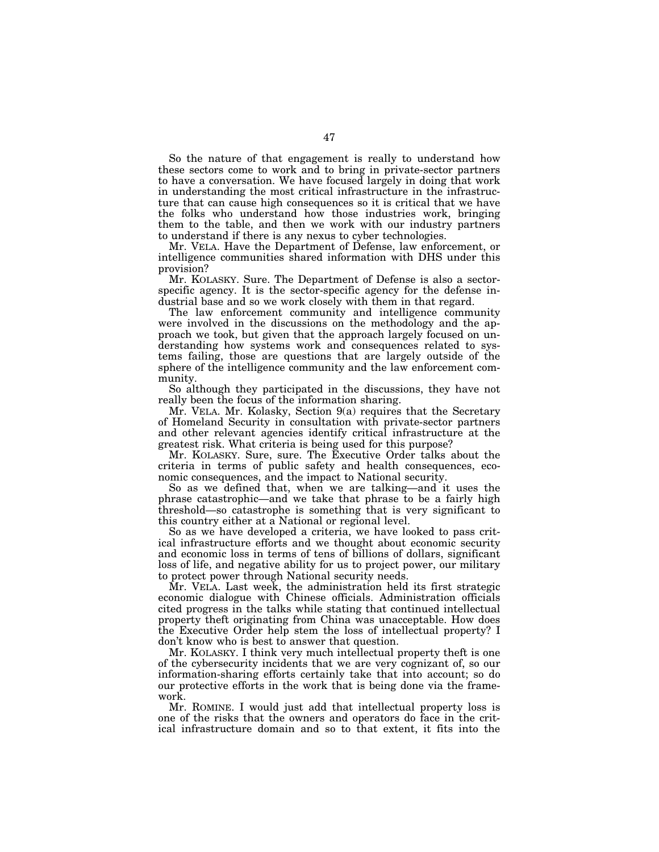So the nature of that engagement is really to understand how these sectors come to work and to bring in private-sector partners to have a conversation. We have focused largely in doing that work in understanding the most critical infrastructure in the infrastructure that can cause high consequences so it is critical that we have the folks who understand how those industries work, bringing them to the table, and then we work with our industry partners to understand if there is any nexus to cyber technologies.

Mr. VELA. Have the Department of Defense, law enforcement, or intelligence communities shared information with DHS under this provision?

Mr. KOLASKY. Sure. The Department of Defense is also a sectorspecific agency. It is the sector-specific agency for the defense industrial base and so we work closely with them in that regard.

The law enforcement community and intelligence community were involved in the discussions on the methodology and the approach we took, but given that the approach largely focused on understanding how systems work and consequences related to systems failing, those are questions that are largely outside of the sphere of the intelligence community and the law enforcement community.

So although they participated in the discussions, they have not really been the focus of the information sharing.

Mr. VELA. Mr. Kolasky, Section 9(a) requires that the Secretary of Homeland Security in consultation with private-sector partners and other relevant agencies identify critical infrastructure at the greatest risk. What criteria is being used for this purpose?

Mr. KOLASKY. Sure, sure. The Executive Order talks about the criteria in terms of public safety and health consequences, economic consequences, and the impact to National security.

So as we defined that, when we are talking—and it uses the phrase catastrophic—and we take that phrase to be a fairly high threshold—so catastrophe is something that is very significant to this country either at a National or regional level.

So as we have developed a criteria, we have looked to pass critical infrastructure efforts and we thought about economic security and economic loss in terms of tens of billions of dollars, significant loss of life, and negative ability for us to project power, our military to protect power through National security needs.

Mr. VELA. Last week, the administration held its first strategic economic dialogue with Chinese officials. Administration officials cited progress in the talks while stating that continued intellectual property theft originating from China was unacceptable. How does the Executive Order help stem the loss of intellectual property? I don't know who is best to answer that question.

Mr. KOLASKY. I think very much intellectual property theft is one of the cybersecurity incidents that we are very cognizant of, so our information-sharing efforts certainly take that into account; so do our protective efforts in the work that is being done via the framework.

Mr. ROMINE. I would just add that intellectual property loss is one of the risks that the owners and operators do face in the critical infrastructure domain and so to that extent, it fits into the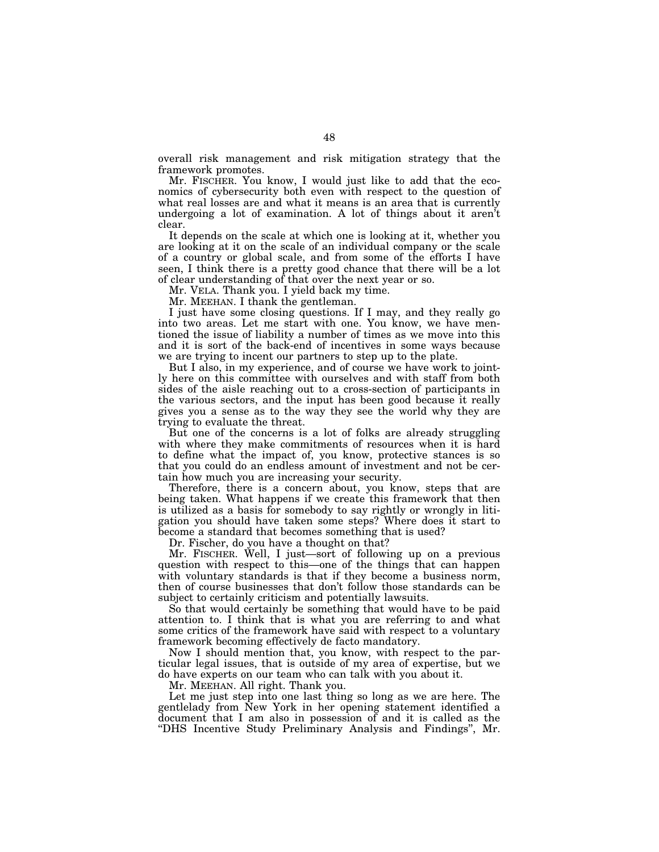overall risk management and risk mitigation strategy that the framework promotes.

Mr. FISCHER. You know, I would just like to add that the economics of cybersecurity both even with respect to the question of what real losses are and what it means is an area that is currently undergoing a lot of examination. A lot of things about it aren't clear.

It depends on the scale at which one is looking at it, whether you are looking at it on the scale of an individual company or the scale of a country or global scale, and from some of the efforts I have seen, I think there is a pretty good chance that there will be a lot of clear understanding of that over the next year or so.

Mr. VELA. Thank you. I yield back my time.

Mr. MEEHAN. I thank the gentleman.

I just have some closing questions. If I may, and they really go into two areas. Let me start with one. You know, we have mentioned the issue of liability a number of times as we move into this and it is sort of the back-end of incentives in some ways because we are trying to incent our partners to step up to the plate.

But I also, in my experience, and of course we have work to jointly here on this committee with ourselves and with staff from both sides of the aisle reaching out to a cross-section of participants in the various sectors, and the input has been good because it really gives you a sense as to the way they see the world why they are trying to evaluate the threat.

But one of the concerns is a lot of folks are already struggling with where they make commitments of resources when it is hard to define what the impact of, you know, protective stances is so that you could do an endless amount of investment and not be certain how much you are increasing your security.

Therefore, there is a concern about, you know, steps that are being taken. What happens if we create this framework that then is utilized as a basis for somebody to say rightly or wrongly in litigation you should have taken some steps? Where does it start to become a standard that becomes something that is used?

Dr. Fischer, do you have a thought on that?

Mr. FISCHER. Well, I just—sort of following up on a previous question with respect to this—one of the things that can happen with voluntary standards is that if they become a business norm, then of course businesses that don't follow those standards can be subject to certainly criticism and potentially lawsuits.

So that would certainly be something that would have to be paid attention to. I think that is what you are referring to and what some critics of the framework have said with respect to a voluntary framework becoming effectively de facto mandatory.

Now I should mention that, you know, with respect to the particular legal issues, that is outside of my area of expertise, but we do have experts on our team who can talk with you about it.

Mr. MEEHAN. All right. Thank you.

Let me just step into one last thing so long as we are here. The gentlelady from New York in her opening statement identified a document that I am also in possession of and it is called as the ''DHS Incentive Study Preliminary Analysis and Findings'', Mr.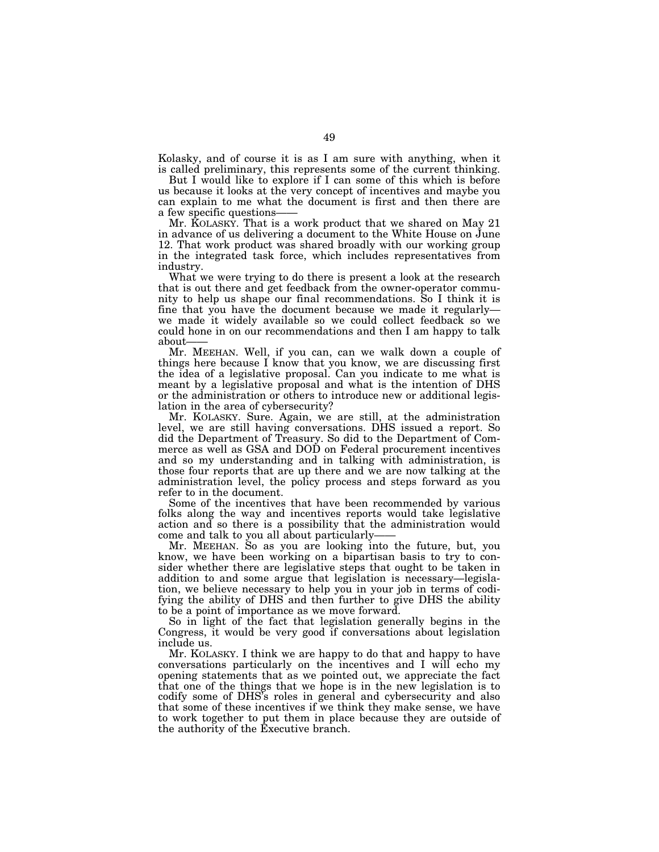Kolasky, and of course it is as I am sure with anything, when it is called preliminary, this represents some of the current thinking.

But I would like to explore if I can some of this which is before us because it looks at the very concept of incentives and maybe you can explain to me what the document is first and then there are a few specific questions-

Mr. KOLASKY. That is a work product that we shared on May 21 in advance of us delivering a document to the White House on June 12. That work product was shared broadly with our working group in the integrated task force, which includes representatives from industry.

What we were trying to do there is present a look at the research that is out there and get feedback from the owner-operator community to help us shape our final recommendations. So I think it is fine that you have the document because we made it regularly we made it widely available so we could collect feedback so we could hone in on our recommendations and then I am happy to talk about-

Mr. MEEHAN. Well, if you can, can we walk down a couple of things here because I know that you know, we are discussing first the idea of a legislative proposal. Can you indicate to me what is meant by a legislative proposal and what is the intention of DHS or the administration or others to introduce new or additional legislation in the area of cybersecurity?

Mr. KOLASKY. Sure. Again, we are still, at the administration level, we are still having conversations. DHS issued a report. So did the Department of Treasury. So did to the Department of Commerce as well as GSA and DOD on Federal procurement incentives and so my understanding and in talking with administration, is those four reports that are up there and we are now talking at the administration level, the policy process and steps forward as you refer to in the document.

Some of the incentives that have been recommended by various folks along the way and incentives reports would take legislative action and so there is a possibility that the administration would come and talk to you all about particularly-

Mr. MEEHAN. So as you are looking into the future, but, you know, we have been working on a bipartisan basis to try to consider whether there are legislative steps that ought to be taken in addition to and some argue that legislation is necessary—legislation, we believe necessary to help you in your job in terms of codifying the ability of DHS and then further to give DHS the ability to be a point of importance as we move forward.

So in light of the fact that legislation generally begins in the Congress, it would be very good if conversations about legislation include us.

Mr. KOLASKY. I think we are happy to do that and happy to have conversations particularly on the incentives and I will echo my opening statements that as we pointed out, we appreciate the fact that one of the things that we hope is in the new legislation is to codify some of DHS's roles in general and cybersecurity and also that some of these incentives if we think they make sense, we have to work together to put them in place because they are outside of the authority of the Executive branch.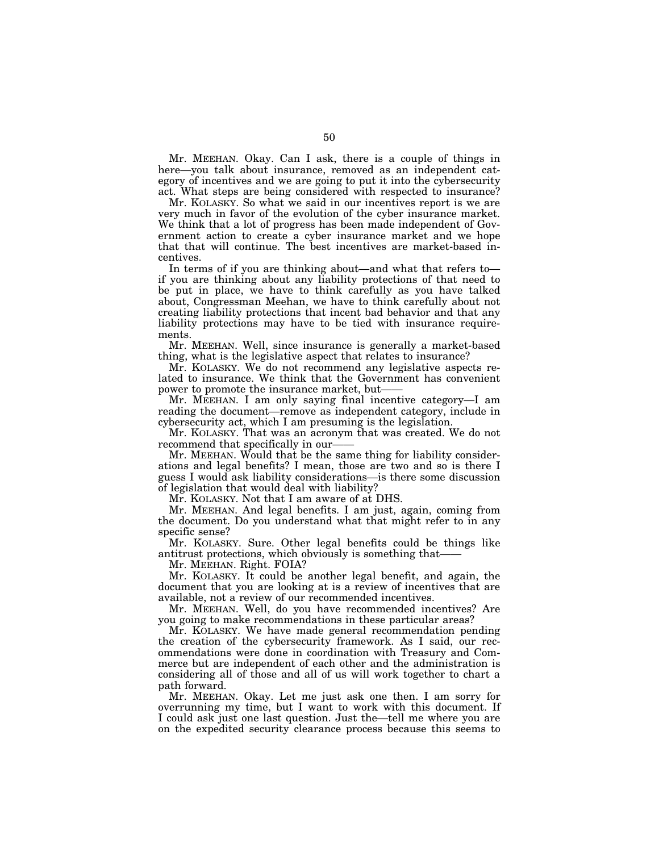Mr. MEEHAN. Okay. Can I ask, there is a couple of things in here—you talk about insurance, removed as an independent category of incentives and we are going to put it into the cybersecurity act. What steps are being considered with respected to insurance?

Mr. KOLASKY. So what we said in our incentives report is we are very much in favor of the evolution of the cyber insurance market. We think that a lot of progress has been made independent of Government action to create a cyber insurance market and we hope that that will continue. The best incentives are market-based incentives.

In terms of if you are thinking about—and what that refers to if you are thinking about any liability protections of that need to be put in place, we have to think carefully as you have talked about, Congressman Meehan, we have to think carefully about not creating liability protections that incent bad behavior and that any liability protections may have to be tied with insurance requirements.

Mr. MEEHAN. Well, since insurance is generally a market-based thing, what is the legislative aspect that relates to insurance?

Mr. KOLASKY. We do not recommend any legislative aspects related to insurance. We think that the Government has convenient power to promote the insurance market, but-

Mr. MEEHAN. I am only saying final incentive category—I am reading the document—remove as independent category, include in cybersecurity act, which I am presuming is the legislation.

Mr. KOLASKY. That was an acronym that was created. We do not recommend that specifically in our-

Mr. MEEHAN. Would that be the same thing for liability considerations and legal benefits? I mean, those are two and so is there I guess I would ask liability considerations—is there some discussion of legislation that would deal with liability?

Mr. KOLASKY. Not that I am aware of at DHS.

Mr. MEEHAN. And legal benefits. I am just, again, coming from the document. Do you understand what that might refer to in any specific sense?

Mr. KOLASKY. Sure. Other legal benefits could be things like antitrust protections, which obviously is something that——

Mr. MEEHAN. Right. FOIA?

Mr. KOLASKY. It could be another legal benefit, and again, the document that you are looking at is a review of incentives that are available, not a review of our recommended incentives.

Mr. MEEHAN. Well, do you have recommended incentives? Are you going to make recommendations in these particular areas?

Mr. KOLASKY. We have made general recommendation pending the creation of the cybersecurity framework. As I said, our recommendations were done in coordination with Treasury and Commerce but are independent of each other and the administration is considering all of those and all of us will work together to chart a path forward.

Mr. MEEHAN. Okay. Let me just ask one then. I am sorry for overrunning my time, but I want to work with this document. If I could ask just one last question. Just the—tell me where you are on the expedited security clearance process because this seems to